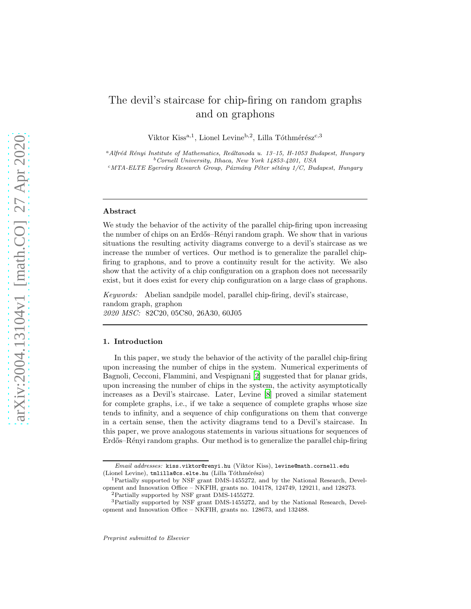# The devil's staircase for chip-firing on random graphs and on graphons

Viktor Kiss<sup>a,1</sup>, Lionel Levine<sup>b,2</sup>, Lilla Tóthmérész<sup>c,3</sup>

<sup>a</sup>Alfréd Rényi Institute of Mathematics, Reáltanoda u. 13–15, H-1053 Budapest, Hungary <sup>b</sup>*Cornell University, Ithaca, New York 14853-4201, USA* <sup>c</sup>MTA-ELTE Egerváry Research Group, Pázmány Péter sétány 1/C, Budapest, Hungary

#### Abstract

We study the behavior of the activity of the parallel chip-firing upon increasing the number of chips on an Erdős–Rényi random graph. We show that in various situations the resulting activity diagrams converge to a devil's staircase as we increase the number of vertices. Our method is to generalize the parallel chipfiring to graphons, and to prove a continuity result for the activity. We also show that the activity of a chip configuration on a graphon does not necessarily exist, but it does exist for every chip configuration on a large class of graphons.

Keywords: Abelian sandpile model, parallel chip-firing, devil's staircase, random graph, graphon 2020 MSC: 82C20, 05C80, 26A30, 60J05

## 1. Introduction

In this paper, we study the behavior of the activity of the parallel chip-firing upon increasing the number of chips in the system. Numerical experiments of Bagnoli, Cecconi, Flammini, and Vespignani [\[2\]](#page-44-0) suggested that for planar grids, upon increasing the number of chips in the system, the activity asymptotically increases as a Devil's staircase. Later, Levine [\[8](#page-44-1)] proved a similar statement for complete graphs, i.e., if we take a sequence of complete graphs whose size tends to infinity, and a sequence of chip configurations on them that converge in a certain sense, then the activity diagrams tend to a Devil's staircase. In this paper, we prove analogous statements in various situations for sequences of Erdős–Rényi random graphs. Our method is to generalize the parallel chip-firing

*Email addresses:* kiss.viktor@renyi.hu (Viktor Kiss), levine@math.cornell.edu (Lionel Levine), tmlilla@cs.elte.hu (Lilla Tóthmérész)

<sup>1</sup>Partially supported by NSF grant DMS-1455272, and by the National Research, Development and Innovation Office – NKFIH, grants no. 104178, 124749, 129211, and 128273.

<sup>2</sup>Partially supported by NSF grant DMS-1455272.

<sup>3</sup>Partially supported by NSF grant DMS-1455272, and by the National Research, Development and Innovation Office – NKFIH, grants no. 128673, and 132488.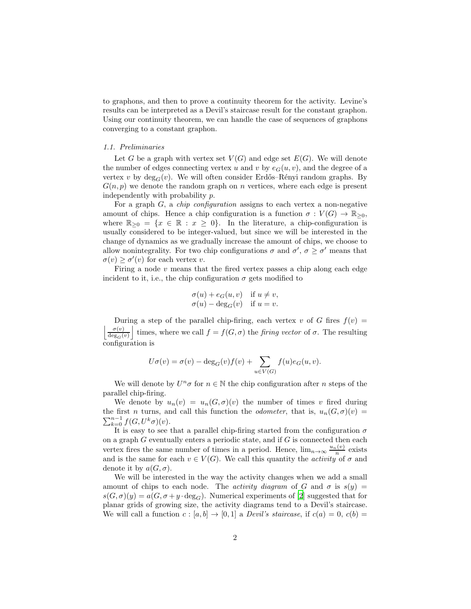to graphons, and then to prove a continuity theorem for the activity. Levine's results can be interpreted as a Devil's staircase result for the constant graphon. Using our continuity theorem, we can handle the case of sequences of graphons converging to a constant graphon.

# 1.1. Preliminaries

Let G be a graph with vertex set  $V(G)$  and edge set  $E(G)$ . We will denote the number of edges connecting vertex u and v by  $e_G(u, v)$ , and the degree of a vertex v by  $deg_G(v)$ . We will often consider Erdős–Rényi random graphs. By  $G(n, p)$  we denote the random graph on n vertices, where each edge is present independently with probability p.

For a graph  $G$ , a *chip configuration* assigns to each vertex a non-negative amount of chips. Hence a chip configuration is a function  $\sigma: V(G) \to \mathbb{R}_{\geq 0}$ , where  $\mathbb{R}_{\geq 0} = \{x \in \mathbb{R} : x \geq 0\}$ . In the literature, a chip-configuration is usually considered to be integer-valued, but since we will be interested in the change of dynamics as we gradually increase the amount of chips, we choose to allow nonintegrality. For two chip configurations  $\sigma$  and  $\sigma'$ ,  $\sigma \geq \sigma'$  means that  $\sigma(v) \geq \sigma'(v)$  for each vertex v.

Firing a node  $v$  means that the fired vertex passes a chip along each edge incident to it, i.e., the chip configuration  $\sigma$  gets modified to

$$
\begin{aligned}\n\sigma(u) + e_G(u, v) & \text{if } u \neq v, \\
\sigma(u) - \deg_G(v) & \text{if } u = v.\n\end{aligned}
$$

During a step of the parallel chip-firing, each vertex v of G fires  $f(v) =$  $\sigma(v)$  $\deg_G(v)$ times, where we call  $f = f(G, \sigma)$  the *firing vector* of  $\sigma$ . The resulting configuration is

$$
U\sigma(v) = \sigma(v) - \deg_G(v)f(v) + \sum_{u \in V(G)} f(u)e_G(u, v).
$$

We will denote by  $U^n\sigma$  for  $n\in\mathbb{N}$  the chip configuration after  $n$  steps of the parallel chip-firing.

We denote by  $u_n(v) = u_n(G, \sigma)(v)$  the number of times v fired during the first n turns, and call this function the *odometer*, that is,  $u_n(G, \sigma)(v) =$  $\sum_{k=0}^{n-1} f(G, U^k \sigma)(v).$ 

It is easy to see that a parallel chip-firing started from the configuration  $\sigma$ on a graph  $G$  eventually enters a periodic state, and if  $G$  is connected then each vertex fires the same number of times in a period. Hence,  $\lim_{n\to\infty} \frac{u_n(v)}{n}$  exists and is the same for each  $v \in V(G)$ . We call this quantity the *activity* of  $\sigma$  and denote it by  $a(G, \sigma)$ .

We will be interested in the way the activity changes when we add a small amount of chips to each node. The *activity diagram* of G and  $\sigma$  is  $s(y)$  =  $s(G, \sigma)(y) = a(G, \sigma + y \cdot deg_G)$ . Numerical experiments of [\[2](#page-44-0)] suggested that for planar grids of growing size, the activity diagrams tend to a Devil's staircase. We will call a function  $c : [a, b] \rightarrow [0, 1]$  a *Devil's staircase*, if  $c(a) = 0$ ,  $c(b) =$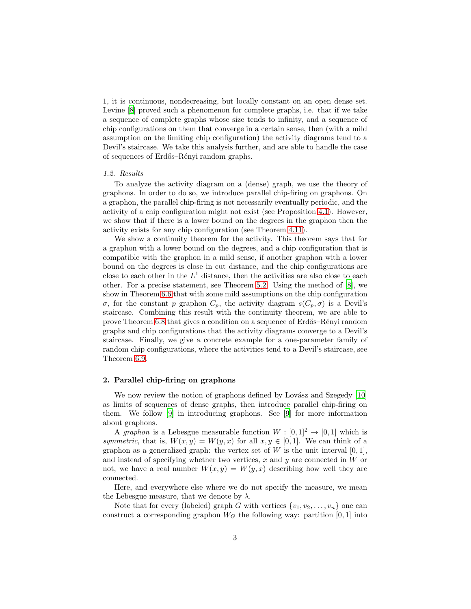1, it is continuous, nondecreasing, but locally constant on an open dense set. Levine [\[8\]](#page-44-1) proved such a phenomenon for complete graphs, i.e. that if we take a sequence of complete graphs whose size tends to infinity, and a sequence of chip configurations on them that converge in a certain sense, then (with a mild assumption on the limiting chip configuration) the activity diagrams tend to a Devil's staircase. We take this analysis further, and are able to handle the case of sequences of Erdős–Rényi random graphs.

# 1.2. Results

To analyze the activity diagram on a (dense) graph, we use the theory of graphons. In order to do so, we introduce parallel chip-firing on graphons. On a graphon, the parallel chip-firing is not necessarily eventually periodic, and the activity of a chip configuration might not exist (see Proposition [4.1\)](#page-9-0). However, we show that if there is a lower bound on the degrees in the graphon then the activity exists for any chip configuration (see Theorem [4.11\)](#page-19-0).

We show a continuity theorem for the activity. This theorem says that for a graphon with a lower bound on the degrees, and a chip configuration that is compatible with the graphon in a mild sense, if another graphon with a lower bound on the degrees is close in cut distance, and the chip configurations are close to each other in the  $L^1$  distance, then the activities are also close to each other. For a precise statement, see Theorem [5.2.](#page-22-0) Using the method of [\[8\]](#page-44-1), we show in Theorem [6.6](#page-32-0) that with some mild assumptions on the chip configuration σ, for the constant p graphon  $C_p$ , the activity diagram  $s(C_p, σ)$  is a Devil's staircase. Combining this result with the continuity theorem, we are able to prove Theorem [6.8](#page-33-0) that gives a condition on a sequence of Erdős–Rényi random graphs and chip configurations that the activity diagrams converge to a Devil's staircase. Finally, we give a concrete example for a one-parameter family of random chip configurations, where the activities tend to a Devil's staircase, see Theorem [6.9.](#page-35-0)

## <span id="page-2-0"></span>2. Parallel chip-firing on graphons

We now review the notion of graphons defined by Lovász and Szegedy  $[10]$ as limits of sequences of dense graphs, then introduce parallel chip-firing on them. We follow [\[9\]](#page-44-3) in introducing graphons. See [\[9](#page-44-3)] for more information about graphons.

A graphon is a Lebesgue measurable function  $W : [0, 1]^2 \rightarrow [0, 1]$  which is symmetric, that is,  $W(x, y) = W(y, x)$  for all  $x, y \in [0, 1]$ . We can think of a graphon as a generalized graph: the vertex set of W is the unit interval  $[0, 1]$ , and instead of specifying whether two vertices,  $x$  and  $y$  are connected in  $W$  or not, we have a real number  $W(x, y) = W(y, x)$  describing how well they are connected.

Here, and everywhere else where we do not specify the measure, we mean the Lebesgue measure, that we denote by  $\lambda$ .

Note that for every (labeled) graph G with vertices  $\{v_1, v_2, \ldots, v_n\}$  one can construct a corresponding graphon  $W_G$  the following way: partition [0, 1] into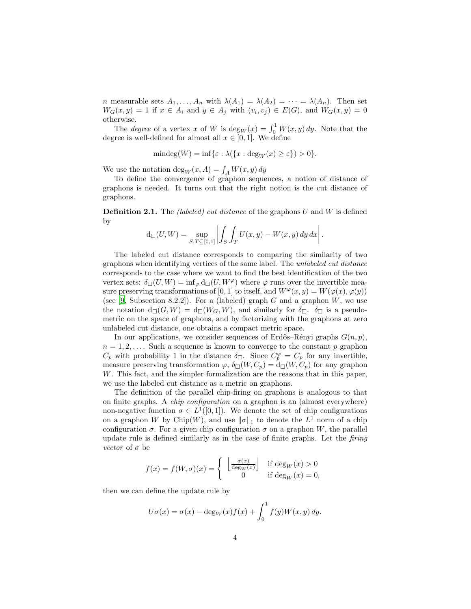*n* measurable sets  $A_1, \ldots, A_n$  with  $\lambda(A_1) = \lambda(A_2) = \cdots = \lambda(A_n)$ . Then set  $W_G(x,y) = 1$  if  $x \in A_i$  and  $y \in A_j$  with  $(v_i, v_j) \in E(G)$ , and  $W_G(x,y) = 0$ otherwise.

The *degree* of a vertex x of W is  $deg_W(x) = \int_0^1 W(x, y) dy$ . Note that the degree is well-defined for almost all  $x \in [0,1]$ . We define

$$
\mathrm{mindeg}(W) = \mathrm{inf}\{\varepsilon : \lambda(\{x : \deg_W(x) \ge \varepsilon\}) > 0\}.
$$

We use the notation  $\deg_W(x, A) = \int_A W(x, y) dy$ 

To define the convergence of graphon sequences, a notion of distance of graphons is needed. It turns out that the right notion is the cut distance of graphons.

**Definition 2.1.** The *(labeled)* cut distance of the graphons  $U$  and  $W$  is defined by

$$
d_{\square}(U, W) = \sup_{S,T \subseteq [0,1]} \left| \int_S \int_T U(x, y) - W(x, y) \, dy \, dx \right|.
$$

The labeled cut distance corresponds to comparing the similarity of two graphons when identifying vertices of the same label. The unlabeled cut distance corresponds to the case where we want to find the best identification of the two vertex sets:  $\delta_{\Box}(U, W) = \inf_{\varphi} d_{\Box}(U, W^{\varphi})$  where  $\varphi$  runs over the invertible measure preserving transformations of [0, 1] to itself, and  $W^{\varphi}(x, y) = W(\varphi(x), \varphi(y))$ (see [\[9,](#page-44-3) Subsection 8.2.2]). For a (labeled) graph  $G$  and a graphon  $W$ , we use the notation  $d_{\Box}(G, W) = d_{\Box}(W_G, W)$ , and similarly for  $\delta_{\Box}$ .  $\delta_{\Box}$  is a pseudometric on the space of graphons, and by factorizing with the graphons at zero unlabeled cut distance, one obtains a compact metric space.

In our applications, we consider sequences of Erdős–Rényi graphs  $G(n, p)$ ,  $n = 1, 2, \ldots$  Such a sequence is known to converge to the constant p graphon  $C_p$  with probability 1 in the distance  $\delta_{\square}$ . Since  $C_p^{\varphi} = C_p$  for any invertible, measure preserving transformation  $\varphi$ ,  $\delta_{\Box}(W, C_p) = d_{\Box}(W, C_p)$  for any graphon W. This fact, and the simpler formalization are the reasons that in this paper, we use the labeled cut distance as a metric on graphons.

The definition of the parallel chip-firing on graphons is analogous to that on finite graphs. A chip configuration on a graphon is an (almost everywhere) non-negative function  $\sigma \in L^1([0,1])$ . We denote the set of chip configurations on a graphon W by Chip(W), and use  $\|\sigma\|_1$  to denote the  $L^1$  norm of a chip configuration  $\sigma$ . For a given chip configuration  $\sigma$  on a graphon W, the parallel update rule is defined similarly as in the case of finite graphs. Let the firing vector of  $\sigma$  be

$$
f(x) = f(W, \sigma)(x) = \begin{cases} \left\lfloor \frac{\sigma(x)}{\deg_W(x)} \right\rfloor & \text{if } \deg_W(x) > 0\\ 0 & \text{if } \deg_W(x) = 0, \end{cases}
$$

then we can define the update rule by

$$
U\sigma(x) = \sigma(x) - \deg_W(x)f(x) + \int_0^1 f(y)W(x, y) dy.
$$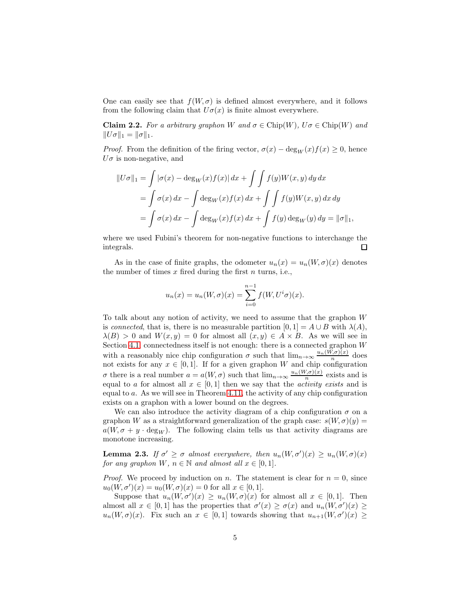One can easily see that  $f(W, \sigma)$  is defined almost everywhere, and it follows from the following claim that  $U\sigma(x)$  is finite almost everywhere.

<span id="page-4-0"></span>**Claim 2.2.** For a arbitrary graphon W and  $\sigma \in \text{Chip}(W)$ ,  $U\sigma \in \text{Chip}(W)$  and  $||U\sigma||_1 = ||\sigma||_1.$ 

*Proof.* From the definition of the firing vector,  $\sigma(x) - \deg_W(x) f(x) \geq 0$ , hence  $U\sigma$  is non-negative, and

$$
||U\sigma||_1 = \int |\sigma(x) - \deg_W(x)f(x)| dx + \int \int f(y)W(x, y) dy dx
$$
  
= 
$$
\int \sigma(x) dx - \int \deg_W(x)f(x) dx + \int \int f(y)W(x, y) dx dy
$$
  
= 
$$
\int \sigma(x) dx - \int \deg_W(x)f(x) dx + \int f(y) \deg_W(y) dy = ||\sigma||_1,
$$

where we used Fubini's theorem for non-negative functions to interchange the integrals. 口

As in the case of finite graphs, the odometer  $u_n(x) = u_n(W, \sigma)(x)$  denotes the number of times  $x$  fired during the first  $n$  turns, i.e.,

$$
u_n(x) = u_n(W, \sigma)(x) = \sum_{i=0}^{n-1} f(W, U^i \sigma)(x).
$$

To talk about any notion of activity, we need to assume that the graphon W is connected, that is, there is no measurable partition  $[0, 1] = A \cup B$  with  $\lambda(A)$ ,  $\lambda(B) > 0$  and  $W(x, y) = 0$  for almost all  $(x, y) \in A \times B$ . As we will see in Section [4.1,](#page-9-1) connectedness itself is not enough: there is a connected graphon  $W$ with a reasonably nice chip configuration  $\sigma$  such that  $\lim_{n\to\infty} \frac{u_n(W,\sigma)(x)}{n}$  does not exists for any  $x \in [0,1]$ . If for a given graphon W and chip configuration σ there is a real number  $a = a(W, σ)$  such that  $\lim_{n\to\infty} \frac{u_n(W, σ)(x)}{n}$  exists and is equal to a for almost all  $x \in [0,1]$  then we say that the *activity exists* and is equal to a. As we will see in Theorem [4.11,](#page-19-0) the activity of any chip configuration exists on a graphon with a lower bound on the degrees.

We can also introduce the activity diagram of a chip configuration  $\sigma$  on a graphon W as a straightforward generalization of the graph case:  $s(W, \sigma)(y) =$  $a(W, \sigma + y \cdot \text{deg}_W)$ . The following claim tells us that activity diagrams are monotone increasing.

<span id="page-4-1"></span>**Lemma 2.3.** If  $\sigma' \geq \sigma$  almost everywhere, then  $u_n(W, \sigma')(x) \geq u_n(W, \sigma)(x)$ for any graphon  $W, n \in \mathbb{N}$  and almost all  $x \in [0,1]$ .

*Proof.* We proceed by induction on n. The statement is clear for  $n = 0$ , since  $u_0(W, \sigma')(x) = u_0(W, \sigma)(x) = 0$  for all  $x \in [0, 1].$ 

Suppose that  $u_n(W, \sigma')(x) \ge u_n(W, \sigma)(x)$  for almost all  $x \in [0, 1]$ . Then almost all  $x \in [0,1]$  has the properties that  $\sigma'(x) \geq \sigma(x)$  and  $u_n(W, \sigma')(x) \geq$  $u_n(W, \sigma)(x)$ . Fix such an  $x \in [0, 1]$  towards showing that  $u_{n+1}(W, \sigma')(x) \geq$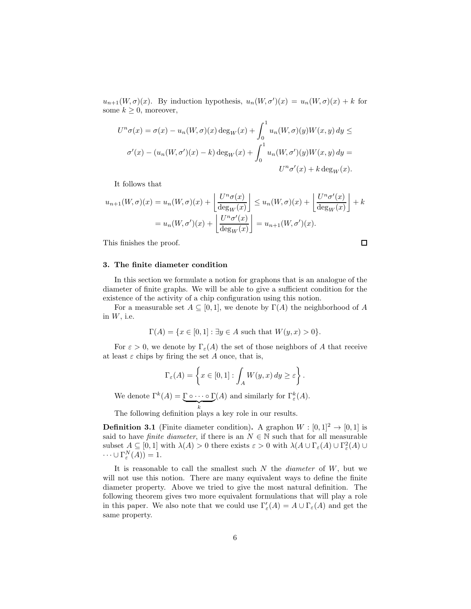$u_{n+1}(W, \sigma)(x)$ . By induction hypothesis,  $u_n(W, \sigma')(x) = u_n(W, \sigma)(x) + k$  for some  $k \geq 0$ , moreover,

$$
U^n \sigma(x) = \sigma(x) - u_n(W, \sigma)(x) \deg_W(x) + \int_0^1 u_n(W, \sigma)(y) W(x, y) dy \le
$$
  

$$
\sigma'(x) - (u_n(W, \sigma')(x) - k) \deg_W(x) + \int_0^1 u_n(W, \sigma')(y) W(x, y) dy =
$$
  

$$
U^n \sigma'(x) + k \deg_W(x).
$$

It follows that

$$
u_{n+1}(W,\sigma)(x) = u_n(W,\sigma)(x) + \left\lfloor \frac{U^n \sigma(x)}{\deg_W(x)} \right\rfloor \le u_n(W,\sigma)(x) + \left\lfloor \frac{U^n \sigma'(x)}{\deg_W(x)} \right\rfloor + k
$$

$$
= u_n(W,\sigma')(x) + \left\lfloor \frac{U^n \sigma'(x)}{\deg_W(x)} \right\rfloor = u_{n+1}(W,\sigma')(x).
$$

This finishes the proof.

 $\Box$ 

# 3. The finite diameter condition

In this section we formulate a notion for graphons that is an analogue of the diameter of finite graphs. We will be able to give a sufficient condition for the existence of the activity of a chip configuration using this notion.

For a measurable set  $A \subseteq [0,1]$ , we denote by  $\Gamma(A)$  the neighborhood of A in  $W$ , i.e.

$$
\Gamma(A) = \{ x \in [0,1] : \exists y \in A \text{ such that } W(y,x) > 0 \}.
$$

For  $\varepsilon > 0$ , we denote by  $\Gamma_{\varepsilon}(A)$  the set of those neighbors of A that receive at least  $\varepsilon$  chips by firing the set A once, that is,

$$
\Gamma_{\varepsilon}(A) = \left\{ x \in [0,1] : \int_{A} W(y,x) \, dy \ge \varepsilon \right\}.
$$

We denote  $\Gamma^k(A) = \underbrace{\Gamma \circ \cdots \circ \Gamma}_{k}$ (A) and similarly for  $\Gamma_{\varepsilon}^{k}(A)$ .

The following definition plays a key role in our results.

**Definition 3.1** (Finite diameter condition). A graphon  $W : [0, 1]^2 \rightarrow [0, 1]$  is said to have *finite diameter*, if there is an  $N \in \mathbb{N}$  such that for all measurable subset  $A \subseteq [0,1]$  with  $\lambda(A) > 0$  there exists  $\varepsilon > 0$  with  $\lambda(A \cup \Gamma_{\varepsilon}(A) \cup \Gamma_{\varepsilon}^2(A) \cup \Gamma_{\varepsilon}(A)$  $\cdots \cup \Gamma_{\varepsilon}^{N}(A)) = 1.$ 

It is reasonable to call the smallest such  $N$  the *diameter* of  $W$ , but we will not use this notion. There are many equivalent ways to define the finite diameter property. Above we tried to give the most natural definition. The following theorem gives two more equivalent formulations that will play a role in this paper. We also note that we could use  $\Gamma'_{\varepsilon}(A) = A \cup \Gamma_{\varepsilon}(A)$  and get the same property.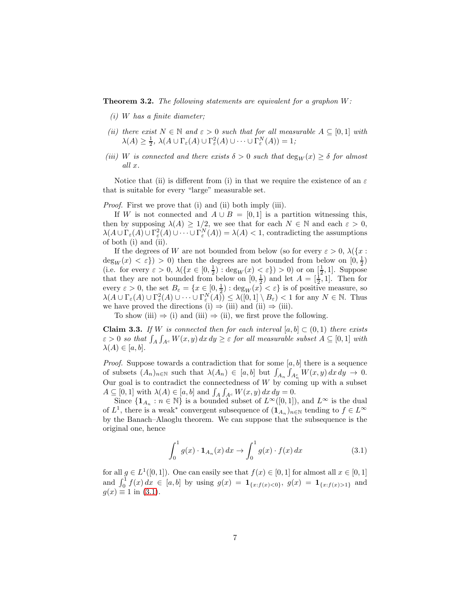<span id="page-6-2"></span>**Theorem 3.2.** The following statements are equivalent for a graphon  $W$ :

- $(i)$  W has a finite diameter;
- (ii) there exist  $N \in \mathbb{N}$  and  $\varepsilon > 0$  such that for all measurable  $A \subseteq [0,1]$  with  $\lambda(A) \geq \frac{1}{2}, \ \lambda(A \cup \Gamma_{\varepsilon}(A) \cup \Gamma_{\varepsilon}^{2}(A) \cup \cdots \cup \Gamma_{\varepsilon}^{N}(A)) = 1;$
- (iii) W is connected and there exists  $\delta > 0$  such that  $\deg_W(x) \geq \delta$  for almost all x.

Notice that (ii) is different from (i) in that we require the existence of an  $\varepsilon$ that is suitable for every "large" measurable set.

Proof. First we prove that (i) and (ii) both imply (iii).

If W is not connected and  $A \cup B = [0, 1]$  is a partition witnessing this, then by supposing  $\lambda(A) \geq 1/2$ , we see that for each  $N \in \mathbb{N}$  and each  $\varepsilon > 0$ ,  $\lambda(A \cup \Gamma_{\varepsilon}(A) \cup \Gamma_{\varepsilon}^2(A) \cup \cdots \cup \Gamma_{\varepsilon}^N(A)) = \lambda(A) < 1$ , contradicting the assumptions of both (i) and (ii).

If the degrees of W are not bounded from below (so for every  $\varepsilon > 0$ ,  $\lambda({x :}$  $deg_W(x) < \varepsilon$ ) > 0) then the degrees are not bounded from below on  $[0, \frac{1}{2})$ (i.e. for every  $\varepsilon > 0$ ,  $\lambda(\lbrace x \in [0, \frac{1}{2}) : \deg_W(x) < \varepsilon \rbrace) > 0$ ) or on  $[\frac{1}{2}, 1]$ . Suppose that they are not bounded from below on  $[0, \frac{1}{2})$  and let  $A = [\frac{1}{2}, 1]$ . Then for every  $\varepsilon > 0$ , the set  $B_{\varepsilon} = \{x \in [0, \frac{1}{2}) : \deg_W(x) < \varepsilon\}$  is of positive measure, so  $\lambda(A \cup \Gamma_{\varepsilon}(A) \cup \Gamma_{\varepsilon}^2(A) \cup \cdots \cup \Gamma_{\varepsilon}^N(A)) \leq \lambda([0,1] \setminus B_{\varepsilon}) < 1$  for any  $N \in \mathbb{N}$ . Thus we have proved the directions (i)  $\Rightarrow$  (iii) and (ii)  $\Rightarrow$  (iii).

To show (iii)  $\Rightarrow$  (i) and (iii)  $\Rightarrow$  (ii), we first prove the following.

<span id="page-6-1"></span>**Claim 3.3.** If W is connected then for each interval  $[a, b] \subset (0, 1)$  there exists  $\varepsilon > 0$  so that  $\int_A \int_{A^c} W(x, y) dx dy \ge \varepsilon$  for all measurable subset  $A \subseteq [0, 1]$  with  $\lambda(A) \in [a, b].$ 

*Proof.* Suppose towards a contradiction that for some  $[a, b]$  there is a sequence of subsets  $(A_n)_{n\in\mathbb{N}}$  such that  $\lambda(A_n) \in [a, b]$  but  $\int_{A_n} \int_{A_n^c} W(x, y) dx dy \to 0$ . Our goal is to contradict the connectedness of W by coming up with a subset  $A \subseteq [0,1]$  with  $\lambda(A) \in [a,b]$  and  $\int_A \int_{A^c} W(x,y) dx dy = 0.$ 

Since  $\{1_{A_n}: n \in \mathbb{N}\}\$ is a bounded subset of  $L^{\infty}([0,1])$ , and  $L^{\infty}$  is the dual of  $L^1$ , there is a weak<sup>\*</sup> convergent subsequence of  $(1_{A_n})_{n\in\mathbb{N}}$  tending to  $f\in L^{\infty}$ by the Banach–Alaoglu theorem. We can suppose that the subsequence is the original one, hence

<span id="page-6-0"></span>
$$
\int_0^1 g(x) \cdot \mathbf{1}_{A_n}(x) dx \to \int_0^1 g(x) \cdot f(x) dx \tag{3.1}
$$

for all  $g \in L^1([0,1])$ . One can easily see that  $f(x) \in [0,1]$  for almost all  $x \in [0,1]$ and  $\int_0^1 f(x) dx \in [a, b]$  by using  $g(x) = \mathbf{1}_{\{x : f(x) < 0\}}, g(x) = \mathbf{1}_{\{x : f(x) > 1\}}$  and  $g(x) \equiv 1$  in [\(3.1\)](#page-6-0).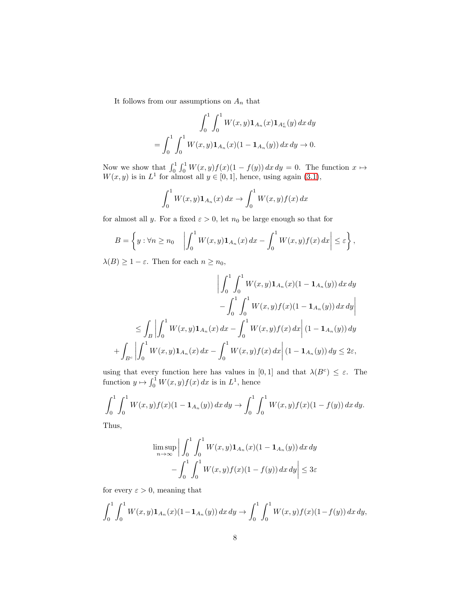It follows from our assumptions on  $\mathcal{A}_n$  that

$$
\int_0^1 \int_0^1 W(x, y) \mathbf{1}_{A_n}(x) \mathbf{1}_{A_n^c}(y) dx dy
$$
  
= 
$$
\int_0^1 \int_0^1 W(x, y) \mathbf{1}_{A_n}(x) (1 - \mathbf{1}_{A_n}(y)) dx dy \to 0.
$$

Now we show that  $\int_0^1 \int_0^1 W(x, y)f(x)(1 - f(y)) dx dy = 0$ . The function  $x \mapsto$  $W(x, y)$  is in  $L<sup>1</sup>$  for almost all  $y \in [0, 1]$ , hence, using again [\(3.1\)](#page-6-0),

$$
\int_0^1 W(x,y) \mathbf{1}_{A_n}(x) dx \to \int_0^1 W(x,y) f(x) dx
$$

for almost all y. For a fixed  $\varepsilon > 0$ , let  $n_0$  be large enough so that for

$$
B = \left\{ y : \forall n \ge n_0 \quad \left| \int_0^1 W(x, y) \mathbf{1}_{A_n}(x) \, dx - \int_0^1 W(x, y) f(x) \, dx \right| \le \varepsilon \right\},\
$$

 $\lambda(B) \geq 1 - \varepsilon$ . Then for each  $n \geq n_0$ ,

$$
\left| \int_0^1 \int_0^1 W(x, y) \mathbf{1}_{A_n}(x) (1 - \mathbf{1}_{A_n}(y)) dx dy \right|
$$
  

$$
- \int_0^1 \int_0^1 W(x, y) f(x) (1 - \mathbf{1}_{A_n}(y)) dx dy \right|
$$
  

$$
\leq \int_B \left| \int_0^1 W(x, y) \mathbf{1}_{A_n}(x) dx - \int_0^1 W(x, y) f(x) dx \right| (1 - \mathbf{1}_{A_n}(y)) dy
$$
  

$$
+ \int_{B^c} \left| \int_0^1 W(x, y) \mathbf{1}_{A_n}(x) dx - \int_0^1 W(x, y) f(x) dx \right| (1 - \mathbf{1}_{A_n}(y)) dy \leq 2\varepsilon,
$$

using that every function here has values in [0, 1] and that  $\lambda(B^c) \leq \varepsilon$ . The function  $y \mapsto \int_0^1 W(x, y) f(x) dx$  is in  $L^1$ , hence

$$
\int_0^1 \int_0^1 W(x, y) f(x) (1 - \mathbf{1}_{A_n}(y)) dx dy \to \int_0^1 \int_0^1 W(x, y) f(x) (1 - f(y)) dx dy.
$$

Thus,

$$
\limsup_{n \to \infty} \left| \int_0^1 \int_0^1 W(x, y) \mathbf{1}_{A_n}(x) (1 - \mathbf{1}_{A_n}(y)) dx dy - \int_0^1 \int_0^1 W(x, y) f(x) (1 - f(y)) dx dy \right| \le 3\varepsilon
$$

for every  $\varepsilon > 0$ , meaning that

$$
\int_0^1 \int_0^1 W(x, y) \mathbf{1}_{A_n}(x) (1 - \mathbf{1}_{A_n}(y)) dx dy \to \int_0^1 \int_0^1 W(x, y) f(x) (1 - f(y)) dx dy,
$$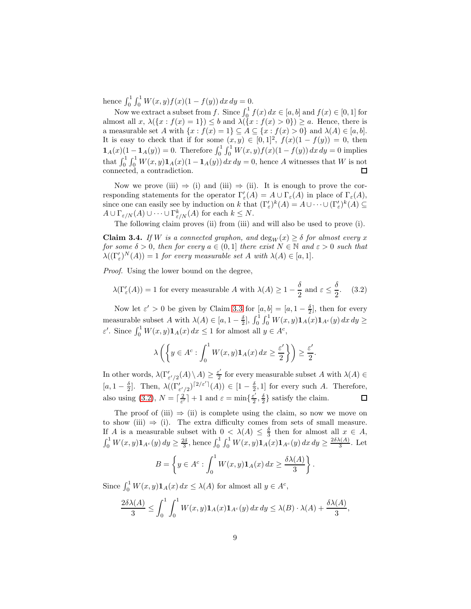hence  $\int_0^1 \int_0^1 W(x, y) f(x) (1 - f(y)) dx dy = 0.$ 

Now we extract a subset from f. Since  $\int_0^1 f(x) dx \in [a, b]$  and  $f(x) \in [0, 1]$  for almost all  $x, \lambda(\{x : f(x) = 1\}) \leq b$  and  $\lambda(\{x : f(x) > 0\}) \geq a$ . Hence, there is a measurable set A with  $\{x : f(x) = 1\} \subseteq A \subseteq \{x : f(x) > 0\}$  and  $\lambda(A) \in [a, b]$ . It is easy to check that if for some  $(x, y) \in [0, 1]^2$ ,  $f(x)(1 - f(y)) = 0$ , then  $\mathbf{1}_A(x)(1 - \mathbf{1}_A(y)) = 0.$  Therefore  $\int_0^1 \int_0^1 W(x, y) f(x) (1 - f(y)) dx dy = 0$  implies that  $\int_0^1 \int_0^1 W(x, y) \mathbf{1}_A(x) (1 - \mathbf{1}_A(y)) dx dy = 0$ , hence A witnesses that W is not connected, a contradiction.

Now we prove (iii)  $\Rightarrow$  (i) and (iii)  $\Rightarrow$  (ii). It is enough to prove the corresponding statements for the operator  $\Gamma'_{\varepsilon}(A) = A \cup \Gamma_{\varepsilon}(A)$  in place of  $\Gamma_{\varepsilon}(A)$ , since one can easily see by induction on k that  $(\Gamma'_{\varepsilon})^k(A) = A \cup \cdots \cup (\Gamma'_{\varepsilon})^k(A) \subseteq$  $A \cup \Gamma_{\varepsilon/N}(A) \cup \cdots \cup \Gamma_{\varepsilon/N}^k(A)$  for each  $k \leq N$ .

The following claim proves (ii) from (iii) and will also be used to prove (i).

<span id="page-8-1"></span>**Claim 3.4.** If W is a connected graphon, and  $\deg_W(x) \geq \delta$  for almost every x for some  $\delta > 0$ , then for every  $a \in (0,1]$  there exist  $N \in \mathbb{N}$  and  $\varepsilon > 0$  such that  $\lambda((\Gamma'_{\varepsilon})^N(A)) = 1$  for every measurable set A with  $\lambda(A) \in [a, 1].$ 

Proof. Using the lower bound on the degree,

<span id="page-8-0"></span>
$$
\lambda(\Gamma'_{\varepsilon}(A)) = 1 \text{ for every measurable } A \text{ with } \lambda(A) \ge 1 - \frac{\delta}{2} \text{ and } \varepsilon \le \frac{\delta}{2}.
$$
 (3.2)

Now let  $\varepsilon' > 0$  be given by Claim [3.3](#page-6-1) for  $[a, b] = [a, 1 - \frac{\delta}{2}]$ , then for every measurable subset A with  $\lambda(A) \in [a, 1-\frac{\delta}{2}], \int_0^1 \int_0^1 W(x, y) \mathbf{1}_A(x) \mathbf{1}_{A^c}(y) dx dy \geq$  $\varepsilon'$ . Since  $\int_0^1 W(x, y) \mathbf{1}_A(x) dx \le 1$  for almost all  $y \in A^c$ ,

$$
\lambda\left(\left\{y\in A^c:\int_0^1 W(x,y)\mathbf{1}_A(x)\,dx\geq \frac{\varepsilon'}{2}\right\}\right)\geq \frac{\varepsilon'}{2}.
$$

In other words,  $\lambda(\Gamma'_{\varepsilon'/2}(A) \setminus A) \geq \frac{\varepsilon'}{2}$  for every measurable subset A with  $\lambda(A) \in$  $[a, 1-\frac{\delta}{2}]$ . Then,  $\lambda((\Gamma'_{\varepsilon/2})^{[2/\varepsilon']}(A)) \in [1-\frac{\delta}{2},1]$  for every such A. Therefore, also using [\(3.2\)](#page-8-0),  $N = \lceil \frac{2}{\varepsilon'} \rceil + 1$  and  $\varepsilon = \min\{\frac{\varepsilon'}{2}, \frac{\delta}{2}\}\$  satisfy the claim.  $\Box$ 

The proof of (iii)  $\Rightarrow$  (ii) is complete using the claim, so now we move on to show (iii)  $\Rightarrow$  (i). The extra difficulty comes from sets of small measure. If A is a measurable subset with  $0 < \lambda(A) \leq \frac{\delta}{3}$  then for almost all  $x \in A$ ,  $\int_0^1 W(x, y) \mathbf{1}_{A^c}(y) dy \geq \frac{2\delta}{3}$ , hence  $\int_0^1 \int_0^1 W(x, y) \mathbf{1}_{A}(x) \mathbf{1}_{A^c}(y) dx dy \geq \frac{2\delta \lambda(A)}{3}$  $\frac{\sqrt{A}}{3}$ . Let

$$
B = \left\{ y \in A^c : \int_0^1 W(x, y) \mathbf{1}_A(x) dx \ge \frac{\delta \lambda(A)}{3} \right\}.
$$

Since  $\int_0^1 W(x, y) \mathbf{1}_A(x) dx \leq \lambda(A)$  for almost all  $y \in A^c$ ,

$$
\frac{2\delta\lambda(A)}{3} \le \int_0^1 \int_0^1 W(x,y) \mathbf{1}_A(x) \mathbf{1}_{A^c}(y) dx dy \le \lambda(B) \cdot \lambda(A) + \frac{\delta\lambda(A)}{3},
$$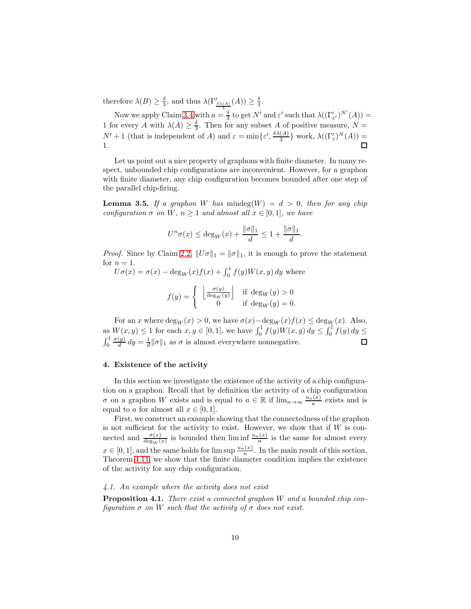therefore  $\lambda(B) \geq \frac{\delta}{3}$ , and thus  $\lambda(\Gamma'_{\frac{\delta \lambda(A)}{A}}(A)) \geq \frac{\delta}{3}$ .

Now we apply Claim [3.4](#page-8-1) with  $a = \frac{3}{3}$  to get N' and  $\varepsilon'$  such that  $\lambda((\Gamma'_{\varepsilon'})^{N'}(A)) =$ 1 for every A with  $\lambda(A) \geq \frac{5}{3}$ . Then for any subset A of positive measure,  $N =$  $N' + 1$  (that is independent of A) and  $\varepsilon = \min\{\varepsilon', \frac{\delta \lambda(A)}{3}\}$  $\frac{(A)}{3}$  work,  $\lambda((\Gamma'_{\varepsilon})^N(A)) =$ 1.  $\Box$ 

Let us point out a nice property of graphons with finite diameter. In many respect, unbounded chip configurations are inconvenient. However, for a graphon with finite diameter, any chip configuration becomes bounded after one step of the parallel chip-firing.

<span id="page-9-2"></span>**Lemma 3.5.** If a graphon W has mindeg $(W) = d > 0$ , then for any chip configuration  $\sigma$  on W,  $n \geq 1$  and almost all  $x \in [0,1]$ , we have

$$
U^n \sigma(x) \le \deg_W(x) + \frac{\|\sigma\|_1}{d} \le 1 + \frac{\|\sigma\|_1}{d}.
$$

*Proof.* Since by Claim [2.2,](#page-4-0)  $||U\sigma||_1 = ||\sigma||_1$ , it is enough to prove the statement for  $n = 1$ .

 $U\sigma(x) = \sigma(x) - \deg_W(x)f(x) + \int_0^1 f(y)W(x, y) dy$  where

$$
f(y) = \begin{cases} \left\lfloor \frac{\sigma(y)}{\deg_W(y)} \right\rfloor & \text{if } \deg_W(y) > 0\\ 0 & \text{if } \deg_W(y) = 0. \end{cases}
$$

For an x where  $\deg_W(x) > 0$ , we have  $\sigma(x) - \deg_W(x)f(x) \leq \deg_W(x)$ . Also, as  $W(x, y) \le 1$  for each  $x, y \in [0, 1]$ , we have  $\int_0^1 f(y)W(x, y) dy \le \int_0^1 f(y) dy \le$  $\int_0^1$  $\sigma(y)$  $\frac{dy}{d} dy = \frac{1}{d} ||\sigma||_1$  as  $\sigma$  is almost everywhere nonnegative.  $\Box$ 

### 4. Existence of the activity

In this section we investigate the existence of the activity of a chip configuration on a graphon. Recall that by definition the activity of a chip configuration  $\sigma$  on a graphon W exists and is equal to  $a \in \mathbb{R}$  if  $\lim_{n\to\infty} \frac{u_n(x)}{n}$  exists and is equal to a for almost all  $x \in [0, 1]$ .

First, we construct an example showing that the connectedness of the graphon is not sufficient for the activity to exist. However, we show that if  $W$  is connected and  $\frac{\sigma(x)}{\deg_W(x)}$  is bounded then  $\liminf \frac{u_n(x)}{n}$  is the same for almost every  $x \in [0, 1]$ , and the same holds for  $\limsup \frac{u_n(x)}{n}$ . In the main result of this section, Theorem [4.11,](#page-19-0) we show that the finite diameter condition implies the existence of the activity for any chip configuration.

# <span id="page-9-1"></span>4.1. An example where the activity does not exist

<span id="page-9-0"></span>**Proposition 4.1.** There exist a connected graphon  $W$  and a bounded chip configuration  $\sigma$  on W such that the activity of  $\sigma$  does not exist.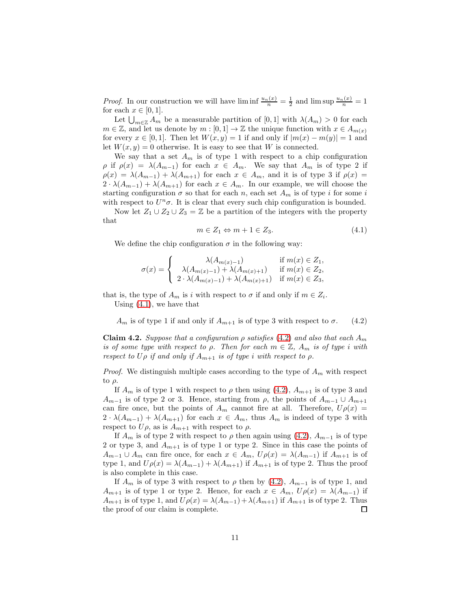*Proof.* In our construction we will have  $\liminf \frac{u_n(x)}{n} = \frac{1}{2}$  and  $\limsup \frac{u_n(x)}{n} = 1$ for each  $x \in [0,1]$ .

Let  $\bigcup_{m\in\mathbb{Z}} A_m$  be a measurable partition of [0, 1] with  $\lambda(A_m) > 0$  for each  $m \in \mathbb{Z}$ , and let us denote by  $m : [0,1] \to \mathbb{Z}$  the unique function with  $x \in A_{m(x)}$ for every  $x \in [0,1]$ . Then let  $W(x, y) = 1$  if and only if  $|m(x) - m(y)| = 1$  and let  $W(x, y) = 0$  otherwise. It is easy to see that W is connected.

We say that a set  $A_m$  is of type 1 with respect to a chip configuration  $\rho$  if  $\rho(x) = \lambda(A_{m-1})$  for each  $x \in A_m$ . We say that  $A_m$  is of type 2 if  $\rho(x) = \lambda(A_{m-1}) + \lambda(A_{m+1})$  for each  $x \in A_m$ , and it is of type 3 if  $\rho(x) =$  $2 \cdot \lambda(A_{m-1}) + \lambda(A_{m+1})$  for each  $x \in A_m$ . In our example, we will choose the starting configuration  $\sigma$  so that for each n, each set  $A_m$  is of type i for some i with respect to  $U^n\sigma$ . It is clear that every such chip configuration is bounded.

Now let  $Z_1 \cup Z_2 \cup Z_3 = \mathbb{Z}$  be a partition of the integers with the property that

<span id="page-10-0"></span>
$$
m \in Z_1 \Leftrightarrow m + 1 \in Z_3. \tag{4.1}
$$

We define the chip configuration  $\sigma$  in the following way:

$$
\sigma(x) = \begin{cases}\n\lambda(A_{m(x)-1}) & \text{if } m(x) \in Z_1, \\
\lambda(A_{m(x)-1}) + \lambda(A_{m(x)+1}) & \text{if } m(x) \in Z_2, \\
2 \cdot \lambda(A_{m(x)-1}) + \lambda(A_{m(x)+1}) & \text{if } m(x) \in Z_3,\n\end{cases}
$$

that is, the type of  $A_m$  is i with respect to  $\sigma$  if and only if  $m \in Z_i$ . Using [\(4.1\)](#page-10-0), we have that

<span id="page-10-1"></span> $A_m$  is of type 1 if and only if  $A_{m+1}$  is of type 3 with respect to  $\sigma$ . (4.2)

<span id="page-10-2"></span>**Claim 4.2.** Suppose that a configuration  $\rho$  satisfies [\(4.2\)](#page-10-1) and also that each  $A_m$ is of some type with respect to  $\rho$ . Then for each  $m \in \mathbb{Z}$ ,  $A_m$  is of type i with respect to  $U\rho$  if and only if  $A_{m+1}$  is of type i with respect to  $\rho$ .

*Proof.* We distinguish multiple cases according to the type of  $A_m$  with respect to  $\rho$ .

If  $A_m$  is of type 1 with respect to  $\rho$  then using [\(4.2\)](#page-10-1),  $A_{m+1}$  is of type 3 and  $A_{m-1}$  is of type 2 or 3. Hence, starting from  $\rho$ , the points of  $A_{m-1} \cup A_{m+1}$ can fire once, but the points of  $A_m$  cannot fire at all. Therefore,  $U \rho(x) =$  $2 \cdot \lambda(A_{m-1}) + \lambda(A_{m+1})$  for each  $x \in A_m$ , thus  $A_m$  is indeed of type 3 with respect to  $U\rho$ , as is  $A_{m+1}$  with respect to  $\rho$ .

If  $A_m$  is of type 2 with respect to  $\rho$  then again using [\(4.2\)](#page-10-1),  $A_{m-1}$  is of type 2 or type 3, and  $A_{m+1}$  is of type 1 or type 2. Since in this case the points of  $A_{m-1} \cup A_m$  can fire once, for each  $x \in A_m$ ,  $U\rho(x) = \lambda(A_{m-1})$  if  $A_{m+1}$  is of type 1, and  $U\rho(x) = \lambda(A_{m-1}) + \lambda(A_{m+1})$  if  $A_{m+1}$  is of type 2. Thus the proof is also complete in this case.

If  $A_m$  is of type 3 with respect to  $\rho$  then by [\(4.2\)](#page-10-1),  $A_{m-1}$  is of type 1, and  $A_{m+1}$  is of type 1 or type 2. Hence, for each  $x \in A_m$ ,  $U\rho(x) = \lambda(A_{m-1})$  if  $A_{m+1}$  is of type 1, and  $U\rho(x) = \lambda(A_{m-1}) + \lambda(A_{m+1})$  if  $A_{m+1}$  is of type 2. Thus the proof of our claim is complete. the proof of our claim is complete.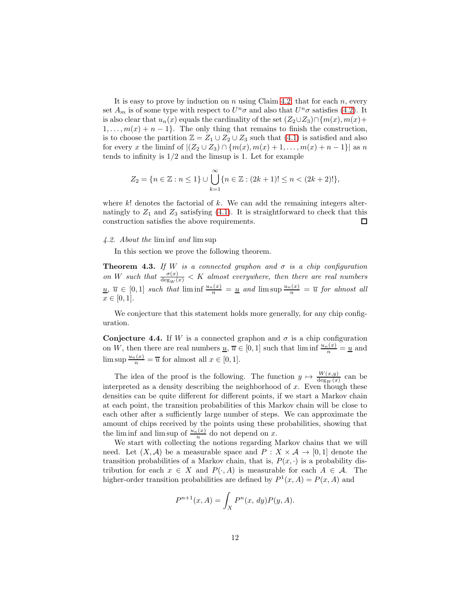It is easy to prove by induction on  $n$  using Claim [4.2,](#page-10-2) that for each  $n$ , every set  $A_m$  is of some type with respect to  $U^n\sigma$  and also that  $U^n\sigma$  satisfies [\(4.2\)](#page-10-1). It is also clear that  $u_n(x)$  equals the cardinality of the set  $(Z_2\cup Z_3)\cap \{m(x), m(x)+\}$  $1, \ldots, m(x) + n - 1$ . The only thing that remains to finish the construction, is to choose the partition  $\mathbb{Z} = Z_1 \cup Z_2 \cup Z_3$  such that  $(4.1)$  is satisfied and also for every x the liminf of  $|(Z_2 \cup Z_3) \cap \{m(x), m(x) + 1, \ldots, m(x) + n - 1\}|$  as n tends to infinity is  $1/2$  and the limsup is 1. Let for example

$$
Z_2 = \{n \in \mathbb{Z} : n \le 1\} \cup \bigcup_{k=1}^{\infty} \{n \in \mathbb{Z} : (2k+1)! \le n < (2k+2)!\},\
$$

where  $k!$  denotes the factorial of  $k$ . We can add the remaining integers alternatingly to  $Z_1$  and  $Z_3$  satisfying [\(4.1\)](#page-10-0). It is straightforward to check that this construction satisfies the above requirements. 口

## 4.2. About the lim inf and lim sup

In this section we prove the following theorem.

<span id="page-11-0"></span>**Theorem 4.3.** If W is a connected graphon and  $\sigma$  is a chip configuration on W such that  $\frac{\sigma(x)}{\deg_W(x)} < K$  almost everywhere, then there are real numbers  $\underline{u}, \overline{u} \in [0,1]$  such that  $\liminf \frac{u_n(x)}{n} = \underline{u}$  and  $\limsup \frac{u_n(x)}{n} = \overline{u}$  for almost all  $x \in [0, 1].$ 

We conjecture that this statement holds more generally, for any chip configuration.

**Conjecture 4.4.** If W is a connected graphon and  $\sigma$  is a chip configuration on W, then there are real numbers  $\underline{u}, \overline{u} \in [0,1]$  such that  $\liminf \frac{u_n(x)}{n} = \underline{u}$  and  $\limsup \frac{u_n(x)}{n} = \overline{u}$  for almost all  $x \in [0, 1]$ .

The idea of the proof is the following. The function  $y \mapsto \frac{W(x,y)}{\deg_W(x)}$  can be interpreted as a density describing the neighborhood of  $x$ . Even though these densities can be quite different for different points, if we start a Markov chain at each point, the transition probabilities of this Markov chain will be close to each other after a sufficiently large number of steps. We can approximate the amount of chips received by the points using these probabilities, showing that the lim inf and lim sup of  $\frac{u_n(x)}{n}$  do not depend on x.

We start with collecting the notions regarding Markov chains that we will need. Let  $(X, \mathcal{A})$  be a measurable space and  $P: X \times \mathcal{A} \rightarrow [0, 1]$  denote the transition probabilities of a Markov chain, that is,  $P(x, \cdot)$  is a probability distribution for each  $x \in X$  and  $P(\cdot, A)$  is measurable for each  $A \in \mathcal{A}$ . The higher-order transition probabilities are defined by  $P^1(x, A) = P(x, A)$  and

$$
P^{n+1}(x,A) = \int_X P^n(x, dy) P(y, A).
$$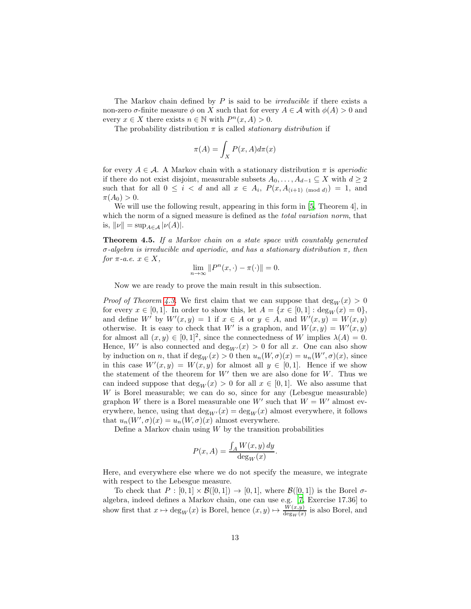The Markov chain defined by  $P$  is said to be *irreducible* if there exists a non-zero  $\sigma$ -finite measure  $\phi$  on X such that for every  $A \in \mathcal{A}$  with  $\phi(A) > 0$  and every  $x \in X$  there exists  $n \in \mathbb{N}$  with  $P^n(x, A) > 0$ .

The probability distribution  $\pi$  is called *stationary distribution* if

$$
\pi(A) = \int_X P(x, A) d\pi(x)
$$

for every  $A \in \mathcal{A}$ . A Markov chain with a stationary distribution  $\pi$  is aperiodic if there do not exist disjoint, measurable subsets  $A_0, \ldots, A_{d-1} \subseteq X$  with  $d \geq 2$ such that for all  $0 \leq i < d$  and all  $x \in A_i$ ,  $P(x, A_{i+1) \pmod{d}} = 1$ , and  $\pi(A_0) > 0.$ 

We will use the following result, appearing in this form in [5, Theorem 4], in which the norm of a signed measure is defined as the *total variation norm*, that is,  $\|\nu\| = \sup_{A \in \mathcal{A}} |\nu(A)|$ .

<span id="page-12-0"></span>Theorem 4.5. If a Markov chain on a state space with countably generated σ-algebra is irreducible and aperiodic, and has a stationary distribution π, then for  $\pi$ -a.e.  $x \in X$ ,

$$
\lim_{n \to \infty} ||P^n(x, \cdot) - \pi(\cdot)|| = 0.
$$

Now we are ready to prove the main result in this subsection.

*Proof of Theorem [4.3.](#page-11-0)* We first claim that we can suppose that  $deg_W(x) > 0$ for every  $x \in [0,1]$ . In order to show this, let  $A = \{x \in [0,1] : \text{deg}_W(x) = 0\},$ and define W' by  $W'(x,y) = 1$  if  $x \in A$  or  $y \in A$ , and  $W'(x,y) = W(x,y)$ otherwise. It is easy to check that W' is a graphon, and  $W(x, y) = W'(x, y)$ for almost all  $(x, y) \in [0, 1]^2$ , since the connectedness of W implies  $\lambda(A) = 0$ . Hence,  $W'$  is also connected and  $\deg_{W'}(x) > 0$  for all x. One can also show by induction on *n*, that if  $deg_W(x) > 0$  then  $u_n(W, \sigma)(x) = u_n(W', \sigma)(x)$ , since in this case  $W'(x, y) = W(x, y)$  for almost all  $y \in [0, 1]$ . Hence if we show the statement of the theorem for  $W'$  then we are also done for  $W$ . Thus we can indeed suppose that  $deg_W(x) > 0$  for all  $x \in [0,1]$ . We also assume that  $W$  is Borel measurable; we can do so, since for any (Lebesgue measurable) graphon W there is a Borel measurable one  $W'$  such that  $W = W'$  almost everywhere, hence, using that  $\deg_{W'}(x) = \deg_W(x)$  almost everywhere, it follows that  $u_n(W', \sigma)(x) = u_n(W, \sigma)(x)$  almost everywhere.

Define a Markov chain using  $W$  by the transition probabilities

$$
P(x, A) = \frac{\int_A W(x, y) \, dy}{\deg_W(x)}.
$$

Here, and everywhere else where we do not specify the measure, we integrate with respect to the Lebesgue measure.

To check that  $P : [0,1] \times \mathcal{B}([0,1]) \rightarrow [0,1]$ , where  $\mathcal{B}([0,1])$  is the Borel  $\sigma$ algebra, indeed defines a Markov chain, one can use e.g. [\[7,](#page-44-4) Exercise 17.36] to show first that  $x \mapsto \deg_W(x)$  is Borel, hence  $(x, y) \mapsto \frac{W(x, y)}{\deg_W(x)}$  is also Borel, and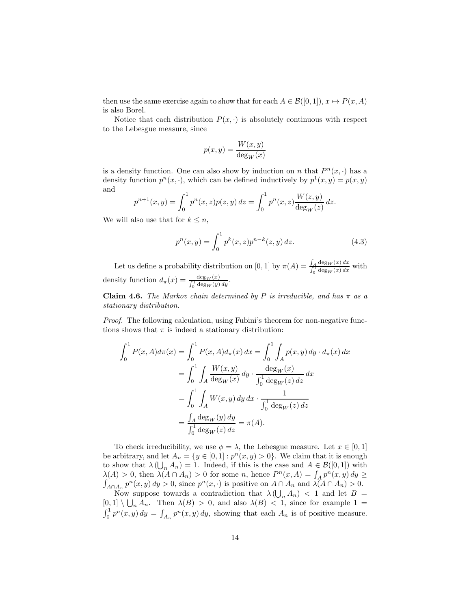then use the same exercise again to show that for each  $A \in \mathcal{B}([0,1])$ ,  $x \mapsto P(x, A)$ is also Borel.

Notice that each distribution  $P(x, \cdot)$  is absolutely continuous with respect to the Lebesgue measure, since

$$
p(x, y) = \frac{W(x, y)}{\deg_W(x)}
$$

is a density function. One can also show by induction on n that  $P<sup>n</sup>(x, \cdot)$  has a density function  $p^{n}(x, \cdot)$ , which can be defined inductively by  $p^{1}(x, y) = p(x, y)$ and

$$
p^{n+1}(x,y) = \int_0^1 p^n(x,z)p(z,y) dz = \int_0^1 p^n(x,z) \frac{W(z,y)}{\deg_W(z)} dz.
$$

We will also use that for  $k \leq n$ ,

$$
p^{n}(x,y) = \int_{0}^{1} p^{k}(x,z)p^{n-k}(z,y) dz.
$$
 (4.3)

Let us define a probability distribution on [0, 1] by  $\pi(A) = \frac{\int_A \deg_W(x) dx}{\int_A^1 \deg_W(x) dx}$  $\frac{\int_A \deg_W(x) dx}{\int_0^1 \deg_W(x) dx}$  with density function  $d_{\pi}(x) = \frac{\deg_W(x)}{\int_0^1 \deg_W(y) dy}$ .

<span id="page-13-0"></span>Claim 4.6. The Markov chain determined by P is irreducible, and has  $\pi$  as a stationary distribution.

*Proof.* The following calculation, using Fubini's theorem for non-negative functions shows that  $\pi$  is indeed a stationary distribution:

$$
\int_0^1 P(x, A)d\pi(x) = \int_0^1 P(x, A)d\pi(x) dx = \int_0^1 \int_A p(x, y) dy \cdot d\pi(x) dx
$$
  
= 
$$
\int_0^1 \int_A \frac{W(x, y)}{\deg_W(x)} dy \cdot \frac{\deg_W(x)}{\int_0^1 \deg_W(x) dx} dx
$$
  
= 
$$
\int_0^1 \int_A W(x, y) dy dx \cdot \frac{1}{\int_0^1 \deg_W(x) dx}
$$
  
= 
$$
\frac{\int_A \deg_W(y) dy}{\int_0^1 \deg_W(x) dx} = \pi(A).
$$

To check irreducibility, we use  $\phi = \lambda$ , the Lebesgue measure. Let  $x \in [0, 1]$ be arbitrary, and let  $A_n = \{y \in [0, 1] : p^n(x, y) > 0\}$ . We claim that it is enough to show that  $\lambda\left(\bigcup_n A_n\right) = 1$ . Indeed, if this is the case and  $A \in \mathcal{B}([0,1])$  with  $\lambda(A) > 0$ , then  $\lambda(A \cap A_n) > 0$  for some n, hence  $P^n(x, A) = \int_A p^n(x, y) dy \ge$  $\int_{A \cap A_n} p^n(x, y) dy > 0$ , since  $p^n(x, \cdot)$  is positive on  $A \cap A_n$  and  $\lambda(A \cap A_n) > 0$ . Now suppose towards a contradiction that  $\lambda(\bigcup_n A_n)$  < 1 and let  $B =$  $[0, 1] \setminus \bigcup_n A_n$ . Then  $\lambda(B) > 0$ , and also  $\lambda(B) < 1$ , since for example 1 =  $\int_0^1 p^n(x, y) dy = \int_{A_n} p^n(x, y) dy$ , showing that each  $A_n$  is of positive measure.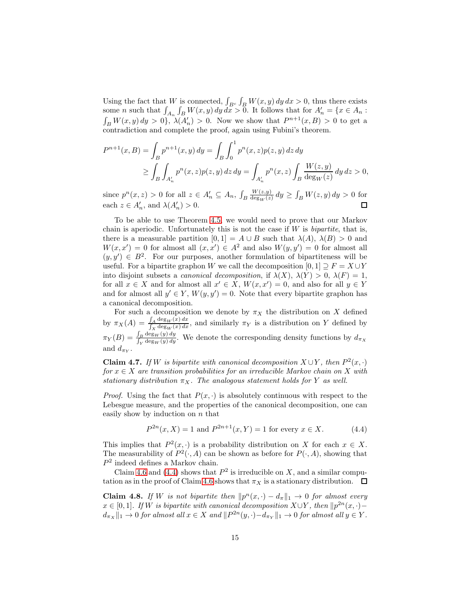Using the fact that W is connected,  $\int_{B^c} \int_B W(x, y) dy dx > 0$ , thus there exists some *n* such that  $\int_{A_n} \int_B W(x, y) dy dx > 0$ . It follows that for  $A'_n = \{x \in A_n :$  $\int_B W(x, y) dy > 0$ ,  $\lambda(A'_n) > 0$ . Now we show that  $P^{n+1}(x, B) > 0$  to get a contradiction and complete the proof, again using Fubini's theorem.

$$
P^{n+1}(x, B) = \int_{B} p^{n+1}(x, y) dy = \int_{B} \int_{0}^{1} p^{n}(x, z) p(z, y) dz dy
$$
  
\n
$$
\geq \int_{B} \int_{A'_{n}} p^{n}(x, z) p(z, y) dz dy = \int_{A'_{n}} p^{n}(x, z) \int_{B} \frac{W(z, y)}{\deg_{W}(z)} dy dz > 0,
$$

 $W(z,y)$ since  $p^{n}(x, z) > 0$  for all  $z \in A'_{n} \subseteq A_{n}$ ,  $\int_{B}$  $\frac{W(z,y)}{\deg_W(z)} dy \geq \int_B W(z,y) dy > 0$  for each  $z \in A'_n$ , and  $\lambda(A'_n) > 0$ .  $\Box$ 

To be able to use Theorem [4.5,](#page-12-0) we would need to prove that our Markov chain is aperiodic. Unfortunately this is not the case if  $W$  is *bipartite*, that is, there is a measurable partition  $[0, 1] = A \cup B$  such that  $\lambda(A)$ ,  $\lambda(B) > 0$  and  $W(x, x') = 0$  for almost all  $(x, x') \in A^2$  and also  $W(y, y') = 0$  for almost all  $(y, y') \in B^2$ . For our purposes, another formulation of bipartiteness will be useful. For a bipartite graphon W we call the decomposition  $[0, 1] \supseteq F = X \cup Y$ into disjoint subsets a *canonical decomposition*, if  $\lambda(X)$ ,  $\lambda(Y) > 0$ ,  $\lambda(F) = 1$ , for all  $x \in X$  and for almost all  $x' \in X$ ,  $W(x, x') = 0$ , and also for all  $y \in Y$ and for almost all  $y' \in Y$ ,  $W(y, y') = 0$ . Note that every bipartite graphon has a canonical decomposition.

For such a decomposition we denote by  $\pi_X$  the distribution on X defined by  $\pi_X(A) = \frac{\int_A \deg_W(x) dx}{\int_X \deg_W(x) dx}$ , and similarly  $\pi_Y$  is a distribution on Y defined by  $\pi_Y(B) = \frac{\int_B \deg_W(y) dy}{\int_Y \deg_W(y) dy}$ . We denote the corresponding density functions by  $d_{\pi_X}$ and  $d_{\pi_Y}$ .

<span id="page-14-1"></span>**Claim 4.7.** If W is bipartite with canonical decomposition  $X \cup Y$ , then  $P^2(x, \cdot)$ for  $x \in X$  are transition probabilities for an irreducible Markov chain on X with stationary distribution  $\pi_X$ . The analogous statement holds for Y as well.

*Proof.* Using the fact that  $P(x, \cdot)$  is absolutely continuous with respect to the Lebesgue measure, and the properties of the canonical decomposition, one can easily show by induction on  $n$  that

<span id="page-14-0"></span>
$$
P^{2n}(x, X) = 1 \text{ and } P^{2n+1}(x, Y) = 1 \text{ for every } x \in X. \tag{4.4}
$$

This implies that  $P^2(x, \cdot)$  is a probability distribution on X for each  $x \in X$ . The measurability of  $P^2(\cdot, A)$  can be shown as before for  $P(\cdot, A)$ , showing that  $P<sup>2</sup>$  indeed defines a Markov chain.

Claim [4.6](#page-13-0) and [\(4.4\)](#page-14-0) shows that  $P^2$  is irreducible on X, and a similar compu-tation as in the proof of Claim [4.6](#page-13-0) shows that  $\pi_X$  is a stationary distribution.  $\Box$ 

<span id="page-14-2"></span>**Claim 4.8.** If W is not bipartite then  $||p^n(x, \cdot) - d_\pi||_1 \to 0$  for almost every  $x \in [0,1]$ . If W is bipartite with canonical decomposition  $X \cup Y$ , then  $||p^{2n}(x, \cdot)$  $d_{\pi_X} \|_1 \to 0$  for almost all  $x \in X$  and  $||P^{2n}(y, \cdot) - d_{\pi_Y}||_1 \to 0$  for almost all  $y \in Y$ .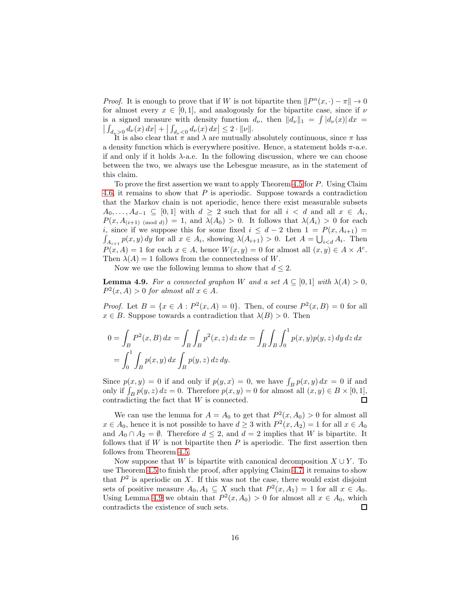*Proof.* It is enough to prove that if W is not bipartite then  $||P^n(x, \cdot) - \pi|| \to 0$ for almost every  $x \in [0,1]$ , and analogously for the bipartite case, since if  $\nu$ is a signed measure with density function  $d_{\nu}$ , then  $||d_{\nu}||_1 = \int |d_{\nu}(x)| dx =$  $\left| \int_{d_{\nu} > 0} d_{\nu}(x) dx \right| + \left| \int_{d_{\nu} < 0} d_{\nu}(x) dx \right| \leq 2 \cdot ||\nu||.$ 

It is also clear that  $\pi$  and  $\lambda$  are mutually absolutely continuous, since  $\pi$  has a density function which is everywhere positive. Hence, a statement holds  $\pi$ -a.e. if and only if it holds  $\lambda$ -a.e. In the following discussion, where we can choose between the two, we always use the Lebesgue measure, as in the statement of this claim.

To prove the first assertion we want to apply Theorem [4.5](#page-12-0) for P. Using Claim [4.6,](#page-13-0) it remains to show that  $P$  is aperiodic. Suppose towards a contradiction that the Markov chain is not aperiodic, hence there exist measurable subsets  $A_0, \ldots, A_{d-1} \subseteq [0,1]$  with  $d \geq 2$  such that for all  $i < d$  and all  $x \in A_i$ ,  $P(x, A_{(i+1) \pmod{d}}) = 1$ , and  $\lambda(A_0) > 0$ . It follows that  $\lambda(A_i) > 0$  for each i, since if we suppose this for some fixed  $i \leq d-2$  then  $1 = P(x, A_{i+1}) =$  $\int_{A_{i+1}} p(x, y) dy$  for all  $x \in A_i$ , showing  $\lambda(A_{i+1}) > 0$ . Let  $A = \bigcup_{i < d} A_i$ . Then  $P(x, A) = 1$  for each  $x \in A$ , hence  $W(x, y) = 0$  for almost all  $(x, y) \in A \times A^c$ . Then  $\lambda(A) = 1$  follows from the connectedness of W.

Now we use the following lemma to show that  $d \leq 2$ .

<span id="page-15-0"></span>**Lemma 4.9.** For a connected graphon W and a set  $A \subseteq [0,1]$  with  $\lambda(A) > 0$ ,  $P<sup>2</sup>(x, A) > 0$  for almost all  $x \in A$ .

*Proof.* Let  $B = \{x \in A : P^2(x, A) = 0\}$ . Then, of course  $P^2(x, B) = 0$  for all  $x \in B$ . Suppose towards a contradiction that  $\lambda(B) > 0$ . Then

$$
0 = \int_B P^2(x, B) dx = \int_B \int_B p^2(x, z) dz dx = \int_B \int_B \int_0^1 p(x, y) p(y, z) dy dz dx
$$
  
= 
$$
\int_0^1 \int_B p(x, y) dx \int_B p(y, z) dz dy.
$$

Since  $p(x, y) = 0$  if and only if  $p(y, x) = 0$ , we have  $\int_B p(x, y) dx = 0$  if and only if  $\int_B p(y, z) dz = 0$ . Therefore  $p(x, y) = 0$  for almost all  $(x, y) \in B \times [0, 1]$ , contradicting the fact that W is connected.

We can use the lemma for  $A = A_0$  to get that  $P^2(x, A_0) > 0$  for almost all  $x \in A_0$ , hence it is not possible to have  $d \geq 3$  with  $P^2(x, A_2) = 1$  for all  $x \in A_0$ and  $A_0 \cap A_2 = \emptyset$ . Therefore  $d \leq 2$ , and  $d = 2$  implies that W is bipartite. It follows that if  $W$  is not bipartite then  $P$  is aperiodic. The first assertion then follows from Theorem [4.5.](#page-12-0)

Now suppose that W is bipartite with canonical decomposition  $X \cup Y$ . To use Theorem [4.5](#page-12-0) to finish the proof, after applying Claim [4.7,](#page-14-1) it remains to show that  $P^2$  is aperiodic on X. If this was not the case, there would exist disjoint sets of positive measure  $A_0, A_1 \subseteq X$  such that  $P^2(x, A_1) = 1$  for all  $x \in A_0$ . Using Lemma [4.9](#page-15-0) we obtain that  $P^2(x, A_0) > 0$  for almost all  $x \in A_0$ , which contradicts the existence of such sets.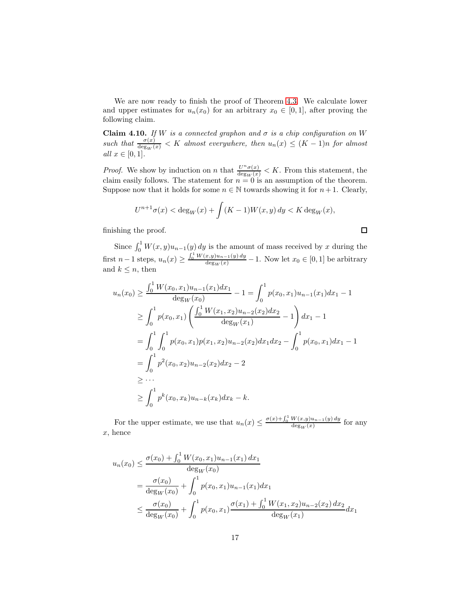We are now ready to finish the proof of Theorem [4.3.](#page-11-0) We calculate lower and upper estimates for  $u_n(x_0)$  for an arbitrary  $x_0 \in [0,1]$ , after proving the following claim.

<span id="page-16-0"></span>**Claim 4.10.** If W is a connected graphon and  $\sigma$  is a chip configuration on W such that  $\frac{\sigma(x)}{\deg_W(x)} < K$  almost everywhere, then  $u_n(x) \le (K-1)n$  for almost all  $x \in [0,1]$ .

*Proof.* We show by induction on n that  $\frac{U^n \sigma(x)}{\deg_W(x)} < K$ . From this statement, the claim easily follows. The statement for  $n = 0$  is an assumption of the theorem. Suppose now that it holds for some  $n \in \mathbb{N}$  towards showing it for  $n+1$ . Clearly,

$$
U^{n+1}\sigma(x) < \deg_W(x) + \int (K-1)W(x,y) \, dy < K \deg_W(x),
$$

finishing the proof.

Since  $\int_0^1 W(x, y)u_{n-1}(y) dy$  is the amount of mass received by x during the first  $n-1$  steps,  $u_n(x) \geq \frac{\int_0^1 W(x,y)u_{n-1}(y) dy}{\deg_W(x)} - 1$ . Now let  $x_0 \in [0,1]$  be arbitrary and  $k \leq n$ , then

$$
u_n(x_0) \ge \frac{\int_0^1 W(x_0, x_1) u_{n-1}(x_1) dx_1}{\deg_W(x_0)} - 1 = \int_0^1 p(x_0, x_1) u_{n-1}(x_1) dx_1 - 1
$$
  
\n
$$
\ge \int_0^1 p(x_0, x_1) \left( \frac{\int_0^1 W(x_1, x_2) u_{n-2}(x_2) dx_2}{\deg_W(x_1)} - 1 \right) dx_1 - 1
$$
  
\n
$$
= \int_0^1 \int_0^1 p(x_0, x_1) p(x_1, x_2) u_{n-2}(x_2) dx_1 dx_2 - \int_0^1 p(x_0, x_1) dx_1 - 1
$$
  
\n
$$
= \int_0^1 p^2(x_0, x_2) u_{n-2}(x_2) dx_2 - 2
$$
  
\n
$$
\ge \dots
$$
  
\n
$$
\ge \int_0^1 p^k(x_0, x_k) u_{n-k}(x_k) dx_k - k.
$$

For the upper estimate, we use that  $u_n(x) \leq \frac{\sigma(x) + \int_0^1 W(x,y)u_{n-1}(y) dy}{\deg_W(x)}$  $\frac{\log_W(x, y) \, a_n = 1(y) \, a_y}{\log_W(x)}$  for any x, hence

$$
u_n(x_0) \le \frac{\sigma(x_0) + \int_0^1 W(x_0, x_1) u_{n-1}(x_1) dx_1}{\deg_W(x_0)}
$$
  
= 
$$
\frac{\sigma(x_0)}{\deg_W(x_0)} + \int_0^1 p(x_0, x_1) u_{n-1}(x_1) dx_1
$$
  

$$
\le \frac{\sigma(x_0)}{\deg_W(x_0)} + \int_0^1 p(x_0, x_1) \frac{\sigma(x_1) + \int_0^1 W(x_1, x_2) u_{n-2}(x_2) dx_2}{\deg_W(x_1)} dx_1
$$

 $\Box$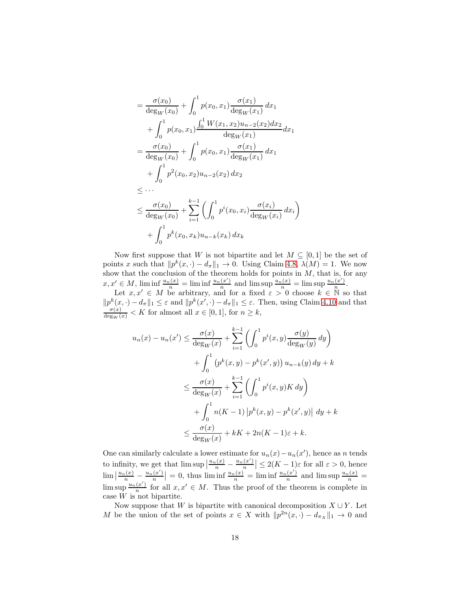$$
= \frac{\sigma(x_0)}{\deg_W(x_0)} + \int_0^1 p(x_0, x_1) \frac{\sigma(x_1)}{\deg_W(x_1)} dx_1
$$
  
+ 
$$
\int_0^1 p(x_0, x_1) \frac{\int_0^1 W(x_1, x_2) u_{n-2}(x_2) dx_2}{\deg_W(x_1)} dx_1
$$
  
= 
$$
\frac{\sigma(x_0)}{\deg_W(x_0)} + \int_0^1 p(x_0, x_1) \frac{\sigma(x_1)}{\deg_W(x_1)} dx_1
$$
  
+ 
$$
\int_0^1 p^2(x_0, x_2) u_{n-2}(x_2) dx_2
$$
  
\$\leq \cdots\$  
\$\leq \frac{\sigma(x\_0)}{\deg\_W(x\_0)} + \sum\_{i=1}^{k-1} \left( \int\_0^1 p^i(x\_0, x\_i) \frac{\sigma(x\_i)}{\deg\_W(x\_i)} dx\_i \right) \$  
+ \int\_0^1 p^k(x\_0, x\_k) u\_{n-k}(x\_k) dx\_k\$

Now first suppose that W is not bipartite and let  $M \subseteq [0,1]$  be the set of points x such that  $||p^k(x, \cdot) - d_{\pi}||_1 \to 0$ . Using Claim [4.8,](#page-14-2)  $\lambda(M) = 1$ . We now show that the conclusion of the theorem holds for points in  $M$ , that is, for any  $x, x' \in M$ ,  $\liminf_{n \to \infty} \frac{u_n(x)}{n} = \liminf_{n \to \infty} \frac{u_n(x')}{n}$  $\frac{(x')}{n}$  and  $\limsup \frac{u_n(x)}{n} = \limsup \frac{u_n(x')}{n}$  $\frac{(x)}{n}$ .

Let  $x, x' \in M$  be arbitrary, and for a fixed  $\varepsilon > 0$  choose  $k \in \mathbb{N}$  so that  $||p^k(x, \cdot) - d_\pi||_1 \leq \varepsilon$  and  $||p^k(x', \cdot) - d_\pi||_1 \leq \varepsilon$ . Then, using Claim [4.10](#page-16-0) and that  $\frac{\sigma(x)}{\deg_W(x)} < K$  for almost all  $x \in [0, 1]$ , for  $n \geq k$ ,

$$
u_n(x) - u_n(x') \le \frac{\sigma(x)}{\deg_W(x)} + \sum_{i=1}^{k-1} \left( \int_0^1 p^i(x, y) \frac{\sigma(y)}{\deg_W(y)} dy \right) + \int_0^1 \left( p^k(x, y) - p^k(x', y) \right) u_{n-k}(y) dy + k \le \frac{\sigma(x)}{\deg_W(x)} + \sum_{i=1}^{k-1} \left( \int_0^1 p^i(x, y) K dy \right) + \int_0^1 n(K-1) \left| p^k(x, y) - p^k(x', y) \right| dy + k \le \frac{\sigma(x)}{\deg_W(x)} + kK + 2n(K-1)\varepsilon + k.
$$

One can similarly calculate a lower estimate for  $u_n(x) - u_n(x')$ , hence as n tends to infinity, we get that  $\limsup \left| \frac{u_n(x)}{n} - \frac{u_n(x')}{n} \right|$  $\left|\frac{x'}{n}\right| \leq 2(K-1)\varepsilon$  for all  $\varepsilon > 0$ , hence  $\lim_{n} \left| \frac{u_n(x)}{n} - \frac{u_n(x')}{n} \right|$  $\left|\frac{x'}{n}\right| = 0$ , thus  $\liminf \frac{u_n(x)}{n} = \liminf \frac{u_n(x')}{n}$  $\frac{(x')}{n}$  and  $\limsup \frac{u_n(x)}{n}$  =  $\limsup \frac{u_n(x')}{n}$  $\frac{x}{n}$  for all  $x, x' \in M$ . Thus the proof of the theorem is complete in case  $W$  is not bipartite.

Now suppose that W is bipartite with canonical decomposition  $X \cup Y$ . Let M be the union of the set of points  $x \in X$  with  $||p^{2n}(x, \cdot) - d_{\pi_X}||_1 \to 0$  and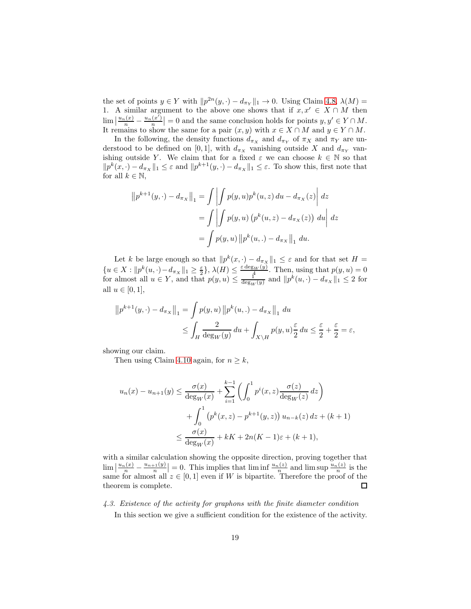the set of points  $y \in Y$  with  $||p^{2n}(y, \cdot) - d_{\pi_Y}||_1 \to 0$ . Using Claim [4.8,](#page-14-2)  $\lambda(M) =$ 1. A similar argument to the above one shows that if  $x, x' \in X \cap M$  then  $\lim_{n} \left| \frac{u_n(x)}{n} - \frac{u_n(x')}{n} \right|$  $\left|\frac{x'}{n}\right| = 0$  and the same conclusion holds for points  $y, y' \in Y \cap M$ . It remains to show the same for a pair  $(x, y)$  with  $x \in X \cap M$  and  $y \in Y \cap M$ .

In the following, the density functions  $d_{\pi_X}$  and  $d_{\pi_Y}$  of  $\pi_X$  and  $\pi_Y$  are understood to be defined on [0,1], with  $d_{\pi_X}$  vanishing outside X and  $d_{\pi_Y}$  vanishing outside Y. We claim that for a fixed  $\varepsilon$  we can choose  $k \in \mathbb{N}$  so that  $||p^k(x, \cdot) - d_{\pi_X}||_1 \leq \varepsilon$  and  $||p^{k+1}(y, \cdot) - d_{\pi_X}||_1 \leq \varepsilon$ . To show this, first note that for all  $k \in \mathbb{N}$ ,

$$
||p^{k+1}(y, \cdot) - d_{\pi_X}||_1 = \int \left| \int p(y, u)p^k(u, z) du - d_{\pi_X}(z) \right| dz
$$
  
= 
$$
\int \left| \int p(y, u) (p^k(u, z) - d_{\pi_X}(z)) du \right| dz
$$
  
= 
$$
\int p(y, u) ||p^k(u, \cdot) - d_{\pi_X}||_1 du.
$$

Let k be large enough so that  $||p^k(x, \cdot) - d_{\pi_X}||_1 \leq \varepsilon$  and for that set  $H =$  ${u \in X : \|p^k(u, \cdot) - d_{\pi_X}\|_1 \geq \frac{\varepsilon}{2}}, \lambda(H) \leq \frac{\varepsilon \deg_W(y)}{4}.$  Then, using that  $p(y, u) = 0$ for almost all  $u \in Y$ , and that  $p(y, u) \leq \frac{1}{\deg_W(y)}$  and  $||p^k(u, \cdot) - d_{\pi_X}||_1 \leq 2$  for all  $u \in [0,1]$ ,

$$
||p^{k+1}(y, \cdot) - d_{\pi_X}||_1 = \int p(y, u) ||p^k(u, \cdot) - d_{\pi_X}||_1 du
$$
  

$$
\leq \int_H \frac{2}{\deg_W(y)} du + \int_{X \setminus H} p(y, u) \frac{\varepsilon}{2} du \leq \frac{\varepsilon}{2} + \frac{\varepsilon}{2} = \varepsilon,
$$

showing our claim.

Then using Claim [4.10](#page-16-0) again, for  $n \geq k$ ,

$$
u_n(x) - u_{n+1}(y) \le \frac{\sigma(x)}{\deg_W(x)} + \sum_{i=1}^{k-1} \left( \int_0^1 p^i(x, z) \frac{\sigma(z)}{\deg_W(z)} dz \right) + \int_0^1 \left( p^k(x, z) - p^{k+1}(y, z) \right) u_{n-k}(z) dz + (k+1) \le \frac{\sigma(x)}{\deg_W(x)} + kK + 2n(K-1)\varepsilon + (k+1),
$$

with a similar calculation showing the opposite direction, proving together that  $\lim_{n \to \infty} \left| \frac{u_n(x)}{n} - \frac{u_{n+1}(y)}{n} \right| = 0$ . This implies that  $\liminf_{n \to \infty} \frac{u_n(z)}{n}$  and  $\limsup_{n \to \infty} \frac{u_n(z)}{n}$  is the same for almost all  $z \in [0,1]$  even if W is bipartite. Therefore the proof of the theorem is complete.

<span id="page-18-0"></span>4.3. Existence of the activity for graphons with the finite diameter condition In this section we give a sufficient condition for the existence of the activity.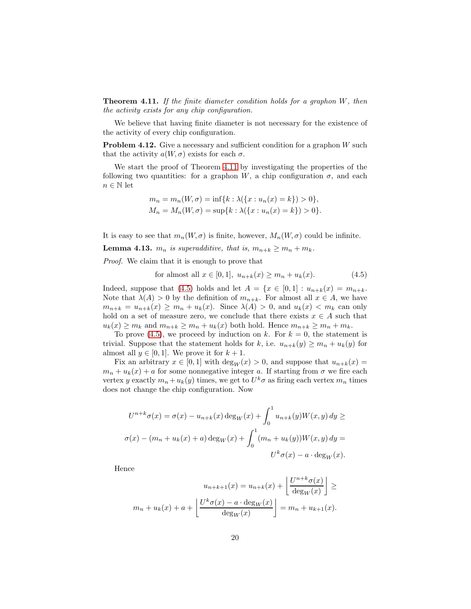<span id="page-19-0"></span>**Theorem 4.11.** If the finite diameter condition holds for a graphon  $W$ , then the activity exists for any chip configuration.

We believe that having finite diameter is not necessary for the existence of the activity of every chip configuration.

**Problem 4.12.** Give a necessary and sufficient condition for a graphon W such that the activity  $a(W, \sigma)$  exists for each  $\sigma$ .

We start the proof of Theorem [4.11](#page-19-0) by investigating the properties of the following two quantities: for a graphon W, a chip configuration  $\sigma$ , and each  $n\in\mathbb{N}$ let

$$
m_n = m_n(W, \sigma) = \inf\{k : \lambda(\{x : u_n(x) = k\}) > 0\},\newline M_n = M_n(W, \sigma) = \sup\{k : \lambda(\{x : u_n(x) = k\}) > 0\}.
$$

It is easy to see that  $m_n(W, \sigma)$  is finite, however,  $M_n(W, \sigma)$  could be infinite.

<span id="page-19-2"></span>**Lemma 4.13.**  $m_n$  is superadditive, that is,  $m_{n+k} \ge m_n + m_k$ .

Proof. We claim that it is enough to prove that

<span id="page-19-1"></span>for almost all 
$$
x \in [0, 1]
$$
,  $u_{n+k}(x) \ge m_n + u_k(x)$ . (4.5)

Indeed, suppose that [\(4.5\)](#page-19-1) holds and let  $A = \{x \in [0,1]: u_{n+k}(x) = m_{n+k}\}.$ Note that  $\lambda(A) > 0$  by the definition of  $m_{n+k}$ . For almost all  $x \in A$ , we have  $m_{n+k} = u_{n+k}(x) \geq m_n + u_k(x)$ . Since  $\lambda(A) > 0$ , and  $u_k(x) < m_k$  can only hold on a set of measure zero, we conclude that there exists  $x \in A$  such that  $u_k(x) \geq m_k$  and  $m_{n+k} \geq m_n + u_k(x)$  both hold. Hence  $m_{n+k} \geq m_n + m_k$ .

To prove [\(4.5\)](#page-19-1), we proceed by induction on k. For  $k = 0$ , the statement is trivial. Suppose that the statement holds for k, i.e.  $u_{n+k}(y) \geq m_n + u_k(y)$  for almost all  $y \in [0, 1]$ . We prove it for  $k + 1$ .

Fix an arbitrary  $x \in [0,1]$  with  $\deg_W(x) > 0$ , and suppose that  $u_{n+k}(x) =$  $m_n + u_k(x) + a$  for some nonnegative integer a. If starting from  $\sigma$  we fire each vertex y exactly  $m_n + u_k(y)$  times, we get to  $U^k \sigma$  as firing each vertex  $m_n$  times does not change the chip configuration. Now

$$
U^{n+k}\sigma(x) = \sigma(x) - u_{n+k}(x) \deg_W(x) + \int_0^1 u_{n+k}(y)W(x,y) dy \ge
$$
  

$$
\sigma(x) - (m_n + u_k(x) + a) \deg_W(x) + \int_0^1 (m_n + u_k(y))W(x,y) dy =
$$
  

$$
U^k \sigma(x) - a \cdot \deg_W(x).
$$

Hence

$$
u_{n+k+1}(x) = u_{n+k}(x) + \left\lfloor \frac{U^{n+k}\sigma(x)}{\deg_W(x)} \right\rfloor \ge
$$
  

$$
m_n + u_k(x) + a + \left\lfloor \frac{U^k \sigma(x) - a \cdot \deg_W(x)}{\deg_W(x)} \right\rfloor = m_n + u_{k+1}(x).
$$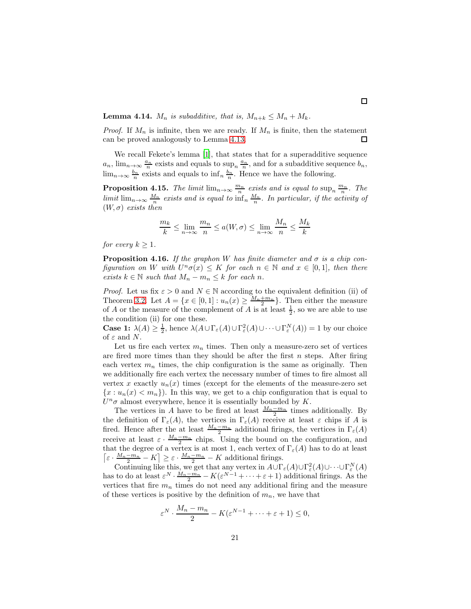**Lemma 4.14.**  $M_n$  is subadditive, that is,  $M_{n+k} \leq M_n + M_k$ .

*Proof.* If  $M_n$  is infinite, then we are ready. If  $M_n$  is finite, then the statement can be proved analogously to Lemma [4.13.](#page-19-2)  $\Box$ 

We recall Fekete's lemma [\[1](#page-43-0)], that states that for a superadditive sequence  $a_n$ ,  $\lim_{n\to\infty} \frac{a_n}{n}$  exists and equals to  $\sup_n \frac{a_n}{n}$ , and for a subadditive sequence  $b_n$ ,  $\lim_{n\to\infty} \frac{b_n}{n}$  exists and equals to  $\inf_n \frac{b_n}{n}$ . Hence we have the following.

<span id="page-20-0"></span>**Proposition 4.15.** The limit  $\lim_{n\to\infty} \frac{m_n}{n}$  exists and is equal to  $\sup_n \frac{m_n}{n}$ . The limit  $\lim_{n\to\infty}\frac{M_n}{n}$  exists and is equal to  $\inf_n\frac{M_n}{n}$ . In particular, if the activity of  $(W, \sigma)$  exists then

$$
\frac{m_k}{k} \le \lim_{n \to \infty} \frac{m_n}{n} \le a(W, \sigma) \le \lim_{n \to \infty} \frac{M_n}{n} \le \frac{M_k}{k}
$$

for every  $k \geq 1$ .

<span id="page-20-1"></span>**Proposition 4.16.** If the graphon W has finite diameter and  $\sigma$  is a chip configuration on W with  $U^n\sigma(x) \leq K$  for each  $n \in \mathbb{N}$  and  $x \in [0,1]$ , then there exists  $k \in \mathbb{N}$  such that  $M_n - m_n \leq k$  for each n.

*Proof.* Let us fix  $\varepsilon > 0$  and  $N \in \mathbb{N}$  according to the equivalent definition (ii) of Theorem [3.2.](#page-6-2) Let  $A = \{x \in [0,1]: u_n(x) \geq \frac{M_n+m_n}{2}\}\.$  Then either the measure of A or the measure of the complement of A is at least  $\frac{1}{2}$ , so we are able to use the condition (ii) for one these.

**Case 1:**  $\lambda(A) \geq \frac{1}{2}$ , hence  $\lambda(A \cup \Gamma_{\varepsilon}(A) \cup \Gamma_{\varepsilon}^2(A) \cup \cdots \cup \Gamma_{\varepsilon}^N(A)) = 1$  by our choice of  $\varepsilon$  and N.

Let us fire each vertex  $m_n$  times. Then only a measure-zero set of vertices are fired more times than they should be after the first  $n$  steps. After firing each vertex  $m_n$  times, the chip configuration is the same as originally. Then we additionally fire each vertex the necessary number of times to fire almost all vertex x exactly  $u_n(x)$  times (except for the elements of the measure-zero set  ${x : u_n(x) < m_n}$ . In this way, we get to a chip configuration that is equal to  $U^n\sigma$  almost everywhere, hence it is essentially bounded by K.

The vertices in A have to be fired at least  $\frac{M_n - m_n}{2}$  times additionally. By the definition of  $\Gamma_{\varepsilon}(A)$ , the vertices in  $\Gamma_{\varepsilon}(A)$  receive at least  $\varepsilon$  chips if A is fired. Hence after the at least  $\frac{M_n-m_n}{2}$  additional firings, the vertices in  $\Gamma_{\varepsilon}(A)$ receive at least  $\varepsilon \cdot \frac{M_n - m_n}{2}$  chips. Using the bound on the configuration, and that the degree of a vertex is at most 1, each vertex of  $\Gamma_{\varepsilon}(A)$  has to do at least  $\left[\varepsilon \cdot \frac{M_n - m_n}{2} - K\right] \ge \varepsilon \cdot \frac{M_n - m_n}{2} - K$  additional firings.

Continuing like this, we get that any vertex in  $A\cup \Gamma_{\varepsilon}(A)\cup \Gamma_{\varepsilon}^{2}(A)\cup\cdots\cup \Gamma_{\varepsilon}^{N}(A)$ has to do at least  $\varepsilon^N \cdot \frac{M_n - m_n}{2} - K(\varepsilon^{N-1} + \cdots + \varepsilon + 1)$  additional firings. As the vertices that fire  $m_n$  times do not need any additional firing and the measure of these vertices is positive by the definition of  $m_n$ , we have that

$$
\varepsilon^N \cdot \frac{M_n - m_n}{2} - K(\varepsilon^{N-1} + \dots + \varepsilon + 1) \le 0,
$$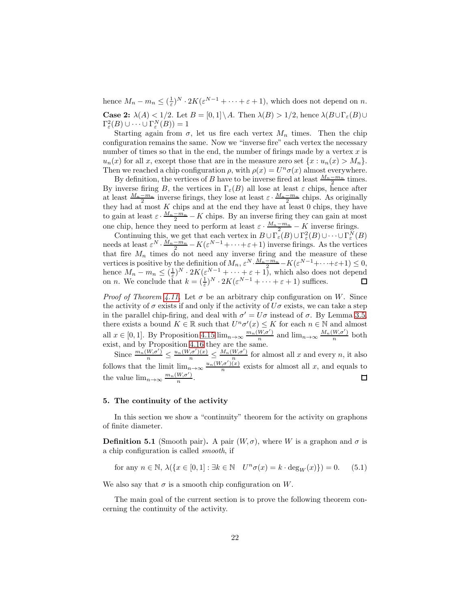hence  $M_n - m_n \leq (\frac{1}{\varepsilon})^N \cdot 2K(\varepsilon^{N-1} + \cdots + \varepsilon + 1)$ , which does not depend on n. **Case 2:**  $\lambda(A) < 1/2$ . Let  $B = [0, 1] \setminus A$ . Then  $\lambda(B) > 1/2$ , hence  $\lambda(B \cup \Gamma_{\varepsilon}(B) \cup$  $\Gamma^2_{\varepsilon}(B) \cup \cdots \cup \Gamma^N_{\varepsilon}(B)) = 1$ 

Starting again from  $\sigma$ , let us fire each vertex  $M_n$  times. Then the chip configuration remains the same. Now we "inverse fire" each vertex the necessary number of times so that in the end, the number of firings made by a vertex  $x$  is  $u_n(x)$  for all x, except those that are in the measure zero set  $\{x : u_n(x) > M_n\}.$ Then we reached a chip configuration  $\rho$ , with  $\rho(x) = U^n \sigma(x)$  almost everywhere.

By definition, the vertices of B have to be inverse fired at least  $\frac{M_n-m_n}{2}$  times. By inverse firing B, the vertices in  $\Gamma_{\varepsilon}(B)$  all lose at least  $\varepsilon$  chips, hence after at least  $\frac{M_n-m_n}{2}$  inverse firings, they lose at least  $\varepsilon \cdot \frac{M_n-m_n}{2}$  chips. As originally they had at most  $K$  chips and at the end they have at least 0 chips, they have to gain at least  $\varepsilon \cdot \frac{M_n - m_n}{2} - K$  chips. By an inverse firing they can gain at most one chip, hence they need to perform at least  $\varepsilon \cdot \frac{M_n - m_n}{n} - K$  inverse firings.

Continuing this, we get that each vertex in  $B \cup \Gamma_{\varepsilon}(B) \cup \Gamma_{\varepsilon}^{2}(B) \cup \cdots \cup \Gamma_{\varepsilon}^{N}(B)$ needs at least  $\varepsilon^N \cdot \frac{M_n - m_n}{2} - K(\varepsilon^{N-1} + \cdots + \varepsilon + 1)$  inverse firings. As the vertices that fire  $M_n$  times do not need any inverse firing and the measure of these vertices is positive by the definition of  $M_n$ ,  $\varepsilon^N \cdot \frac{M_n - m_n}{2} - K(\varepsilon^{N-1} + \cdots + \varepsilon + 1) \leq 0$ , hence  $M_n - m_n \leq (\frac{1}{\varepsilon})^N \cdot 2K(\varepsilon^{N-1} + \cdots + \varepsilon + 1)$ , which also does not depend on *n*. We conclude that  $k = (\frac{1}{\varepsilon})^N \cdot 2K(\varepsilon^{N-1} + \cdots + \varepsilon + 1)$  suffices.

*Proof of Theorem [4.11.](#page-19-0)* Let  $\sigma$  be an arbitrary chip configuration on W. Since the activity of  $\sigma$  exists if and only if the activity of  $U\sigma$  exists, we can take a step in the parallel chip-firing, and deal with  $\sigma' = U\sigma$  instead of  $\sigma$ . By Lemma [3.5,](#page-9-2) there exists a bound  $K \in \mathbb{R}$  such that  $U^n \sigma'(x) \leq K$  for each  $n \in \mathbb{N}$  and almost all  $x \in [0, 1]$ . By Proposition [4.15](#page-20-0)  $\lim_{n \to \infty} \frac{m_n(W, \sigma')}{n}$  $\frac{W,\sigma'}{n}$  and  $\lim_{n\to\infty} \frac{M_n(W,\sigma')}{n}$  $\frac{w,\sigma}{n}$  both exist, and by Proposition [4.16](#page-20-1) they are the same.

Since  $\frac{m_n(W,\sigma')}{n} \leq \frac{u_n(W,\sigma')(x)}{n} \leq \frac{M_n(W,\sigma')}{n}$  $\frac{W,\sigma}{n}$  for almost all x and every n, it also follows that the limit  $\lim_{n\to\infty}\frac{u_n(W,\sigma')(x)}{n}$  $\frac{e^{(n-1)(x)}}{n}$  exists for almost all x, and equals to the value  $\lim_{n\to\infty} \frac{m_n(W,\sigma')}{n}$  $\square$ . n

### 5. The continuity of the activity

In this section we show a "continuity" theorem for the activity on graphons of finite diameter.

**Definition 5.1** (Smooth pair). A pair  $(W, \sigma)$ , where W is a graphon and  $\sigma$  is a chip configuration is called smooth, if

for any 
$$
n \in \mathbb{N}
$$
,  $\lambda(\lbrace x \in [0,1] : \exists k \in \mathbb{N} \quad U^n \sigma(x) = k \cdot \text{deg}_W(x) \rbrace) = 0.$  (5.1)

We also say that  $\sigma$  is a smooth chip configuration on W.

The main goal of the current section is to prove the following theorem concerning the continuity of the activity.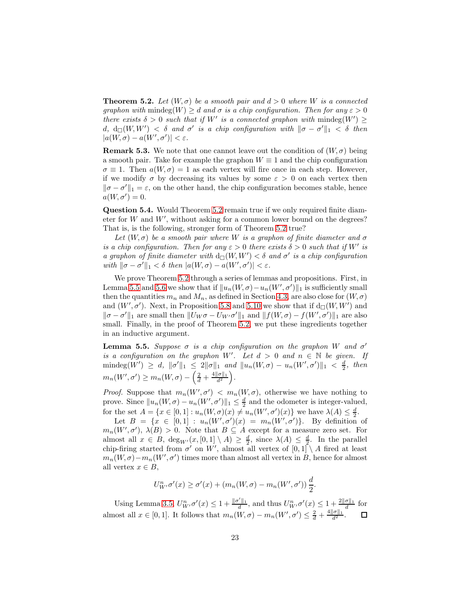<span id="page-22-0"></span>**Theorem 5.2.** Let  $(W, \sigma)$  be a smooth pair and  $d > 0$  where W is a connected graphon with mindeg $(W) \geq d$  and  $\sigma$  is a chip configuration. Then for any  $\varepsilon > 0$ there exists  $\delta > 0$  such that if W' is a connected graphon with  $\text{mindeg}(W') \geq$  $d, d_{\square}(W,W') < \delta$  and  $\sigma'$  is a chip configuration with  $\|\sigma - \sigma'\|_1 < \delta$  then  $|a(W,\sigma)-a(W',\sigma')|<\varepsilon.$ 

**Remark 5.3.** We note that one cannot leave out the condition of  $(W, \sigma)$  being a smooth pair. Take for example the graphon  $W \equiv 1$  and the chip configuration  $\sigma \equiv 1$ . Then  $a(W, \sigma) = 1$  as each vertex will fire once in each step. However, if we modify  $\sigma$  by decreasing its values by some  $\varepsilon > 0$  on each vertex then  $\|\sigma - \sigma'\|_1 = \varepsilon$ , on the other hand, the chip configuration becomes stable, hence  $a(W, \sigma') = 0.$ 

Question 5.4. Would Theorem [5.2](#page-22-0) remain true if we only required finite diameter for  $W$  and  $W'$ , without asking for a common lower bound on the degrees? That is, is the following, stronger form of Theorem [5.2](#page-22-0) true?

Let  $(W, \sigma)$  be a smooth pair where W is a graphon of finite diameter and  $\sigma$ is a chip configuration. Then for any  $\varepsilon > 0$  there exists  $\delta > 0$  such that if W' is a graphon of finite diameter with  $d_{\square}(W, W') < \delta$  and  $\sigma'$  is a chip configuration with  $\|\sigma-\sigma'\|_1 < \delta$  then  $|a(W,\sigma)-a(W',\sigma')| < \varepsilon$ .

We prove Theorem [5.2](#page-22-0) through a series of lemmas and propositions. First, in Lemma [5.5](#page-22-1) and [5.6](#page-23-0) we show that if  $||u_n(W, \sigma) - u_n(W', \sigma')||_1$  is sufficiently small then the quantities  $m_n$  and  $M_n$ , as defined in Section [4.3,](#page-18-0) are also close for  $(W, \sigma)$ and  $(W', \sigma')$ . Next, in Proposition [5.8](#page-23-1) and [5.10](#page-27-0) we show that if  $d_{\Box}(W, W')$  and  $\|\sigma-\sigma'\|_1$  are small then  $||U_W\sigma-U_{W'}\sigma'||_1$  and  $||f(W,\sigma)-f(W',\sigma')||_1$  are also small. Finally, in the proof of Theorem [5.2,](#page-22-0) we put these ingredients together in an inductive argument.

<span id="page-22-1"></span>**Lemma 5.5.** Suppose  $\sigma$  is a chip configuration on the graphon W and  $\sigma'$ is a configuration on the graphon W'. Let  $d > 0$  and  $n \in \mathbb{N}$  be given. If  $\text{mindeg}(W') \geq d, \ \|\sigma'\|_1 \leq 2\|\sigma\|_1 \ \text{and} \ \|u_n(W,\sigma) - u_n(W',\sigma')\|_1 < \frac{d}{2}, \ \text{then}$  $m_n(W', \sigma') \geq m_n(W, \sigma) - \left(\frac{2}{d} + \frac{4\|\sigma\|_1}{d^2}\right).$ 

*Proof.* Suppose that  $m_n(W', \sigma') < m_n(W, \sigma)$ , otherwise we have nothing to prove. Since  $||u_n(W, \sigma) - u_n(W', \sigma')||_1 \leq \frac{d}{2}$  and the odometer is integer-valued, for the set  $A = \{x \in [0,1]: u_n(W, \sigma)(x) \neq u_n(W', \sigma')(x)\}$  we have  $\lambda(A) \leq \frac{d}{2}$ .

Let  $B = \{x \in [0,1]: u_n(W', \sigma')(x) = m_n(W', \sigma')\}.$  By definition of  $m_n(W', \sigma')$ ,  $\lambda(B) > 0$ . Note that  $B \subseteq A$  except for a measure zero set. For almost all  $x \in B$ ,  $\deg_{W'}(x, [0, 1] \setminus A) \geq \frac{d}{2}$ , since  $\lambda(A) \leq \frac{d}{2}$ . In the parallel chip-firing started from  $\sigma'$  on W', almost all vertex of  $[0,1] \setminus A$  fired at least  $m_n(W, \sigma) - m_n(W', \sigma')$  times more than almost all vertex in B, hence for almost all vertex  $x \in B$ ,

$$
U_{W'}^n \sigma'(x) \ge \sigma'(x) + (m_n(W, \sigma) - m_n(W', \sigma'))\frac{d}{2}.
$$

Using Lemma [3.5,](#page-9-2)  $U_W^n \sigma'(x) \leq 1 + \frac{\|\sigma'\|_1}{d}$ , and thus  $U_W^n \sigma'(x) \leq 1 + \frac{2\|\sigma\|_1}{d}$  for almost all  $x \in [0,1]$ . It follows that  $m_n(W, \sigma) - m_n(W', \sigma') \leq \frac{2}{d} + \frac{4||\sigma||_1}{d^2}$ .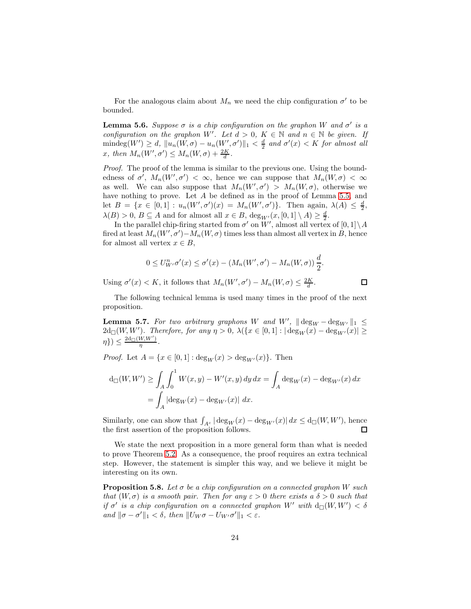For the analogous claim about  $M_n$  we need the chip configuration  $\sigma'$  to be bounded.

<span id="page-23-0"></span>**Lemma 5.6.** Suppose  $\sigma$  is a chip configuration on the graphon W and  $\sigma'$  is a configuration on the graphon W'. Let  $d > 0$ ,  $K \in \mathbb{N}$  and  $n \in \mathbb{N}$  be given. If  $\text{mindeg}(W') \geq d, \|u_n(W, \sigma) - u_n(W', \sigma')\|_1 < \frac{d}{2}$  and  $\sigma'(x) < K$  for almost all x, then  $M_n(W', \sigma') \leq M_n(W, \sigma) + \frac{2K}{d}$ .

Proof. The proof of the lemma is similar to the previous one. Using the boundedness of  $\sigma'$ ,  $M_n(W', \sigma') < \infty$ , hence we can suppose that  $M_n(W, \sigma) < \infty$ as well. We can also suppose that  $M_n(W', \sigma') > M_n(W, \sigma)$ , otherwise we have nothing to prove. Let A be defined as in the proof of Lemma [5.5,](#page-22-1) and let  $B = \{x \in [0,1]: u_n(W', \sigma')(x) = M_n(W', \sigma')\}.$  Then again,  $\lambda(A) \leq \frac{d}{2}$ ,  $\lambda(B) > 0, B \subseteq A$  and for almost all  $x \in B$ ,  $\deg_{W'}(x, [0, 1] \setminus A) \geq \frac{d}{2}$ .

In the parallel chip-firing started from  $\sigma'$  on W', almost all vertex of  $[0,1]\setminus A$ fired at least  $M_n(W', \sigma') - M_n(W, \sigma)$  times less than almost all vertex in B, hence for almost all vertex  $x \in B$ ,

$$
0 \leq U_{W'}^n \sigma'(x) \leq \sigma'(x) - (M_n(W', \sigma') - M_n(W, \sigma)) \frac{d}{2}.
$$

 $\Box$ 

Using  $\sigma'(x) < K$ , it follows that  $M_n(W', \sigma') - M_n(W, \sigma) \leq \frac{2K}{d}$ .

The following technical lemma is used many times in the proof of the next proposition.

<span id="page-23-2"></span>**Lemma 5.7.** For two arbitrary graphons W and W',  $\|\deg_W - \deg_{W'}\|_1 \le$  $2d_{\square}(W,W')$ . Therefore, for any  $\eta > 0$ ,  $\lambda(\lbrace x \in [0,1] : |\deg_W(x) - \deg_{W'}(x)| \geq$  $(\eta\}) \leq \frac{2d_{\square}(W,W')}{\eta}$  $\frac{\frac{(W,W)}{W}}$ .

*Proof.* Let  $A = \{x \in [0, 1] : \text{deg}_W(x) > \text{deg}_{W'}(x)\}.$  Then

$$
d_{\square}(W, W') \ge \int_A \int_0^1 W(x, y) - W'(x, y) \, dy \, dx = \int_A \deg_W(x) - \deg_{W'}(x) \, dx
$$

$$
= \int_A |\deg_W(x) - \deg_{W'}(x)| \, dx.
$$

Similarly, one can show that  $\int_{A^c} |\deg_W(x) - \deg_{W'}(x)| dx \le d_{\square}(W, W')$ , hence the first assertion of the proposition follows.  $\Box$ 

We state the next proposition in a more general form than what is needed to prove Theorem [5.2.](#page-22-0) As a consequence, the proof requires an extra technical step. However, the statement is simpler this way, and we believe it might be interesting on its own.

<span id="page-23-1"></span>**Proposition 5.8.** Let  $\sigma$  be a chip configuration on a connected graphon W such that  $(W, \sigma)$  is a smooth pair. Then for any  $\varepsilon > 0$  there exists a  $\delta > 0$  such that if  $\sigma'$  is a chip configuration on a connected graphon W' with  $d_{\square}(W, W') < \delta$ and  $\|\sigma - \sigma'\|_1 < \delta$ , then  $\|U_W\sigma - U_{W'}\sigma'\|_1 < \varepsilon$ .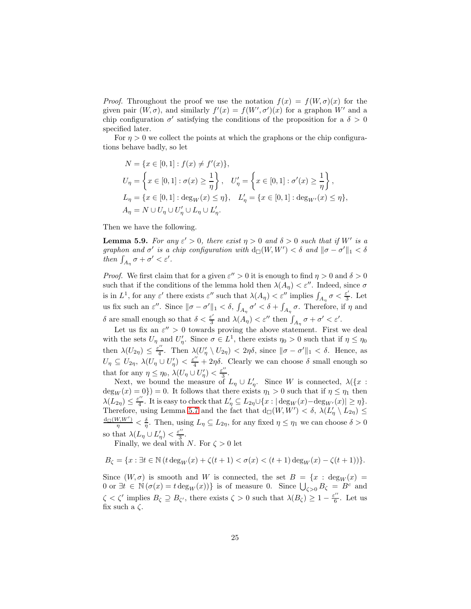*Proof.* Throughout the proof we use the notation  $f(x) = f(W, \sigma)(x)$  for the given pair  $(W, \sigma)$ , and similarly  $f'(x) = f(W', \sigma')(x)$  for a graphon W' and a chip configuration  $\sigma'$  satisfying the conditions of the proposition for a  $\delta > 0$ specified later.

For  $\eta > 0$  we collect the points at which the graphons or the chip configurations behave badly, so let

$$
N = \{x \in [0, 1] : f(x) \neq f'(x)\},
$$
  
\n
$$
U_{\eta} = \left\{x \in [0, 1] : \sigma(x) \ge \frac{1}{\eta}\right\}, \quad U'_{\eta} = \left\{x \in [0, 1] : \sigma'(x) \ge \frac{1}{\eta}\right\},
$$
  
\n
$$
L_{\eta} = \left\{x \in [0, 1] : \deg_W(x) \le \eta\right\}, \quad L'_{\eta} = \left\{x \in [0, 1] : \deg_{W'}(x) \le \eta\right\},
$$
  
\n
$$
A_{\eta} = N \cup U_{\eta} \cup U'_{\eta} \cup L_{\eta} \cup L'_{\eta}.
$$

Then we have the following.

<span id="page-24-0"></span>**Lemma 5.9.** For any  $\varepsilon' > 0$ , there exist  $\eta > 0$  and  $\delta > 0$  such that if W' is a graphon and  $\sigma'$  is a chip configuration with  $d_{\square}(W, W') < \delta$  and  $\|\sigma - \sigma'\|_1 < \delta$ then  $\int_{A_{\eta}} \sigma + \sigma' < \varepsilon'.$ 

*Proof.* We first claim that for a given  $\varepsilon'' > 0$  it is enough to find  $\eta > 0$  and  $\delta > 0$ such that if the conditions of the lemma hold then  $\lambda(A_\eta) < \varepsilon''$ . Indeed, since  $\sigma$ is in  $L^1$ , for any  $\varepsilon'$  there exists  $\varepsilon''$  such that  $\lambda(A_\eta) < \varepsilon''$  implies  $\int_{A_\eta} \sigma < \frac{\varepsilon'}{3}$ . Let us fix such an  $\varepsilon''$ . Since  $\|\sigma-\sigma'\|_1 < \delta$ ,  $\int_{A_\eta} \sigma' < \delta + \int_{A_\eta} \sigma$ . Therefore, if  $\eta$  and δ are small enough so that  $\delta < \frac{\varepsilon'}{3}$  and  $\lambda(A_{\eta}) < \varepsilon''$  then  $\int_{A_{\eta}} \sigma + \sigma' < \varepsilon'.$ 

Let us fix an  $\varepsilon'' > 0$  towards proving the above statement. First we deal with the sets  $U_{\eta}$  and  $U'_{\eta}$ . Since  $\sigma \in L^1$ , there exists  $\eta_0 > 0$  such that if  $\eta \leq \eta_0$ then  $\lambda(U_{2\eta}) \leq \frac{\varepsilon^{\prime\prime}}{4}$ . Then  $\lambda(U'_\eta \setminus U_{2\eta}) < 2\eta\delta$ , since  $\|\sigma - \sigma'\|_1 < \delta$ . Hence, as  $U_{\eta} \subseteq U_{2\eta}$ ,  $\lambda(U_{\eta} \cup U_{\eta}') < \frac{\varepsilon''}{4} + 2\eta \delta$ . Clearly we can choose  $\delta$  small enough so that for any  $\eta \leq \eta_0$ ,  $\lambda(U_\eta \cup U'_\eta) < \frac{\varepsilon''}{3}$ .

Next, we bound the measure of  $L_{\eta} \cup L'_{\eta}$ . Since W is connected,  $\lambda(\lbrace x :$  $deg_W(x) = 0$ } = 0. It follows that there exists  $\eta_1 > 0$  such that if  $\eta \leq \eta_1$  then  $\lambda(L_{2\eta}) \leq \frac{\varepsilon^{\prime\prime}}{4}$ . It is easy to check that  $L'_{\eta} \subseteq L_{2\eta} \cup \{x : |\deg_W(x) - \deg_{W'}(x)| \geq \eta\}.$ Therefore, using Lemma [5.7](#page-23-2) and the fact that  $d_{\Box}(W, W') < \delta$ ,  $\lambda(L'_\eta \setminus L_{2\eta}) \leq$  ${\rm d}_{\square}(W,W')$  $\frac{\partial f(W')}{\partial \eta} < \frac{\delta}{\eta}$ . Then, using  $L_{\eta} \subseteq L_{2\eta}$ , for any fixed  $\eta \leq \eta_1$  we can choose  $\delta > 0$ so that  $\lambda(L_{\eta} \cup L_{\eta}') < \frac{\varepsilon''}{3}$ .

Finally, we deal with N. For  $\zeta > 0$  let

$$
B_{\zeta} = \{x : \exists t \in \mathbb{N} \ (t \deg_W(x) + \zeta(t+1) < \sigma(x) < (t+1) \deg_W(x) - \zeta(t+1))\}.
$$

Since  $(W, \sigma)$  is smooth and W is connected, the set  $B = \{x : deg_W(x) =$ 0 or  $\exists t \in \mathbb{N} (\sigma(x) = t \deg_W(x)) \}$  is of measure 0. Since  $\bigcup_{\zeta > 0} B_{\zeta} = B^c$  and  $\zeta < \zeta'$  implies  $B_{\zeta} \supseteq B_{\zeta'}$ , there exists  $\zeta > 0$  such that  $\lambda(B_{\zeta}) \geq 1 - \frac{\varepsilon''}{6}$ . Let us fix such a  $\zeta$ .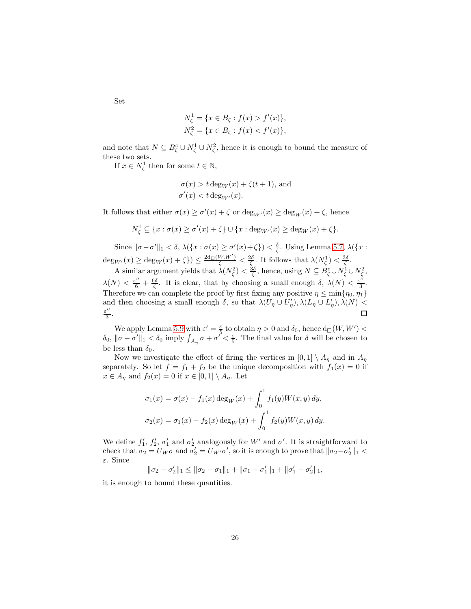Set

$$
N_{\zeta}^{1} = \{ x \in B_{\zeta} : f(x) > f'(x) \},
$$
  

$$
N_{\zeta}^{2} = \{ x \in B_{\zeta} : f(x) < f'(x) \},
$$

and note that  $N \subseteq B_{\zeta}^c \cup N_{\zeta}^1 \cup N_{\zeta}^2$ , hence it is enough to bound the measure of these two sets.

If  $x \in N_{\zeta}^1$  then for some  $t \in \mathbb{N}$ ,

$$
\sigma(x) > t \deg_W(x) + \zeta(t+1)
$$
, and  
\n $\sigma'(x) < t \deg_{W'}(x)$ .

It follows that either  $\sigma(x) \ge \sigma'(x) + \zeta$  or  $\deg_{W'}(x) \ge \deg_W(x) + \zeta$ , hence

$$
N_{\zeta}^{1} \subseteq \{x : \sigma(x) \ge \sigma'(x) + \zeta\} \cup \{x : \deg_{W'}(x) \ge \deg_{W}(x) + \zeta\}.
$$

Since  $\|\sigma-\sigma'\|_1 < \delta$ ,  $\lambda(\{x : \sigma(x) \geq \sigma'(x)+\zeta\}) < \frac{\delta}{\zeta}$ . Using Lemma [5.7,](#page-23-2)  $\lambda(\{x : \sigma'(x) = \delta'(x)\})$  $\deg_{W'}(x) \ge \deg_W(x) + \zeta$ )  $\le \frac{2d_{\square}(W,W')}{\zeta} < \frac{2\delta}{\zeta}$ . It follows that  $\lambda(N_{\zeta}^1) < \frac{3\delta}{\zeta}$ .

A similar argument yields that  $\lambda(N_{\zeta}^2) < \frac{3\delta}{\zeta}$ , hence, using  $N \subseteq B_{\zeta}^c \cup N_{\zeta}^1 \cup N_{\zeta}^2$ ,  $\lambda(N) < \frac{\varepsilon^{\prime\prime}}{6} + \frac{6\delta}{\zeta}$ . It is clear, that by choosing a small enough  $\delta$ ,  $\lambda(N) < \frac{\varepsilon^{\prime\prime}}{3}$ . Therefore we can complete the proof by first fixing any positive  $\eta \le \min\{\eta_0, \eta_1\}$ and then choosing a small enough  $\delta$ , so that  $\lambda(U_{\eta} \cup U_{\eta}')$ ,  $\lambda(L_{\eta} \cup L_{\eta}')$ ,  $\lambda(N)$  < ε ′′ 3 .  $\Box$ 

We apply Lemma [5.9](#page-24-0) with  $\varepsilon' = \frac{\varepsilon}{5}$  to obtain  $\eta > 0$  and  $\delta_0$ , hence  $d_{\square}(W, W') <$  $\delta_0, \|\sigma-\sigma'\|_1 < \delta_0$  imply  $\int_{A_\eta} \sigma + \sigma' < \frac{\varepsilon}{5}$ . The final value for  $\delta$  will be chosen to be less than  $\delta_0$ .

Now we investigate the effect of firing the vertices in  $[0,1] \setminus A_\eta$  and in  $A_\eta$ separately. So let  $f = f_1 + f_2$  be the unique decomposition with  $f_1(x) = 0$  if  $x \in A_{\eta}$  and  $f_2(x) = 0$  if  $x \in [0,1] \setminus A_{\eta}$ . Let

$$
\sigma_1(x) = \sigma(x) - f_1(x) \deg_W(x) + \int_0^1 f_1(y)W(x, y) dy,
$$
  

$$
\sigma_2(x) = \sigma_1(x) - f_2(x) \deg_W(x) + \int_0^1 f_2(y)W(x, y) dy.
$$

We define  $f'_1, f'_2, \sigma'_1$  and  $\sigma'_2$  analogously for W' and  $\sigma'$ . It is straightforward to check that  $\sigma_2 = U_W \sigma$  and  $\sigma'_2 = U_{W'} \sigma'$ , so it is enough to prove that  $\|\sigma_2 - \sigma'_2\|_1 <$ ε. Since

 $\|\sigma_2 - \sigma_2'\|_1 \le \|\sigma_2 - \sigma_1\|_1 + \|\sigma_1 - \sigma_1'\|_1 + \|\sigma_1' - \sigma_2'\|_1,$ 

it is enough to bound these quantities.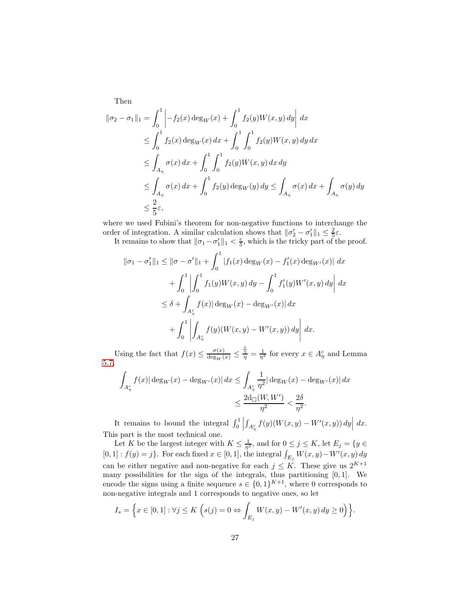$$
\|\sigma_2 - \sigma_1\|_1 = \int_0^1 \left| -f_2(x) \deg_W(x) + \int_0^1 f_2(y) W(x, y) dy \right| dx
$$
  
\n
$$
\leq \int_0^1 f_2(x) \deg_W(x) dx + \int_0^1 \int_0^1 f_2(y) W(x, y) dy dx
$$
  
\n
$$
\leq \int_{A_\eta} \sigma(x) dx + \int_0^1 \int_0^1 f_2(y) W(x, y) dx dy
$$
  
\n
$$
\leq \int_{A_\eta} \sigma(x) dx + \int_0^1 f_2(y) \deg_W(y) dy \leq \int_{A_\eta} \sigma(x) dx + \int_{A_\eta} \sigma(y) dy
$$
  
\n
$$
\leq \frac{2}{5} \varepsilon,
$$

Then

where we used Fubini's theorem for non-negative functions to interchange the order of integration. A similar calculation shows that  $\|\sigma'_2 - \sigma'_1\|_1 \leq \frac{2}{5}\varepsilon$ .

It remains to show that  $\|\sigma_1-\sigma'_1\|_1 < \frac{\varepsilon}{5}$ , which is the tricky part of the proof.

$$
\|\sigma_1 - \sigma'_1\|_1 \le \|\sigma - \sigma'\|_1 + \int_0^1 |f_1(x) \deg_W(x) - f'_1(x) \deg_{W'}(x)| dx
$$
  
+ 
$$
\int_0^1 \left| \int_0^1 f_1(y)W(x,y) dy - \int_0^1 f'_1(y)W'(x,y) dy \right| dx
$$
  

$$
\le \delta + \int_{A_{\eta}^c} f(x) |\deg_W(x) - \deg_{W'}(x)| dx
$$
  
+ 
$$
\int_0^1 \left| \int_{A_{\eta}^c} f(y) (W(x,y) - W'(x,y)) dy \right| dx.
$$

Using the fact that  $f(x) \leq \frac{\sigma(x)}{\deg_W(x)} \leq$  $\frac{\frac{1}{\eta}}{\eta} = \frac{1}{\eta^2}$  for every  $x \in A_{\eta}^c$  and Lemma [5.7,](#page-23-2)

$$
\int_{A_{\eta}^c} f(x) |\deg_W(x) - \deg_{W'}(x)| dx \le \int_{A_{\eta}^c} \frac{1}{\eta^2} |\deg_W(x) - \deg_{W'}(x)| dx
$$
  

$$
\le \frac{2d_{\square}(W, W')}{\eta^2} < \frac{2\delta}{\eta^2}.
$$

It remains to bound the integral  $\int_0^1$  $\int_{A_{\eta}^c} f(y)(W(x, y) - W'(x, y)) dy \Big| dx.$ This part is the most technical one.

Let K be the largest integer with  $K \leq \frac{1}{\eta^2}$ , and for  $0 \leq j \leq K$ , let  $E_j = \{y \in$  $[0,1]: f(y) = j$ . For each fixed  $x \in [0,1]$ , the integral  $\int_{E_j} W(x, y) - W'(x, y) dy$ can be either negative and non-negative for each  $j \leq K$ . These give us  $2^{K+1}$ many possibilities for the sign of the integrals, thus partitioning [0, 1]. We encode the signs using a finite sequence  $s \in \{0,1\}^{K+1}$ , where 0 corresponds to non-negative integrals and 1 corresponds to negative ones, so let

$$
I_s = \Big\{ x \in [0,1] : \forall j \le K \Big( s(j) = 0 \Leftrightarrow \int_{E_j} W(x,y) - W'(x,y) \, dy \ge 0 \Big) \Big\}.
$$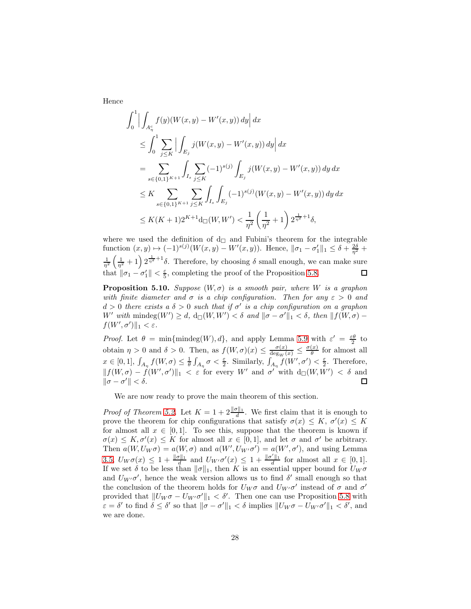Hence

$$
\int_{0}^{1} \Big| \int_{A_{\eta}^{c}} f(y)(W(x, y) - W'(x, y)) dy \Big| dx
$$
  
\n
$$
\leq \int_{0}^{1} \sum_{j \leq K} \Big| \int_{E_{j}} j(W(x, y) - W'(x, y)) dy \Big| dx
$$
  
\n
$$
= \sum_{s \in \{0, 1\}^{K+1}} \int_{I_{s}} \sum_{j \leq K} (-1)^{s(j)} \int_{E_{j}} j(W(x, y) - W'(x, y)) dy dx
$$
  
\n
$$
\leq K \sum_{s \in \{0, 1\}^{K+1}} \sum_{j \leq K} \int_{I_{s}} \int_{E_{j}} (-1)^{s(j)} (W(x, y) - W'(x, y)) dy dx
$$
  
\n
$$
\leq K (K+1) 2^{K+1} d_{\square}(W, W') < \frac{1}{\eta^{2}} \left( \frac{1}{\eta^{2}} + 1 \right) 2^{\frac{1}{\eta^{2}}+1} \delta,
$$

where we used the definition of  $d_{\square}$  and Fubini's theorem for the integrable function  $(x, y) \mapsto (-1)^{s(j)}(W(x, y) - W'(x, y))$ . Hence,  $\|\sigma_1 - \sigma_1'\|_1 \le \delta + \frac{2\delta}{\eta^2} +$  $\frac{1}{\eta^2} \left( \frac{1}{\eta^2} + 1 \right) 2^{\frac{1}{\eta^2} + 1} \delta$ . Therefore, by choosing  $\delta$  small enough, we can make sure that  $\|\sigma_1 - \sigma'_1\| < \frac{\varepsilon}{5}$ , completing the proof of the Proposition [5.8.](#page-23-1)  $\Box$ 

<span id="page-27-0"></span>**Proposition 5.10.** Suppose  $(W, \sigma)$  is a smooth pair, where W is a graphon with finite diameter and  $\sigma$  is a chip configuration. Then for any  $\varepsilon > 0$  and  $d > 0$  there exists a  $\delta > 0$  such that if  $\sigma'$  is a chip configuration on a graphon W' with  $\text{mindeg}(W') \geq d$ ,  $d_{\Box}(W, W') < \delta$  and  $\|\sigma - \sigma'\|_1 < \delta$ , then  $\|f(W, \sigma) - f(W)\|_1 \leq \delta$  $f(W', \sigma')\|_1 < \varepsilon.$ 

*Proof.* Let  $\theta = \min{\{\text{mindeg}(W), d\}}$ , and apply Lemma [5.9](#page-24-0) with  $\varepsilon' = \frac{\varepsilon \theta}{2}$  to 2 obtain  $\eta > 0$  and  $\delta > 0$ . Then, as  $f(W, \sigma)(x) \le \frac{\sigma(x)}{\deg_W(x)} \le \frac{\sigma(x)}{\theta}$  $\frac{d}{\theta}$  for almost all  $x \in [0,1], \int_{A_{\eta}} f(W,\sigma) \leq \frac{1}{\theta} \int_{A_{\eta}} \sigma < \frac{\varepsilon}{2}$ . Similarly,  $\int_{A_{\eta}} f(W',\sigma') < \frac{\varepsilon}{2}$ . Therefore,  $|| f(W, \sigma) - f(W', \sigma') ||_1 < \varepsilon$  for every W' and  $\sigma'$  with  $d_U(W, W') < \delta$  and  $\|\sigma-\sigma'\|<\delta.$  $\Box$ 

We are now ready to prove the main theorem of this section.

*Proof of Theorem [5.2.](#page-22-0)* Let  $K = 1 + 2 \frac{\|\sigma\|_1}{d}$ . We first claim that it is enough to prove the theorem for chip configurations that satisfy  $\sigma(x) \leq K$ ,  $\sigma'(x) \leq K$ for almost all  $x \in [0,1]$ . To see this, suppose that the theorem is known if  $\sigma(x) \leq K, \sigma'(x) \leq K$  for almost all  $x \in [0,1]$ , and let  $\sigma$  and  $\sigma'$  be arbitrary. Then  $a(W, U_W \sigma) = a(W, \sigma)$  and  $a(W', U_{W'} \sigma') = a(W', \sigma')$ , and using Lemma [3.5,](#page-9-2)  $U_W\sigma(x) \leq 1 + \frac{\|\sigma\|_1}{d}$  and  $U_{W'}\sigma'(x) \leq 1 + \frac{\|\sigma'\|_1}{d}$  for almost all  $x \in [0,1]$ . If we set  $\delta$  to be less than  $\|\sigma\|_1$ , then K is an essential upper bound for  $U_W \sigma$ and  $U_{W'}\sigma'$ , hence the weak version allows us to find  $\delta'$  small enough so that the conclusion of the theorem holds for  $U_W \sigma$  and  $U_{W'} \sigma'$  instead of  $\sigma$  and  $\sigma'$ provided that  $||U_W \sigma - U_{W'} \sigma'||_1 < \delta'$ . Then one can use Proposition [5.8](#page-23-1) with  $\varepsilon = \delta'$  to find  $\delta \leq \delta'$  so that  $\|\sigma - \sigma'\|_1 < \delta$  implies  $\|U_W \sigma - U_{W'} \sigma'\|_1 < \delta'$ , and we are done.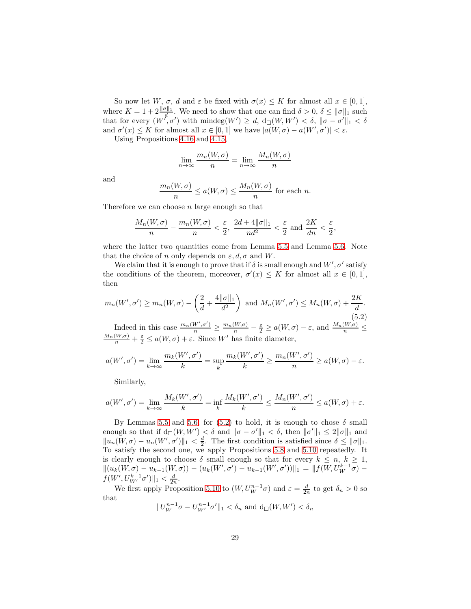So now let W,  $\sigma$ , d and  $\varepsilon$  be fixed with  $\sigma(x) \leq K$  for almost all  $x \in [0,1]$ , where  $K = 1 + 2 \frac{\|\sigma\|_1}{d}$ . We need to show that one can find  $\delta > 0$ ,  $\delta \le \|\sigma\|_1$  such that for every  $(W', \sigma')$  with mindeg $(W') \geq d$ ,  $d_{\Box}(W, W') < \delta$ ,  $\|\sigma - \sigma'\|_1 < \delta$ and  $\sigma'(x) \leq K$  for almost all  $x \in [0,1]$  we have  $|a(W,\sigma) - a(W',\sigma')| < \varepsilon$ .

Using Propositions [4.16](#page-20-1) and [4.15,](#page-20-0)

$$
\lim_{n \to \infty} \frac{m_n(W, \sigma)}{n} = \lim_{n \to \infty} \frac{M_n(W, \sigma)}{n}
$$

and

$$
\frac{m_n(W,\sigma)}{n} \le a(W,\sigma) \le \frac{M_n(W,\sigma)}{n} \text{ for each } n.
$$

Therefore we can choose  $n$  large enough so that

$$
\frac{M_n(W,\sigma)}{n} - \frac{m_n(W,\sigma)}{n} < \frac{\varepsilon}{2}, \quad \frac{2d+4\|\sigma\|_1}{nd^2} < \frac{\varepsilon}{2} \text{ and } \frac{2K}{dn} < \frac{\varepsilon}{2},
$$

where the latter two quantities come from Lemma [5.5](#page-22-1) and Lemma [5.6.](#page-23-0) Note that the choice of n only depends on  $\varepsilon, d, \sigma$  and W.

We claim that it is enough to prove that if  $\delta$  is small enough and  $W', \sigma'$  satisfy the conditions of the theorem, moreover,  $\sigma'(x) \leq K$  for almost all  $x \in [0,1]$ , then

<span id="page-28-0"></span>
$$
m_n(W', \sigma') \ge m_n(W, \sigma) - \left(\frac{2}{d} + \frac{4\|\sigma\|_1}{d^2}\right) \text{ and } M_n(W', \sigma') \le M_n(W, \sigma) + \frac{2K}{d}.
$$
\n
$$
(5.2)
$$

Indeed in this case  $\frac{m_n(W',\sigma')}{n} \ge \frac{m_n(W,\sigma)}{n} - \frac{\varepsilon}{2} \ge a(W,\sigma) - \varepsilon$ , and  $\frac{M_n(W,\sigma)}{n} + \frac{\varepsilon}{2} \le a(W,\sigma) + \varepsilon$ . Since W' has finite diameter,

$$
a(W', \sigma') = \lim_{k \to \infty} \frac{m_k(W', \sigma')}{k} = \sup_k \frac{m_k(W', \sigma')}{k} \ge \frac{m_n(W', \sigma')}{n} \ge a(W, \sigma) - \varepsilon.
$$

Similarly,

$$
a(W', \sigma') = \lim_{k \to \infty} \frac{M_k(W', \sigma')}{k} = \inf_k \frac{M_k(W', \sigma')}{k} \le \frac{M_n(W', \sigma')}{n} \le a(W, \sigma) + \varepsilon.
$$

By Lemmas [5.5](#page-22-1) and [5.6,](#page-23-0) for [\(5.2\)](#page-28-0) to hold, it is enough to chose  $\delta$  small enough so that if  $d_{\Box}(W, W') < \delta$  and  $\|\sigma - \sigma'\|_1 < \delta$ , then  $\|\sigma'\|_1 \leq 2\|\sigma\|_1$  and  $\|u_n(W, \sigma) - u_n(W', \sigma')\|_1 < \frac{d}{2}$ . The first condition is satisfied since  $\delta \leq ||\sigma||_1$ . To satisfy the second one, we apply Propositions [5.8](#page-23-1) and [5.10](#page-27-0) repeatedly. It is clearly enough to choose  $\delta$  small enough so that for every  $k \leq n, k \geq 1$ ,  $||(u_k(W, \sigma) - u_{k-1}(W, \sigma)) - (u_k(W', \sigma') - u_{k-1}(W', \sigma'))||_1 = ||f(W, U_W^{k-1}\sigma)$  $f(W', U_{W'}^{k-1} \sigma') \|_1 < \frac{d}{2n}.$ 

We first apply Proposition [5.10](#page-27-0) to  $(W, U_W^{n-1} \sigma)$  and  $\varepsilon = \frac{d}{2n}$  to get  $\delta_n > 0$  so that

$$
||U_{W}^{n-1}\sigma - U_{W'}^{n-1}\sigma'||_1 < \delta_n \text{ and } d_{\square}(W, W') < \delta_n
$$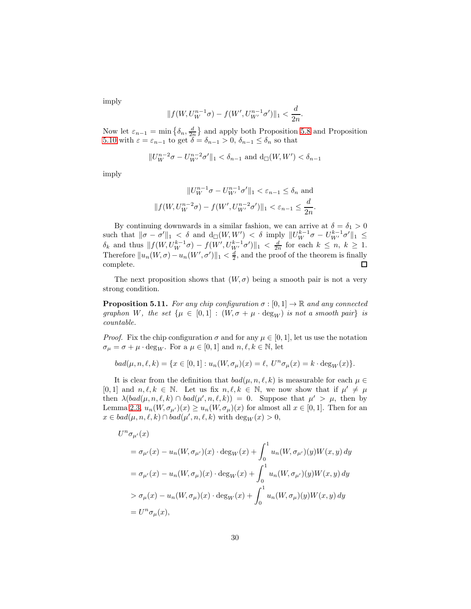imply

$$
||f(W, U_{W}^{n-1}\sigma) - f(W', U_{W'}^{n-1}\sigma')||_{1} < \frac{d}{2n}.
$$

Now let  $\varepsilon_{n-1} = \min\left\{\delta_n, \frac{d}{2n}\right\}$  and apply both Proposition [5.8](#page-23-1) and Proposition [5.10](#page-27-0) with  $\varepsilon = \varepsilon_{n-1}$  to get  $\delta = \delta_{n-1} > 0$ ,  $\delta_{n-1} \leq \delta_n$  so that

$$
||U_{W}^{n-2}\sigma - U_{W'}^{n-2}\sigma'||_1 < \delta_{n-1} \text{ and } d_{\square}(W,W') < \delta_{n-1}
$$

imply

$$
||U_{W}^{n-1}\sigma - U_{W'}^{n-1}\sigma'||_1 < \varepsilon_{n-1} \le \delta_n \text{ and}
$$
  

$$
||f(W, U_{W}^{n-2}\sigma) - f(W', U_{W'}^{n-2}\sigma')||_1 < \varepsilon_{n-1} \le \frac{d}{2n}.
$$

By continuing downwards in a similar fashion, we can arrive at  $\delta = \delta_1 > 0$ such that  $\|\sigma - \sigma'\|_1 < \delta$  and  $d_{\square}(W, W') < \delta$  imply  $\|U_W^{k-1}\sigma - U_{W'}^{k-1}\sigma'\|_1 \le$  $\delta_k$  and thus  $|| f(W, U_W^{k-1} \sigma) - f(W', U_{W'}^{k-1} \sigma')]||_1 < \frac{d}{2n}$  for each  $k \leq n, k \geq 1$ . Therefore  $||u_n(W, \sigma) - u_n(W', \sigma')||_1 < \frac{d}{2}$ , and the proof of the theorem is finally complete.  $\Box$ 

The next proposition shows that  $(W, \sigma)$  being a smooth pair is not a very strong condition.

**Proposition 5.11.** For any chip configuration  $\sigma : [0, 1] \to \mathbb{R}$  and any connected graphon W, the set  $\{\mu \in [0,1] : (W, \sigma + \mu \cdot \text{deg}_W)$  is not a smooth pair $\}$  is countable.

*Proof.* Fix the chip configuration  $\sigma$  and for any  $\mu \in [0,1]$ , let us use the notation  $\sigma_{\mu} = \sigma + \mu \cdot \text{deg}_{W}$ . For a  $\mu \in [0, 1]$  and  $n, \ell, k \in \mathbb{N}$ , let

$$
bad(\mu,n,\ell,k)=\{x\in[0,1]:u_n(W,\sigma_\mu)(x)=\ell,\;U^n\sigma_\mu(x)=k\cdot\deg_W(x)\}.
$$

It is clear from the definition that  $bad(\mu, n, \ell, k)$  is measurable for each  $\mu \in$ [0, 1] and  $n, \ell, k \in \mathbb{N}$ . Let us fix  $n, \ell, k \in \mathbb{N}$ , we now show that if  $\mu' \neq \mu$ then  $\lambda(bad(\mu, n, \ell, k) \cap bad(\mu', n, \ell, k)) = 0$ . Suppose that  $\mu' > \mu$ , then by Lemma [2.3,](#page-4-1)  $u_n(W, \sigma_{\mu'})(x) \ge u_n(W, \sigma_{\mu})(x)$  for almost all  $x \in [0, 1]$ . Then for an  $x \in bad(\mu, n, \ell, k) \cap bad(\mu', n, \ell, k)$  with  $\text{deg}_W(x) > 0$ ,

$$
U^n \sigma_{\mu'}(x)
$$
  
=  $\sigma_{\mu'}(x) - u_n(W, \sigma_{\mu'})(x) \cdot \deg_W(x) + \int_0^1 u_n(W, \sigma_{\mu'})(y)W(x, y) dy$   
=  $\sigma_{\mu'}(x) - u_n(W, \sigma_{\mu})(x) \cdot \deg_W(x) + \int_0^1 u_n(W, \sigma_{\mu'})(y)W(x, y) dy$   
>  $\sigma_{\mu}(x) - u_n(W, \sigma_{\mu})(x) \cdot \deg_W(x) + \int_0^1 u_n(W, \sigma_{\mu})(y)W(x, y) dy$   
=  $U^n \sigma_{\mu}(x)$ ,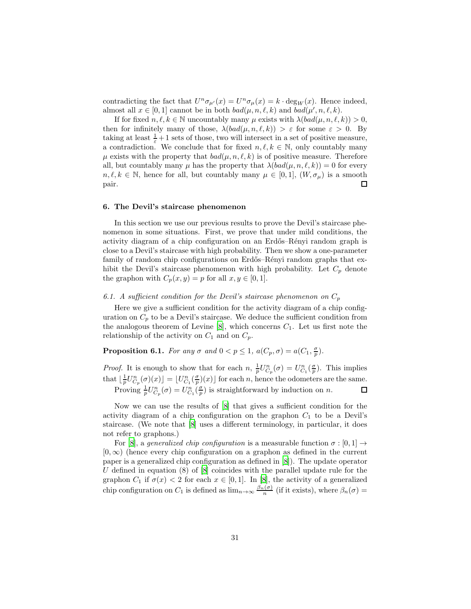contradicting the fact that  $U^n \sigma_{\mu'}(x) = U^n \sigma_{\mu}(x) = k \cdot \deg_W(x)$ . Hence indeed, almost all  $x \in [0,1]$  cannot be in both  $bad(\mu, n, \ell, k)$  and  $bad(\mu', n, \ell, k)$ .

If for fixed  $n, \ell, k \in \mathbb{N}$  uncountably many  $\mu$  exists with  $\lambda (bad(\mu, n, \ell, k)) > 0$ , then for infinitely many of those,  $\lambda(bad(\mu, n, \ell, k)) > \varepsilon$  for some  $\varepsilon > 0$ . By taking at least  $\frac{1}{\varepsilon} + 1$  sets of those, two will intersect in a set of positive measure, a contradiction. We conclude that for fixed  $n, \ell, k \in \mathbb{N}$ , only countably many  $\mu$  exists with the property that  $bad(\mu, n, \ell, k)$  is of positive measure. Therefore all, but countably many  $\mu$  has the property that  $\lambda(bad(\mu, n, \ell, k)) = 0$  for every  $n, \ell, k \in \mathbb{N}$ , hence for all, but countably many  $\mu \in [0, 1]$ ,  $(W, \sigma_{\mu})$  is a smooth pair. pair.

### 6. The Devil's staircase phenomenon

In this section we use our previous results to prove the Devil's staircase phenomenon in some situations. First, we prove that under mild conditions, the activity diagram of a chip configuration on an Erdős–Rényi random graph is close to a Devil's staircase with high probability. Then we show a one-parameter family of random chip configurations on Erdős–Rényi random graphs that exhibit the Devil's staircase phenomenon with high probability. Let  $C_p$  denote the graphon with  $C_p(x, y) = p$  for all  $x, y \in [0, 1]$ .

# 6.1. A sufficient condition for the Devil's staircase phenomenon on  $C_p$

Here we give a sufficient condition for the activity diagram of a chip configuration on  $C_p$  to be a Devil's staircase. We deduce the sufficient condition from the analogous theorem of Levine  $[8]$ , which concerns  $C_1$ . Let us first note the relationship of the activity on  $C_1$  and on  $C_p$ .

<span id="page-30-0"></span>**Proposition 6.1.** For any  $\sigma$  and  $0 < p \leq 1$ ,  $a(C_p, \sigma) = a(C_1, \frac{\sigma}{p})$ .

*Proof.* It is enough to show that for each  $n$ ,  $\frac{1}{p}U_{C_p}^n(\sigma) = U_{C_1}^n(\frac{\sigma}{p})$ . This implies that  $\lfloor \frac{1}{p} U_{C_p}^n(\sigma)(x) \rfloor = \lfloor U_{C_1}^n(\frac{\sigma}{p})(x) \rfloor$  for each n, hence the odometers are the same. Proving  $\frac{1}{p}U_{C_p}^n(\sigma) = U_{C_1}^n(\frac{\sigma}{p})$  is straightforward by induction on n.  $\Box$ 

Now we can use the results of [\[8\]](#page-44-1) that gives a sufficient condition for the activity diagram of a chip configuration on the graphon  $C_1$  to be a Devil's staircase. (We note that [\[8\]](#page-44-1) uses a different terminology, in particular, it does not refer to graphons.)

For [\[8](#page-44-1)], a generalized chip configuration is a measurable function  $\sigma : [0, 1] \rightarrow$  $[0, \infty)$  (hence every chip configuration on a graphon as defined in the current paper is a generalized chip configuration as defined in [\[8](#page-44-1)]). The update operator U defined in equation  $(8)$  of  $[8]$  coincides with the parallel update rule for the graphon  $C_1$  if  $\sigma(x) < 2$  for each  $x \in [0,1]$ . In [\[8\]](#page-44-1), the activity of a generalized chip configuration on  $C_1$  is defined as  $\lim_{n\to\infty} \frac{\beta_n(\sigma)}{n}$  (if it exists), where  $\beta_n(\sigma)$  =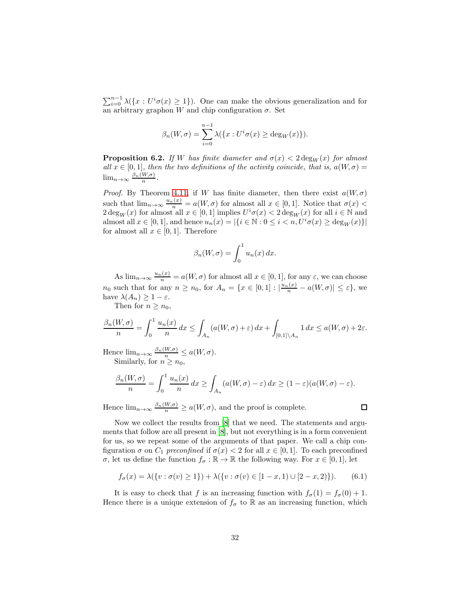$\sum_{i=0}^{n-1} \lambda(\lbrace x : U^i \sigma(x) \geq 1 \rbrace)$ . One can make the obvious generalization and for an arbitrary graphon W and chip configuration  $\sigma$ . Set

$$
\beta_n(W,\sigma) = \sum_{i=0}^{n-1} \lambda(\{x:U^i\sigma(x) \ge \deg_W(x)\}).
$$

<span id="page-31-0"></span>**Proposition 6.2.** If W has finite diameter and  $\sigma(x) < 2 \deg_W(x)$  for almost all  $x \in [0,1]$ , then the two definitions of the activity coincide, that is,  $a(W, \sigma) =$  $\lim_{n\to\infty}\frac{\beta_n(W,\sigma)}{n}.$ 

*Proof.* By Theorem [4.11,](#page-19-0) if W has finite diameter, then there exist  $a(W, \sigma)$ such that  $\lim_{n\to\infty} \frac{u_n(x)}{n} = a(W,\sigma)$  for almost all  $x \in [0,1]$ . Notice that  $\sigma(x)$  $2 \deg_W(x)$  for almost all  $x \in [0, 1]$  implies  $U^i \sigma(x) < 2 \deg_W(x)$  for all  $i \in \mathbb{N}$  and almost all  $x \in [0,1]$ , and hence  $u_n(x) = |\{i \in \mathbb{N} : 0 \le i \le n, U^i \sigma(x) \ge \deg_W(x)\}|$ for almost all  $x \in [0,1]$ . Therefore

$$
\beta_n(W,\sigma) = \int_0^1 u_n(x) \, dx.
$$

As  $\lim_{n\to\infty} \frac{u_n(x)}{n} = a(W,\sigma)$  for almost all  $x \in [0,1]$ , for any  $\varepsilon$ , we can choose  $n_0$  such that for any  $n \ge n_0$ , for  $A_n = \{x \in [0,1] : |\frac{u_n(x)}{n} - a(W,\sigma)| \le \varepsilon\}$ , we have  $\lambda(A_n) \geq 1 - \varepsilon$ .

Then for  $n > n_0$ ,

$$
\frac{\beta_n(W,\sigma)}{n} = \int_0^1 \frac{u_n(x)}{n} dx \le \int_{A_n} (a(W,\sigma) + \varepsilon) dx + \int_{[0,1] \setminus A_n} 1 dx \le a(W,\sigma) + 2\varepsilon.
$$

Hence  $\lim_{n\to\infty} \frac{\beta_n(W,\sigma)}{n} \leq a(W,\sigma)$ . Similarly, for  $n \geq n_0$ ,

$$
\frac{\beta_n(W,\sigma)}{n} = \int_0^1 \frac{u_n(x)}{n} dx \ge \int_{A_n} (a(W,\sigma) - \varepsilon) dx \ge (1 - \varepsilon)(a(W,\sigma) - \varepsilon).
$$

Hence  $\lim_{n\to\infty} \frac{\beta_n(W,\sigma)}{n} \ge a(W,\sigma)$ , and the proof is complete.

Now we collect the results from [\[8](#page-44-1)] that we need. The statements and arguments that follow are all present in [\[8](#page-44-1)], but not everything is in a form convenient for us, so we repeat some of the arguments of that paper. We call a chip configuration  $\sigma$  on  $C_1$  preconfined if  $\sigma(x) < 2$  for all  $x \in [0,1]$ . To each preconfined

σ, let us define the function  $f_\sigma : \mathbb{R} \to \mathbb{R}$  the following way. For  $x \in [0, 1]$ , let

<span id="page-31-1"></span>
$$
f_{\sigma}(x) = \lambda(\{v : \sigma(v) \ge 1\}) + \lambda(\{v : \sigma(v) \in [1-x, 1) \cup [2-x, 2)\}).
$$
 (6.1)

It is easy to check that f is an increasing function with  $f_{\sigma}(1) = f_{\sigma}(0) + 1$ . Hence there is a unique extension of  $f_{\sigma}$  to R as an increasing function, which

 $\Box$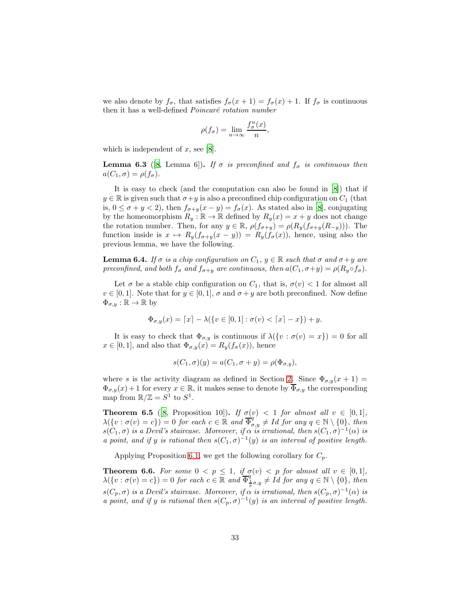we also denote by  $f_{\sigma}$ , that satisfies  $f_{\sigma}(x+1) = f_{\sigma}(x) + 1$ . If  $f_{\sigma}$  is continuous then it has a well-defined  $Poincaré$  rotation number

$$
\rho(f_{\sigma}) = \lim_{n \to \infty} \frac{f_{\sigma}^n(x)}{n},
$$

which is independent of  $x$ , see [\[8\]](#page-44-1).

**Lemma 6.3** ([\[8,](#page-44-1) Lemma 6]). If  $\sigma$  is preconfined and  $f_{\sigma}$  is continuous then  $a(C_1, \sigma) = \rho(f_{\sigma}).$ 

It is easy to check (and the computation can also be found in [\[8\]](#page-44-1)) that if  $y \in \mathbb{R}$  is given such that  $\sigma + y$  is also a preconfined chip configuration on  $C_1$  (that is,  $0 \leq \sigma + y < 2$ , then  $f_{\sigma+y}(x-y) = f_{\sigma}(x)$ . As stated also in [\[8](#page-44-1)], conjugating by the homeomorphism  $R_y : \mathbb{R} \to \mathbb{R}$  defined by  $R_y(x) = x + y$  does not change the rotation number. Then, for any  $y \in \mathbb{R}$ ,  $\rho(f_{\sigma+y}) = \rho(R_y(f_{\sigma+y}(R_{-y})))$ . The function inside is  $x \mapsto R_y(f_{\sigma+y}(x-y)) = R_y(f_{\sigma}(x))$ , hence, using also the previous lemma, we have the following.

<span id="page-32-1"></span>**Lemma 6.4.** If  $\sigma$  is a chip configuration on  $C_1$ ,  $y \in \mathbb{R}$  such that  $\sigma$  and  $\sigma + y$  are preconfined, and both  $f_{\sigma}$  and  $f_{\sigma+y}$  are continuous, then  $a(C_1, \sigma+y) = \rho(R_y \circ f_{\sigma})$ .

Let  $\sigma$  be a stable chip configuration on  $C_1$ , that is,  $\sigma(v) < 1$  for almost all  $v \in [0,1]$ . Note that for  $y \in [0,1]$ ,  $\sigma$  and  $\sigma + y$  are both preconfined. Now define  $\Phi_{\sigma,y}:\mathbb{R}\to\mathbb{R}$  by

$$
\Phi_{\sigma,y}(x) = \lceil x \rceil - \lambda(\{v \in [0,1] : \sigma(v) < \lceil x \rceil - x\}) + y.
$$

It is easy to check that  $\Phi_{\sigma,y}$  is continuous if  $\lambda({v : \sigma(v) = x}) = 0$  for all  $x \in [0, 1]$ , and also that  $\Phi_{\sigma, y}(x) = R_y(f_\sigma(x))$ , hence

$$
s(C_1, \sigma)(y) = a(C_1, \sigma + y) = \rho(\Phi_{\sigma, y}),
$$

where s is the activity diagram as defined in Section [2.](#page-2-0) Since  $\Phi_{\sigma,y}(x+1) =$  $\Phi_{\sigma,y}(x) + 1$  for every  $x \in \mathbb{R}$ , it makes sense to denote by  $\overline{\Phi}_{\sigma,y}$  the corresponding map from  $\mathbb{R}/\mathbb{Z} = S^1$  to  $S^1$ .

**Theorem 6.5** ([\[8](#page-44-1), Proposition 10]). If  $\sigma(v) < 1$  for almost all  $v \in [0,1]$ ,  $\lambda(\lbrace v : \sigma(v) = c \rbrace) = 0$  for each  $c \in \mathbb{R}$  and  $\overline{\Phi}_{\sigma,y}^{q'} \neq Id$  for any  $q \in \mathbb{N} \setminus \lbrace 0 \rbrace$ , then  $s(C_1,\sigma)$  is a Devil's staircase. Moreover, if  $\alpha$  is irrational, then  $s(C_1,\sigma)^{-1}(\alpha)$  is a point, and if y is rational then  $s(C_1, \sigma)^{-1}(y)$  is an interval of positive length.

Applying Proposition [6.1,](#page-30-0) we get the following corollary for  $C_p$ .

<span id="page-32-0"></span>**Theorem 6.6.** For some  $0 < p \leq 1$ , if  $\sigma(v) < p$  for almost all  $v \in [0,1]$ ,  $\lambda(\lbrace v : \sigma(v) = c \rbrace) = 0$  for each  $c \in \mathbb{R}$  and  $\overline{\Phi_{\frac{1}{p}\sigma,y}}^q \neq Id$  for any  $q \in \mathbb{N} \setminus \lbrace 0 \rbrace$ , then  $s(C_p, \sigma)$  is a Devil's staircase. Moreover, if  $\alpha$  is irrational, then  $s(C_p, \sigma)^{-1}(\alpha)$  is a point, and if y is rational then  $s(C_p, \sigma)^{-1}(y)$  is an interval of positive length.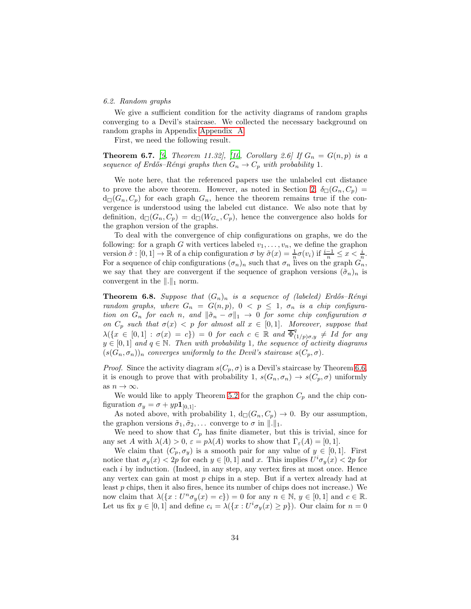#### 6.2. Random graphs

We give a sufficient condition for the activity diagrams of random graphs converging to a Devil's staircase. We collected the necessary background on random graphs in Appendix [Appendix A.](#page-42-0)

First, we need the following result.

<span id="page-33-1"></span>**Theorem 6.7.** [\[9,](#page-44-3) Theorem 11.32], [\[10,](#page-44-2) Corollary 2.6] If  $G_n = G(n, p)$  is a sequence of Erdős–Rényi graphs then  $G_n \to C_p$  with probability 1.

We note here, that the referenced papers use the unlabeled cut distance to prove the above theorem. However, as noted in Section [2,](#page-2-0)  $\delta_{\Box}(G_n, C_n)$  =  $d_{\Box}(G_n, C_p)$  for each graph  $G_n$ , hence the theorem remains true if the convergence is understood using the labeled cut distance. We also note that by definition,  $d_{\Box}(G_n, C_p) = d_{\Box}(W_{G_n}, C_p)$ , hence the convergence also holds for the graphon version of the graphs.

To deal with the convergence of chip configurations on graphs, we do the following: for a graph G with vertices labeled  $v_1, \ldots, v_n$ , we define the graphon version  $\tilde{\sigma} : [0,1] \to \mathbb{R}$  of a chip configuration  $\sigma$  by  $\tilde{\sigma}(x) = \frac{1}{n}\sigma(v_i)$  if  $\frac{i-1}{n} \leq x < \frac{i}{n}$ . For a sequence of chip configurations  $(\sigma_n)_n$  such that  $\sigma_n$  lives on the graph  $G_n^{\prime\prime}$ , we say that they are convergent if the sequence of graphon versions  $(\tilde{\sigma}_n)_n$  is convergent in the  $\|.\|_1$  norm.

<span id="page-33-0"></span>**Theorem 6.8.** Suppose that  $(G_n)_n$  is a sequence of (labeled) Erdős–Rényi random graphs, where  $G_n = G(n, p)$ ,  $0 \le p \le 1$ ,  $\sigma_n$  is a chip configuration on  $G_n$  for each n, and  $\|\tilde{\sigma}_n - \sigma\|_1 \to 0$  for some chip configuration  $\sigma$ on  $C_p$  such that  $\sigma(x) < p$  for almost all  $x \in [0,1]$ . Moreover, suppose that  $\lambda(\lbrace x \in [0,1]: \sigma(x) = c \rbrace) = 0$  for each  $c \in \mathbb{R}$  and  $\overline{\Phi}_{(1/p)\sigma,y}^{q} \neq Id$  for any  $y \in [0,1]$  and  $q \in \mathbb{N}$ . Then with probability 1, the sequence of activity diagrams  $(s(G_n, \sigma_n))_n$  converges uniformly to the Devil's staircase  $s(C_p, \sigma)$ .

*Proof.* Since the activity diagram  $s(C_p, \sigma)$  is a Devil's staircase by Theorem [6.6,](#page-32-0) it is enough to prove that with probability 1,  $s(G_n, \sigma_n) \to s(C_p, \sigma)$  uniformly as  $n \to \infty$ .

We would like to apply Theorem [5.2](#page-22-0) for the graphon  $C_p$  and the chip configuration  $\sigma_y = \sigma + yp\mathbf{1}_{[0,1]}.$ 

As noted above, with probability 1,  $d_{\Box}(G_n, C_p) \rightarrow 0$ . By our assumption, the graphon versions  $\tilde{\sigma}_1, \tilde{\sigma}_2, \ldots$  converge to  $\sigma$  in  $\|.\|_1$ .

We need to show that  $C_p$  has finite diameter, but this is trivial, since for any set A with  $\lambda(A) > 0$ ,  $\varepsilon = p\lambda(A)$  works to show that  $\Gamma_{\varepsilon}(A) = [0, 1].$ 

We claim that  $(C_p, \sigma_y)$  is a smooth pair for any value of  $y \in [0, 1]$ . First notice that  $\sigma_y(x) < 2p$  for each  $y \in [0,1]$  and x. This implies  $U^i \sigma_y(x) < 2p$  for each *i* by induction. (Indeed, in any step, any vertex fires at most once. Hence any vertex can gain at most p chips in a step. But if a vertex already had at least  $p$  chips, then it also fires, hence its number of chips does not increase.) We now claim that  $\lambda(\lbrace x:U^n \sigma_y(x) = c \rbrace) = 0$  for any  $n \in \mathbb{N}, y \in [0, 1]$  and  $c \in \mathbb{R}$ . Let us fix  $y \in [0, 1]$  and define  $c_i = \lambda(\lbrace x : U^i \sigma_y(x) \geq p \rbrace)$ . Our claim for  $n = 0$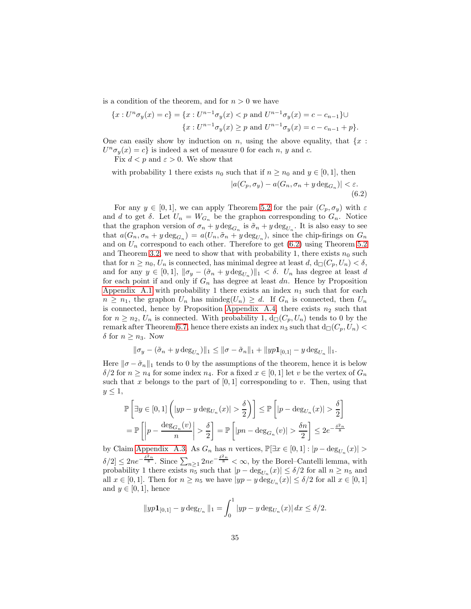is a condition of the theorem, and for  $n > 0$  we have

$$
\{x: U^n \sigma_y(x) = c\} = \{x: U^{n-1} \sigma_y(x) < p \text{ and } U^{n-1} \sigma_y(x) = c - c_{n-1}\} \cup
$$
  

$$
\{x: U^{n-1} \sigma_y(x) \ge p \text{ and } U^{n-1} \sigma_y(x) = c - c_{n-1} + p\}.
$$

One can easily show by induction on n, using the above equality, that  $\{x :$  $U^n \sigma_y(x) = c$  is indeed a set of measure 0 for each n, y and c.

Fix  $d < p$  and  $\varepsilon > 0$ . We show that

<span id="page-34-0"></span>with probability 1 there exists  $n_0$  such that if  $n \geq n_0$  and  $y \in [0, 1]$ , then

$$
|a(C_p, \sigma_y) - a(G_n, \sigma_n + y \deg_{G_n})| < \varepsilon. \tag{6.2}
$$

For any  $y \in [0, 1]$ , we can apply Theorem [5.2](#page-22-0) for the pair  $(C_p, \sigma_y)$  with  $\varepsilon$ and d to get  $\delta$ . Let  $U_n = W_{G_n}$  be the graphon corresponding to  $G_n$ . Notice that the graphon version of  $\sigma_n + y \deg_{G_n}$  is  $\tilde{\sigma}_n + y \deg_{U_n}$ . It is also easy to see that  $a(G_n, \sigma_n + y \deg_{G_n}) = a(U_n, \tilde{\sigma}_n + y \deg_{U_n})$ , since the chip-firings on  $G_n$ and on  $U_n$  correspond to each other. Therefore to get  $(6.2)$  using Theorem [5.2](#page-22-0) and Theorem [3.2,](#page-6-2) we need to show that with probability 1, there exists  $n_0$  such that for  $n \geq n_0$ ,  $U_n$  is connected, has minimal degree at least  $d$ ,  $d_{\Box}(C_p, U_n) < \delta$ , and for any  $y \in [0,1]$ ,  $\|\sigma_y - (\tilde{\sigma}_n + y \deg_{U_n})\|_1 < \delta$ .  $U_n$  has degree at least d for each point if and only if  $G_n$  has degree at least dn. Hence by Proposition [Appendix A.1](#page-42-1) with probability 1 there exists an index  $n_1$  such that for each  $n \geq n_1$ , the graphon  $U_n$  has mindeg $(U_n) \geq d$ . If  $G_n$  is connected, then  $U_n$ is connected, hence by Proposition [Appendix A.4,](#page-43-1) there exists  $n_2$  such that for  $n \geq n_2$ ,  $U_n$  is connected. With probability 1,  $d_{\Box}(C_n, U_n)$  tends to 0 by the remark after Theorem [6.7,](#page-33-1) hence there exists an index  $n_3$  such that  $d_{\square}(C_p, U_n)$ δ for  $n \geq n_3$ . Now

$$
\|\sigma_y - (\tilde{\sigma}_n + y \deg_{U_n})\|_1 \le \|\sigma - \tilde{\sigma}_n\|_1 + \|yp\mathbf{1}_{[0,1]} - y \deg_{U_n}\|_1.
$$

Here  $\|\sigma - \tilde{\sigma}_n\|_1$  tends to 0 by the assumptions of the theorem, hence it is below  $\delta/2$  for  $n \geq n_4$  for some index  $n_4$ . For a fixed  $x \in [0,1]$  let v be the vertex of  $G_n$ such that x belongs to the part of  $[0, 1]$  corresponding to v. Then, using that  $y \leq 1$ ,

$$
\mathbb{P}\left[\exists y \in [0,1] \left(|yp - y \deg_{U_n}(x)| > \frac{\delta}{2}\right)\right] \le \mathbb{P}\left[|p - \deg_{U_n}(x)| > \frac{\delta}{2}\right]
$$

$$
= \mathbb{P}\left[\left|p - \frac{\deg_{G_n}(v)}{n}\right| > \frac{\delta}{2}\right] = \mathbb{P}\left[|pn - \deg_{G_n}(v)| > \frac{\delta n}{2}\right] \le 2e^{-\frac{\delta^2 n}{8}}
$$

by Claim [Appendix A.3.](#page-42-2) As  $G_n$  has n vertices,  $\mathbb{P}[\exists x \in [0,1] : |p - \deg_{U_n}(x)| >$  $\delta/2 \leq 2ne^{-\frac{\delta^2 n}{8}}$ . Since  $\sum_{n\geq 1} 2ne^{-\frac{\delta^2 n}{8}} < \infty$ , by the Borel–Cantelli lemma, with probability 1 there exists  $n_5$  such that  $|p - \deg_{U_n}(x)| \le \delta/2$  for all  $n \ge n_5$  and all  $x \in [0,1]$ . Then for  $n \ge n_5$  we have  $|yp - y \deg_{U_n}(x)| \le \delta/2$  for all  $x \in [0,1]$ and  $y \in [0, 1]$ , hence

$$
||yp1_{[0,1]} - y \deg_{U_n}||_1 = \int_0^1 |yp - y \deg_{U_n}(x)| dx \le \delta/2.
$$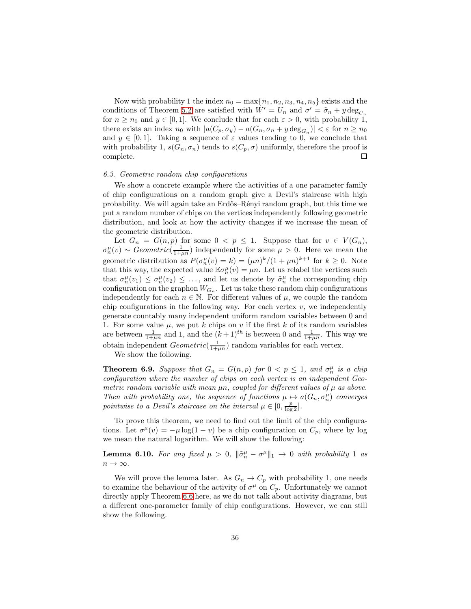Now with probability 1 the index  $n_0 = \max\{n_1, n_2, n_3, n_4, n_5\}$  exists and the conditions of Theorem [5.2](#page-22-0) are satisfied with  $W' = U_n$  and  $\sigma' = \tilde{\sigma}_n + y \deg_{U_n}$ for  $n \geq n_0$  and  $y \in [0, 1]$ . We conclude that for each  $\varepsilon > 0$ , with probability 1, there exists an index  $n_0$  with  $|a(C_p, \sigma_y) - a(G_n, \sigma_n + y \deg_{G_n})| < \varepsilon$  for  $n \ge n_0$ and  $y \in [0, 1]$ . Taking a sequence of  $\varepsilon$  values tending to 0, we conclude that with probability 1,  $s(G_n, \sigma_n)$  tends to  $s(C_p, \sigma)$  uniformly, therefore the proof is complete. 口

## 6.3. Geometric random chip configurations

We show a concrete example where the activities of a one parameter family of chip configurations on a random graph give a Devil's staircase with high probability. We will again take an Erd˝os–R´enyi random graph, but this time we put a random number of chips on the vertices independently following geometric distribution, and look at how the activity changes if we increase the mean of the geometric distribution.

Let  $G_n = G(n, p)$  for some  $0 \le p \le 1$ . Suppose that for  $v \in V(G_n)$ ,  $\sigma_n^{\mu}(v) \sim Geometric(\frac{1}{1+\mu n})$  independently for some  $\mu > 0$ . Here we mean the geometric distribution as  $P(\sigma_n^{\mu}(v) = k) = (\mu n)^k/(1 + \mu n)^{k+1}$  for  $k \geq 0$ . Note that this way, the expected value  $\mathbb{E}\sigma_n^{\mu}(v) = \mu n$ . Let us relabel the vertices such that  $\sigma_n^{\mu}(v_1) \leq \sigma_n^{\mu}(v_2) \leq \ldots$ , and let us denote by  $\tilde{\sigma}_n^{\mu}$  the corresponding chip configuration on the graphon  $W_{G_n}$ . Let us take these random chip configurations independently for each  $n \in \mathbb{N}$ . For different values of  $\mu$ , we couple the random chip configurations in the following way. For each vertex  $v$ , we independently generate countably many independent uniform random variables between 0 and 1. For some value  $\mu$ , we put k chips on v if the first k of its random variables are between  $\frac{1}{1+\mu n}$  and 1, and the  $(k+1)^{th}$  is between 0 and  $\frac{1}{1+\mu n}$ . This way we obtain independent  $Geometric(\frac{1}{1+\mu n})$  random variables for each vertex.

We show the following.

<span id="page-35-0"></span>**Theorem 6.9.** Suppose that  $G_n = G(n, p)$  for  $0 < p \le 1$ , and  $\sigma_n^{\mu}$  is a chip configuration where the number of chips on each vertex is an independent Geometric random variable with mean  $\mu n$ , coupled for different values of  $\mu$  as above. Then with probability one, the sequence of functions  $\mu \mapsto a(G_n, \sigma_n^{\mu})$  converges pointwise to a Devil's staircase on the interval  $\mu \in [0, \frac{p}{\log 2}]$ .

To prove this theorem, we need to find out the limit of the chip configurations. Let  $\sigma^{\mu}(v) = -\mu \log(1 - v)$  be a chip configuration on  $C_p$ , where by log we mean the natural logarithm. We will show the following:

<span id="page-35-1"></span>**Lemma 6.10.** For any fixed  $\mu > 0$ ,  $\|\tilde{\sigma}_n^{\mu} - \sigma^{\mu}\|_1 \to 0$  with probability 1 as  $n \to \infty$ .

We will prove the lemma later. As  $G_n \to C_p$  with probability 1, one needs to examine the behaviour of the activity of  $\sigma^{\mu}$  on  $C_p$ . Unfortunately we cannot directly apply Theorem [6.6](#page-32-0) here, as we do not talk about activity diagrams, but a different one-parameter family of chip configurations. However, we can still show the following.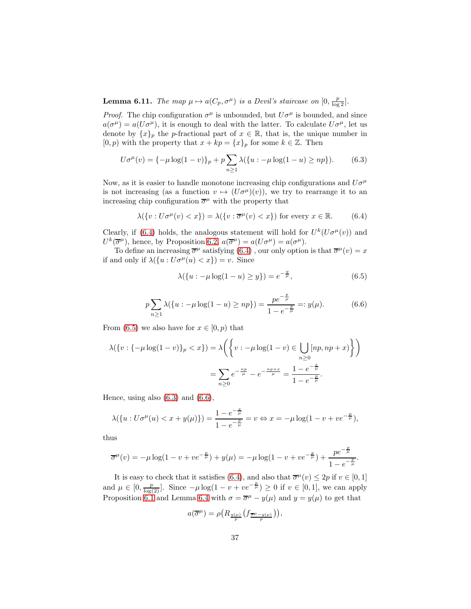<span id="page-36-4"></span>**Lemma 6.11.** The map  $\mu \mapsto a(C_p, \sigma^{\mu})$  is a Devil's staircase on  $[0, \frac{p}{\log 2}]$ .

*Proof.* The chip configuration  $\sigma^{\mu}$  is unbounded, but  $U\sigma^{\mu}$  is bounded, and since  $a(\sigma^{\mu}) = a(U\sigma^{\mu})$ , it is enough to deal with the latter. To calculate  $U\sigma^{\mu}$ , let us denote by  ${x}_p$  the *p*-fractional part of  $x \in \mathbb{R}$ , that is, the unique number in  $[0, p)$  with the property that  $x + kp = \{x\}_p$  for some  $k \in \mathbb{Z}$ . Then

$$
U\sigma^{\mu}(v) = \{-\mu \log(1-v)\}_p + p \sum_{n \ge 1} \lambda(\{u : -\mu \log(1-u) \ge np\}).
$$
 (6.3)

Now, as it is easier to handle monotone increasing chip configurations and  $U\sigma^{\mu}$ is not increasing (as a function  $v \mapsto (U\sigma^{\mu})(v)$ ), we try to rearrange it to an increasing chip configuration  $\bar{\sigma}^{\mu}$  with the property that

$$
\lambda(\{v: U\sigma^{\mu}(v) < x\}) = \lambda(\{v: \overline{\sigma}^{\mu}(v) < x\}) \text{ for every } x \in \mathbb{R}.\tag{6.4}
$$

Clearly, if [\(6.4\)](#page-36-0) holds, the analogous statement will hold for  $U^k(U\sigma^\mu(v))$  and  $U^k(\overline{\sigma}^{\mu})$ , hence, by Proposition [6.2,](#page-31-0)  $a(\overline{\sigma}^{\mu}) = a(U\sigma^{\mu}) = a(\sigma^{\mu})$ .

To define an increasing  $\overline{\sigma}^{\mu}$  satisfying  $(6.4)$ , our only option is that  $\overline{\sigma}^{\mu}(v) = x$ if and only if  $\lambda({u : U\sigma^{\mu}(u) < x}) = v$ . Since

<span id="page-36-3"></span><span id="page-36-2"></span><span id="page-36-1"></span><span id="page-36-0"></span>
$$
\lambda(\{u: -\mu \log(1 - u) \ge y\}) = e^{-\frac{y}{\mu}},\tag{6.5}
$$

$$
p\sum_{n\geq 1} \lambda(\{u : -\mu \log(1-u) \geq np\}) = \frac{pe^{-\frac{p}{\mu}}}{1 - e^{-\frac{p}{\mu}}} =: y(\mu). \tag{6.6}
$$

From [\(6.5\)](#page-36-1) we also have for  $x \in [0, p)$  that

$$
\lambda(\{v : \{-\mu \log(1-v)\}_p < x\}) = \lambda\left(\left\{v : -\mu \log(1-v) \in \bigcup_{n\geq 0} [np, np + x] \right\}\right)
$$

$$
= \sum_{n\geq 0} e^{-\frac{np}{\mu}} - e^{-\frac{np + x}{\mu}} = \frac{1 - e^{-\frac{x}{\mu}}}{1 - e^{-\frac{p}{\mu}}}.
$$

Hence, using also  $(6.3)$  and  $(6.6)$ ,

$$
\lambda(\{u: U\sigma^{\mu}(u) < x + y(\mu)\}) = \frac{1 - e^{-\frac{x}{\mu}}}{1 - e^{-\frac{p}{\mu}}} = v \Leftrightarrow x = -\mu \log(1 - v + v e^{-\frac{p}{\mu}}),
$$

thus

$$
\overline{\sigma}^{\mu}(v) = -\mu \log(1 - v + v e^{-\frac{p}{\mu}}) + y(\mu) = -\mu \log(1 - v + v e^{-\frac{p}{\mu}}) + \frac{p e^{-\frac{p}{\mu}}}{1 - e^{-\frac{p}{\mu}}}.
$$

It is easy to check that it satisfies [\(6.4\)](#page-36-0), and also that  $\overline{\sigma}^{\mu}(v) \leq 2p$  if  $v \in [0,1]$ and  $\mu \in [0, \frac{p}{\log(2)}]$ . Since  $-\mu \log(1 - v + v e^{-\frac{p}{\mu}}) \ge 0$  if  $v \in [0, 1]$ , we can apply Proposition [6.1](#page-30-0) and Lemma [6.4](#page-32-1) with  $\sigma = \overline{\sigma}^{\mu} - y(\mu)$  and  $y = y(\mu)$  to get that

$$
a(\overline{\sigma}^{\mu}) = \rho\left(R_{\frac{y(\mu)}{p}}\left(f_{\frac{\overline{\sigma}^{\mu}-y(\mu)}{p}}\right)\right),
$$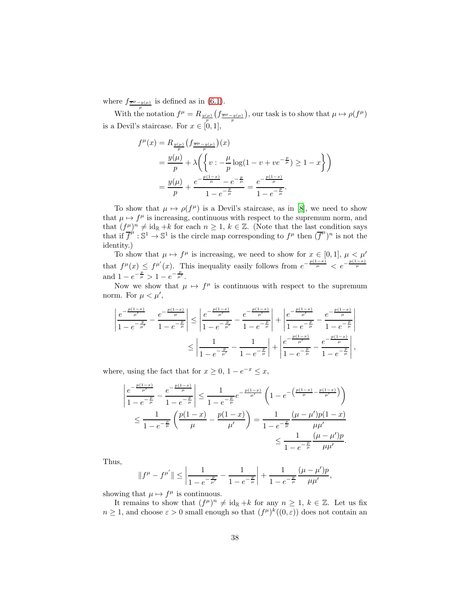where  $f_{\frac{\overline{\sigma}\mu - y(\mu)}{p}}$  is defined as in [\(6.1\)](#page-31-1).

With the notation  $f^{\mu} = R_{\frac{y(\mu)}{p}}(f_{\frac{\overline{\sigma}\mu - y(\mu)}{p}})$ , our task is to show that  $\mu \mapsto \rho(f^{\mu})$ is a Devil's staircase. For  $x \in [0, 1]$ ,

$$
f^{\mu}(x) = R_{\frac{y(\mu)}{p}}(f_{\frac{\overline{\sigma}\mu - y(\mu)}{p}})(x)
$$
  
=  $\frac{y(\mu)}{p} + \lambda \left( \left\{ v : -\frac{\mu}{p} \log(1 - v + v e^{-\frac{p}{\mu}}) \ge 1 - x \right\} \right)$   
=  $\frac{y(\mu)}{p} + \frac{e^{-\frac{p(1-x)}{\mu}} - e^{-\frac{p}{\mu}}}{1 - e^{-\frac{p}{\mu}}} = \frac{e^{-\frac{p(1-x)}{\mu}}}{1 - e^{-\frac{p}{\mu}}}.$ 

To show that  $\mu \mapsto \rho(f^{\mu})$  is a Devil's staircase, as in [\[8](#page-44-1)], we need to show that  $\mu \mapsto f^\mu$  is increasing, continuous with respect to the supremum norm, and that  $(f^{\mu})^n \neq \mathrm{id}_{\mathbb{R}} + k$  for each  $n \geq 1$ ,  $k \in \mathbb{Z}$ . (Note that the last condition says that if  $\overline{f}^{\mu}$ :  $\mathbb{S}^{1} \to \mathbb{S}^{1}$  is the circle map corresponding to  $f^{\mu}$  then  $(\overline{f}^{\mu})^{n}$  is not the identity.)

To show that  $\mu \mapsto f^{\mu}$  is increasing, we need to show for  $x \in [0,1], \mu \leq \mu'$ that  $f^{\mu}(x) \leq f^{\mu'}(x)$ . This inequality easily follows from  $e^{-\frac{p(1-x)}{\mu}} < e^{-\frac{p(1-x)}{\mu}}$ and  $1 - e^{-\frac{p}{\mu}} > 1 - e^{-\frac{p}{\mu'}}$ .

Now we show that  $\mu \mapsto f^{\mu}$  is continuous with respect to the supremum norm. For  $\mu < \mu'$ ,

$$
\left| \frac{e^{-\frac{p(1-x)}{\mu'}}}{1 - e^{-\frac{p}{\mu'}}} - \frac{e^{-\frac{p(1-x)}{\mu}}}{1 - e^{-\frac{p}{\mu}}} \right| \le \left| \frac{e^{-\frac{p(1-x)}{\mu'}}}{1 - e^{-\frac{p}{\mu'}}} - \frac{e^{-\frac{p(1-x)}{\mu'}}}{1 - e^{-\frac{p}{\mu}}} \right| + \left| \frac{e^{-\frac{p(1-x)}{\mu'}}}{1 - e^{-\frac{p}{\mu}}} - \frac{e^{-\frac{p(1-x)}{\mu}}}{1 - e^{-\frac{p}{\mu}}} \right|}{1 - e^{-\frac{p}{\mu}}} \le \left| \frac{1}{1 - e^{-\frac{p}{\mu'}}} - \frac{1}{1 - e^{-\frac{p}{\mu}}} \right| + \left| \frac{e^{-\frac{p(1-x)}{\mu'}}}{1 - e^{-\frac{p}{\mu}}} - \frac{e^{-\frac{p(1-x)}{\mu}}}{1 - e^{-\frac{p}{\mu}}} \right|,
$$

where, using the fact that for  $x \geq 0$ ,  $1 - e^{-x} \leq x$ , p(1−x)

$$
\left| \frac{e^{-\frac{p(1-x)}{\mu'}}}{1 - e^{-\frac{p}{\mu}}} - \frac{e^{-\frac{p(1-x)}{\mu}}}{1 - e^{-\frac{p}{\mu}}} \right| \le \frac{1}{1 - e^{-\frac{p}{\mu}}} e^{-\frac{p(1-x)}{\mu'}} \left( 1 - e^{-\left(\frac{p(1-x)}{\mu} - \frac{p(1-x)}{\mu'}\right)} \right)
$$
  

$$
\le \frac{1}{1 - e^{-\frac{p}{\mu}}} \left( \frac{p(1-x)}{\mu} - \frac{p(1-x)}{\mu'} \right) = \frac{1}{1 - e^{-\frac{p}{\mu}}} \frac{(\mu - \mu')p(1-x)}{\mu\mu'}
$$
  

$$
\le \frac{1}{1 - e^{-\frac{p}{\mu}}} \frac{(\mu - \mu')p}{\mu\mu'}.
$$

Thus,

$$
||f^{\mu} - f^{\mu'}|| \le \left| \frac{1}{1 - e^{-\frac{p}{\mu'}}} - \frac{1}{1 - e^{-\frac{p}{\mu}}} \right| + \frac{1}{1 - e^{-\frac{p}{\mu}}} \frac{(\mu - \mu')p}{\mu\mu'},
$$

showing that  $\mu \mapsto f^{\mu}$  is continuous.

p(1−x)

It remains to show that  $(f^{\mu})^n \neq id_{\mathbb{R}} + k$  for any  $n \geq 1, k \in \mathbb{Z}$ . Let us fix  $n \geq 1$ , and choose  $\varepsilon > 0$  small enough so that  $(f^{\mu})^k((0,\varepsilon))$  does not contain an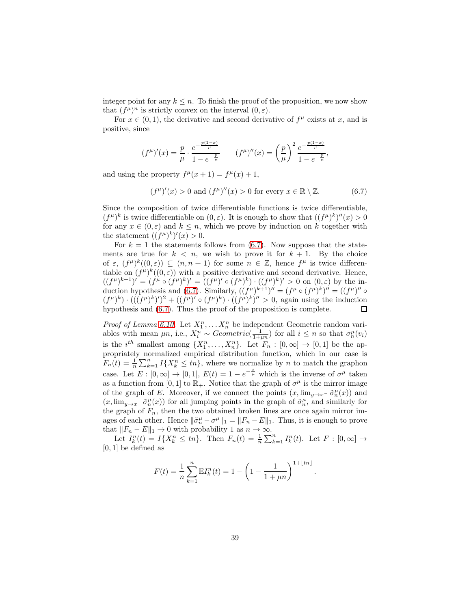integer point for any  $k \leq n$ . To finish the proof of the proposition, we now show that  $(f^{\mu})^n$  is strictly convex on the interval  $(0, \varepsilon)$ .

For  $x \in (0,1)$ , the derivative and second derivative of  $f^{\mu}$  exists at x, and is positive, since

$$
(f^{\mu})'(x) = \frac{p}{\mu} \cdot \frac{e^{-\frac{p(1-x)}{\mu}}}{1 - e^{-\frac{p}{\mu}}} \qquad (f^{\mu})''(x) = \left(\frac{p}{\mu}\right)^2 \frac{e^{-\frac{p(1-x)}{\mu}}}{1 - e^{-\frac{p}{\mu}}},
$$

and using the property  $f^{\mu}(x+1) = f^{\mu}(x) + 1$ ,

<span id="page-38-0"></span>
$$
(f^{\mu})'(x) > 0 \text{ and } (f^{\mu})''(x) > 0 \text{ for every } x \in \mathbb{R} \setminus \mathbb{Z}.
$$
 (6.7)

Since the composition of twice differentiable functions is twice differentiable,  $(f^{\mu})^k$  is twice differentiable on  $(0, \varepsilon)$ . It is enough to show that  $((f^{\mu})^k)^{\prime\prime}(x) > 0$ for any  $x \in (0, \varepsilon)$  and  $k \leq n$ , which we prove by induction on k together with the statement  $((f^{\mu})^k)'(x) > 0$ .

For  $k = 1$  the statements follows from [\(6.7\)](#page-38-0). Now suppose that the statements are true for  $k < n$ , we wish to prove it for  $k + 1$ . By the choice of  $\varepsilon$ ,  $(f^{\mu})^k((0,\varepsilon)) \subseteq (n, n+1)$  for some  $n \in \mathbb{Z}$ , hence  $f^{\mu}$  is twice differentiable on  $(f^{\mu})^k((0,\varepsilon))$  with a positive derivative and second derivative. Hence,  $((f^{\mu})^{k+1})' = (f^{\mu} \circ (f^{\mu})^{k})' = ((f^{\mu})' \circ (f^{\mu})^{k}) \cdot ((f^{\mu})^{k})' > 0$  on  $(0, \varepsilon)$  by the in-duction hypothesis and [\(6.7\)](#page-38-0). Similarly,  $((f^{\mu})^{k+1})'' = (f^{\mu} \circ (f^{\mu})^{k})'' = ((f^{\mu})'' \circ$  $(f^{\mu})^k$   $\cdot$   $(((f^{\mu})^k)')^2 + ((f^{\mu})' \circ (f^{\mu})^k) \cdot ((f^{\mu})^k)'' > 0$ , again using the induction hypothesis and [\(6.7\)](#page-38-0). Thus the proof of the proposition is complete.  $\Box$ 

*Proof of Lemma [6.10.](#page-35-1)* Let  $X_1^n, \ldots, X_n^n$  be independent Geometric random variables with mean  $\mu n$ , i.e.,  $X_i^n \sim Geometric(\frac{1}{1+\mu n})$  for all  $i \leq n$  so that  $\sigma_n^{\mu}(v_i)$ is the  $i^{th}$  smallest among  $\{X_1^n, \ldots, X_n^n\}$ . Let  $F_n : [0, \infty] \to [0, 1]$  be the appropriately normalized empirical distribution function, which in our case is  $F_n(t) = \frac{1}{n} \sum_{k=1}^n I\{X_k^n \leq tn\}$ , where we normalize by *n* to match the graphon case. Let  $E : [0, \infty] \to [0, 1], E(t) = 1 - e^{-\frac{t}{\mu}}$  which is the inverse of  $\sigma^{\mu}$  taken as a function from [0, 1] to  $\mathbb{R}_+$ . Notice that the graph of  $\sigma^{\mu}$  is the mirror image of the graph of E. Moreover, if we connect the points  $(x, \lim_{y\to x^-} \tilde{\sigma}_n^{\mu}(x))$  and  $(x, \lim_{y\to x^+} \tilde{\sigma}_n^{\mu}(x))$  for all jumping points in the graph of  $\tilde{\sigma}_n^{\mu}$ , and similarly for the graph of  $F_n$ , then the two obtained broken lines are once again mirror images of each other. Hence  $\|\tilde{\sigma}_n^{\mu} - \sigma^{\mu}\|_1 = \|F_n - E\|_1$ . Thus, it is enough to prove that  $||F_n - E||_1 \to 0$  with probability 1 as  $n \to \infty$ .

Let  $I_k^n(t) = I\{X_k^n \leq tn\}$ . Then  $F_n(t) = \frac{1}{n} \sum_{k=1}^n I_k^n(t)$ . Let  $F : [0, \infty] \to$  $[0, 1]$  be defined as

$$
F(t) = \frac{1}{n} \sum_{k=1}^{n} \mathbb{E} I_k^n(t) = 1 - \left(1 - \frac{1}{1 + \mu n}\right)^{1 + \lfloor tn \rfloor}.
$$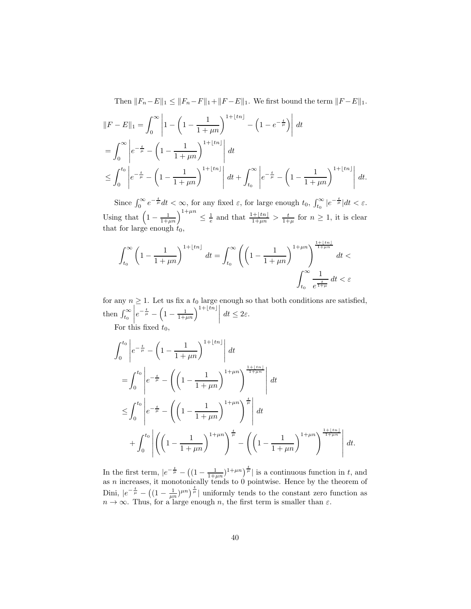Then  $||F_n-E||_1 \le ||F_n-F||_1+||F-E||_1$ . We first bound the term  $||F-E||_1$ .

$$
||F - E||_1 = \int_0^\infty \left| 1 - \left( 1 - \frac{1}{1 + \mu n} \right)^{1 + \lfloor tn \rfloor} - \left( 1 - e^{-\frac{t}{\mu}} \right) \right| dt
$$
  
= 
$$
\int_0^\infty \left| e^{-\frac{t}{\mu}} - \left( 1 - \frac{1}{1 + \mu n} \right)^{1 + \lfloor tn \rfloor} \right| dt
$$
  

$$
\leq \int_0^{t_0} \left| e^{-\frac{t}{\mu}} - \left( 1 - \frac{1}{1 + \mu n} \right)^{1 + \lfloor tn \rfloor} \right| dt + \int_{t_0}^\infty \left| e^{-\frac{t}{\mu}} - \left( 1 - \frac{1}{1 + \mu n} \right)^{1 + \lfloor tn \rfloor} \right| dt.
$$

Since  $\int_0^\infty e^{-\frac{t}{\mu}} dt < \infty$ , for any fixed  $\varepsilon$ , for large enough  $t_0$ ,  $\int_{t_0}^\infty |e^{-\frac{t}{\mu}}| dt < \varepsilon$ . Using that  $\left(1-\frac{1}{1+\mu n}\right)^{1+\mu n} \leq \frac{1}{e}$  and that  $\frac{1+\lfloor tn\rfloor}{1+\mu n} > \frac{t}{1+\mu}$  for  $n \geq 1$ , it is clear that for large enough  $t_0$ ,

$$
\int_{t_0}^{\infty} \left(1 - \frac{1}{1 + \mu n}\right)^{1 + \lfloor tn \rfloor} dt = \int_{t_0}^{\infty} \left( \left(1 - \frac{1}{1 + \mu n}\right)^{1 + \mu n} \right)^{\frac{1 + \lfloor tn \rfloor}{1 + \mu n}} dt \n\int_{t_0}^{\infty} \frac{1}{e^{\frac{t}{1 + \mu}}} dt < \varepsilon
$$

for any  $n \geq 1$ . Let us fix a  $t_0$  large enough so that both conditions are satisfied, then  $\int_{t_0}^{\infty}$  $\begin{array}{c} \begin{array}{c} \begin{array}{c} \end{array} \\ \begin{array}{c} \end{array} \end{array} \end{array}$  $e^{-\frac{t}{\mu}} - \left(1 - \frac{1}{1+\mu n}\right)^{1+\lfloor t\overline{n}\rfloor} dt \leq 2\varepsilon.$ 

For this fixed  $t_0$ ,

$$
\int_{0}^{t_{0}} \left| e^{-\frac{t}{\mu}} - \left( 1 - \frac{1}{1 + \mu n} \right)^{1 + \lfloor tn \rfloor} \right| dt
$$
\n
$$
= \int_{0}^{t_{0}} \left| e^{-\frac{t}{\mu}} - \left( \left( 1 - \frac{1}{1 + \mu n} \right)^{1 + \mu n} \right)^{\frac{1 + \lfloor tn \rfloor}{1 + \mu n}} \right| dt
$$
\n
$$
\leq \int_{0}^{t_{0}} \left| e^{-\frac{t}{\mu}} - \left( \left( 1 - \frac{1}{1 + \mu n} \right)^{1 + \mu n} \right)^{\frac{t}{\mu}} \right| dt
$$
\n
$$
+ \int_{0}^{t_{0}} \left| \left( \left( 1 - \frac{1}{1 + \mu n} \right)^{1 + \mu n} \right)^{\frac{t}{\mu}} - \left( \left( 1 - \frac{1}{1 + \mu n} \right)^{1 + \mu n} \right)^{\frac{1 + \lfloor tn \rfloor}{1 + \mu n}} \right| dt.
$$

In the first term,  $|e^{-\frac{t}{\mu}} - ((1 - \frac{1}{1+\mu n})^{1+\mu n})^{\frac{t}{\mu}}|$  is a continuous function in t, and as n increases, it monotonically tends to 0 pointwise. Hence by the theorem of Dini,  $|e^{-\frac{t}{\mu}} - ((1 - \frac{1}{\mu n})^{\mu n})^{\frac{t}{\mu}}|$  uniformly tends to the constant zero function as  $n \to \infty$ . Thus, for a large enough n, the first term is smaller than  $\varepsilon$ .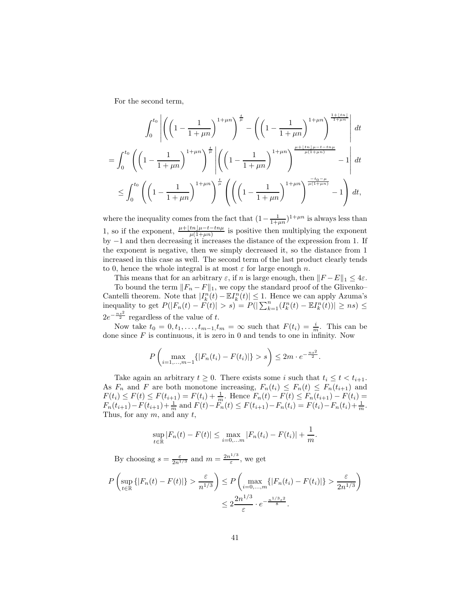For the second term,

$$
\int_0^{t_0} \left| \left( \left( 1 - \frac{1}{1 + \mu n} \right)^{1 + \mu n} \right)^{\frac{t}{\mu}} - \left( \left( 1 - \frac{1}{1 + \mu n} \right)^{1 + \mu n} \right)^{\frac{1 + \lfloor tn \rfloor}{1 + \mu n}} \right| dt
$$
  

$$
\int_0^{t_0} \left( \left( \frac{1}{\mu n} \right)^{\frac{1 + \mu n}{\mu}} \right)^{\frac{t}{\mu}} \left| \left( \left( \frac{1}{\mu n} \right)^{\frac{1 + \mu n}{\mu}} \right)^{\frac{\mu + \lfloor tn \rfloor \mu - t - tn \mu}{\mu (1 + \mu n)}} \right| dt
$$

$$
= \int_0^{t_0} \left( \left(1 - \frac{1}{1 + \mu n}\right)^{1 + \mu n} \right)^{\frac{t}{\mu}} \left| \left( \left(1 - \frac{1}{1 + \mu n}\right)^{1 + \mu n} \right)^{\frac{\mu + \lfloor tn \rfloor \mu - t - tn \mu}{\mu (1 + \mu n)}} - 1 \right| dt
$$

$$
\leq \int_0^{t_0} \left( \left( 1 - \frac{1}{1 + \mu n} \right)^{1 + \mu n} \right)^{\frac{t}{\mu}} \left( \left( \left( 1 - \frac{1}{1 + \mu n} \right)^{1 + \mu n} \right)^{\frac{-t_0 - \mu}{\mu (1 + \mu n)}} - 1 \right) dt,
$$

where the inequality comes from the fact that  $(1 - \frac{1}{1 + \mu n})^{1 + \mu n}$  is always less than 1, so if the exponent,  $\frac{\mu+[tn]\mu-t-tn\mu}{\mu(1+\mu n)}$  is positive then multiplying the exponent by  $-1$  and then decreasing it increases the distance of the expression from 1. If the exponent is negative, then we simply decreased it, so the distance from 1 increased in this case as well. The second term of the last product clearly tends to 0, hence the whole integral is at most  $\varepsilon$  for large enough n.

This means that for an arbitrary  $\varepsilon$ , if n is large enough, then  $||F - E||_1 \leq 4\varepsilon$ .

To bound the term  $||F_n - F||_1$ , we copy the standard proof of the Glivenko– Cantelli theorem. Note that  $|I_k^n(t) - \mathbb{E}I_k^n(t)| \leq 1$ . Hence we can apply Azuma's inequality to get  $P(|F_n(t) - F(t)| > s) = P(|\sum_{k=1}^n (I_k^n(t) - \mathbb{E}I_k^n(t))| \geq ns)$  ≤  $2e^{-\frac{ns^2}{2}}$  regardless of the value of t.

Now take  $t_0 = 0, t_1, \ldots, t_{m-1}, t_m = \infty$  such that  $F(t_i) = \frac{i}{m}$ . This can be done since  $F$  is continuous, it is zero in 0 and tends to one in infinity. Now

$$
P\left(\max_{i=1,\dots,m-1}\{|F_n(t_i)-F(t_i)|\}>s\right)\leq 2m\cdot e^{-\frac{ns^2}{2}}.
$$

Take again an arbitrary  $t \geq 0$ . There exists some i such that  $t_i \leq t < t_{i+1}$ . As  $F_n$  and F are both monotone increasing,  $F_n(t_i) \leq F_n(t) \leq F_n(t_{i+1})$  and  $F(t_i) \leq F(t) \leq F(t_{i+1}) = F(t_i) + \frac{1}{m}$ . Hence  $F_n(t) - F(t) \leq F_n(t_{i+1}) - F(t_i) =$  $F_n(t_{i+1}) - F(t_{i+1}) + \frac{1}{m}$  and  $F(t) - \ddot{F_n}(t) \leq F(t_{i+1}) - F_n(t_i) = F(t_i) - F_n(t_i) + \frac{1}{m}$ . Thus, for any  $m$ , and any  $t$ ,

$$
\sup_{t \in \mathbb{R}} |F_n(t) - F(t)| \le \max_{i=0,...,m} |F_n(t_i) - F(t_i)| + \frac{1}{m}.
$$

By choosing  $s = \frac{\varepsilon}{2n^{1/3}}$  and  $m = \frac{2n^{1/3}}{\varepsilon}$  $\frac{1}{\varepsilon}$ , we get

$$
P\left(\sup_{t\in\mathbb{R}}\{|F_n(t)-F(t)|\} > \frac{\varepsilon}{n^{1/3}}\right) \le P\left(\max_{i=0,\dots,m}\{|F_n(t_i)-F(t_i)|\} > \frac{\varepsilon}{2n^{1/3}}\right)
$$

$$
\le 2\frac{2n^{1/3}}{\varepsilon} \cdot e^{-\frac{n^{1/3}\varepsilon^2}{8}}.
$$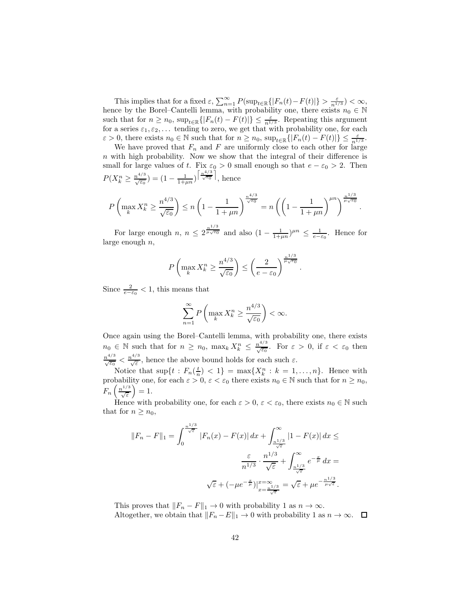This implies that for a fixed  $\varepsilon$ ,  $\sum_{n=1}^{\infty} P(\sup_{t \in \mathbb{R}} \{|F_n(t) - F(t)|\} > \frac{\varepsilon}{n^{1/3}}) < \infty$ , hence by the Borel–Cantelli lemma, with probability one, there exists  $n_0 \in \mathbb{N}$ such that for  $n \ge n_0$ ,  $\sup_{t \in \mathbb{R}} \{|F_n(t) - F(t)|\} \le \frac{\varepsilon}{n^{1/3}}$ . Repeating this argument for a series  $\varepsilon_1, \varepsilon_2, \ldots$  tending to zero, we get that with probability one, for each  $\varepsilon > 0$ , there exists  $n_0 \in \mathbb{N}$  such that for  $n \ge n_0$ ,  $\sup_{t \in \mathbb{R}} \{|F_n(t) - F(t)|\} \le \frac{\varepsilon}{n^{1/3}}$ .

We have proved that  $F_n$  and F are uniformly close to each other for large  $n$  with high probability. Now we show that the integral of their difference is small for large values of t. Fix  $\varepsilon_0 > 0$  small enough so that  $e - \varepsilon_0 > 2$ . Then  $P(X_k^n \geq \frac{n^{4/3}}{\sqrt{\varepsilon_0}}) = (1 - \frac{1}{1+\mu n})^{\left\lceil \frac{n^{4/3}}{\sqrt{\varepsilon_0}} \right\rceil}$ , hence

$$
P\left(\max_{k} X_{k}^{n} \ge \frac{n^{4/3}}{\sqrt{\varepsilon_{0}}}\right) \le n\left(1 - \frac{1}{1 + \mu n}\right)^{\frac{n^{4/3}}{\sqrt{\varepsilon_{0}}}} = n\left(\left(1 - \frac{1}{1 + \mu n}\right)^{\mu n}\right)^{\frac{n^{1/3}}{\mu\sqrt{\varepsilon_{0}}}}.
$$

For large enough  $n, n \leq 2^{\frac{n^{1/3}}{\mu\sqrt{\epsilon_0}}}$  and also  $(1-\frac{1}{1+\mu n})^{\mu n} \leq \frac{1}{e-\epsilon_0}$ . Hence for large enough  $n$ ,

$$
P\left(\max_{k} X_{k}^{n} \geq \frac{n^{4/3}}{\sqrt{\varepsilon_{0}}}\right) \leq \left(\frac{2}{e-\varepsilon_{0}}\right)^{\frac{n^{1/3}}{\mu\sqrt{\varepsilon_{0}}}}.
$$

Since  $\frac{2}{e-\varepsilon_0} < 1$ , this means that

$$
\sum_{n=1}^{\infty} P\left(\max_{k} X_{k}^{n} \ge \frac{n^{4/3}}{\sqrt{\varepsilon_{0}}}\right) < \infty.
$$

Once again using the Borel–Cantelli lemma, with probability one, there exists  $n_0 \in \mathbb{N}$  such that for  $n \geq n_0$ ,  $\max_k X_k^n \leq \frac{n^{4/3}}{\sqrt{\varepsilon_0}}$ . For  $\varepsilon > 0$ , if  $\varepsilon < \varepsilon_0$  then  $\frac{n^{4/3}}{\sqrt{\varepsilon}}$   $\lt \frac{n^{4/3}}{\sqrt{\varepsilon}}$ , hence the above bound holds for each such  $\varepsilon$ .

Notice that  $\sup\{t: F_n(\frac{t}{n}) < 1\} = \max\{X_k^n : k = 1, \ldots, n\}$ . Hence with probability one, for each  $\varepsilon > 0$ ,  $\varepsilon < \varepsilon_0$  there exists  $n_0 \in \mathbb{N}$  such that for  $n \ge n_0$ ,  $F_n\left(\frac{n^{1/3}}{\sqrt{\varepsilon}}\right)=1.$ 

Hence with probability one, for each  $\varepsilon > 0$ ,  $\varepsilon < \varepsilon_0$ , there exists  $n_0 \in \mathbb{N}$  such that for  $n \geq n_0$ ,

$$
||F_n - F||_1 = \int_0^{\frac{n^{1/3}}{\sqrt{\varepsilon}}} |F_n(x) - F(x)| dx + \int_{\frac{n^{1/3}}{\sqrt{\varepsilon}}}^{\infty} |1 - F(x)| dx \le
$$

$$
\frac{\varepsilon}{n^{1/3}} \cdot \frac{n^{1/3}}{\sqrt{\varepsilon}} + \int_{\frac{n^{1/3}}{\sqrt{\varepsilon}}}^{\infty} e^{-\frac{x}{\mu}} dx =
$$

$$
\sqrt{\varepsilon} + (-\mu e^{-\frac{x}{\mu}}) \Big|_{\substack{x = \frac{n^{1/3}}{\sqrt{\varepsilon}}}^{\infty} = \sqrt{\varepsilon} + \mu e^{-\frac{n^{1/3}}{\mu \sqrt{\varepsilon}}}.
$$

This proves that  $||F_n - F||_1 \to 0$  with probability 1 as  $n \to \infty$ . Altogether, we obtain that  $||F_n - E||_1 \to 0$  with probability 1 as  $n \to \infty$ .  $\Box$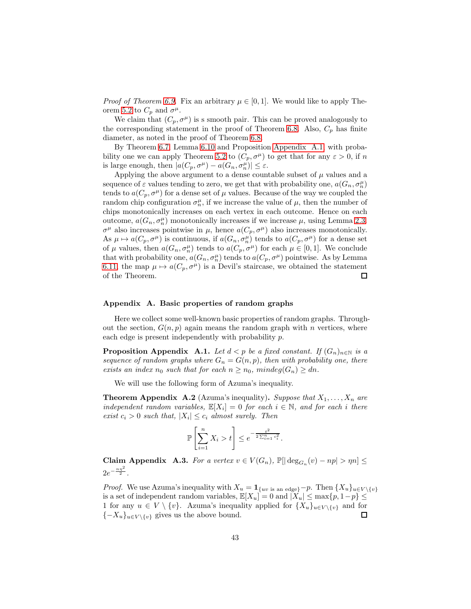*Proof of Theorem [6.9.](#page-35-0)* Fix an arbitrary  $\mu \in [0, 1]$ . We would like to apply The-orem [5.2](#page-22-0) to  $C_p$  and  $\sigma^{\mu}$ .

We claim that  $(C_p, \sigma^{\mu})$  is s smooth pair. This can be proved analogously to the corresponding statement in the proof of Theorem [6.8.](#page-33-0) Also,  $C_p$  has finite diameter, as noted in the proof of Theorem [6.8.](#page-33-0)

By Theorem [6.7,](#page-33-1) Lemma [6.10](#page-35-1) and Proposition [Appendix A.1,](#page-42-1) with proba-bility one we can apply Theorem [5.2](#page-22-0) to  $(C_p, \sigma^{\mu})$  to get that for any  $\varepsilon > 0$ , if n is large enough, then  $|a(C_p, \sigma^{\mu}) - a(G_n, \sigma^{\mu}_n)| \leq \varepsilon$ .

Applying the above argument to a dense countable subset of  $\mu$  values and a sequence of  $\varepsilon$  values tending to zero, we get that with probability one,  $a(G_n, \sigma_n^{\mu})$ tends to  $a(C_p, \sigma^{\mu})$  for a dense set of  $\mu$  values. Because of the way we coupled the random chip configuration  $\sigma_n^{\mu}$ , if we increase the value of  $\mu$ , then the number of chips monotonically increases on each vertex in each outcome. Hence on each outcome,  $a(G_n, \sigma_n^{\mu})$  monotonically increases if we increase  $\mu$ , using Lemma [2.3.](#page-4-1)  $\sigma^{\mu}$  also increases pointwise in  $\mu$ , hence  $a(C_p, \sigma^{\mu})$  also increases monotonically. As  $\mu \mapsto a(C_p, \sigma^{\mu})$  is continuous, if  $a(G_n, \sigma^{\mu}_n)$  tends to  $a(C_p, \sigma^{\mu})$  for a dense set of  $\mu$  values, then  $a(G_n, \sigma_n^{\mu})$  tends to  $a(C_p, \sigma^{\mu})$  for each  $\mu \in [0, 1]$ . We conclude that with probability one,  $a(G_n, \sigma_n^{\mu})$  tends to  $a(C_p, \sigma^{\mu})$  pointwise. As by Lemma [6.11,](#page-36-4) the map  $\mu \mapsto a(C_p, \sigma^{\mu})$  is a Devil's staircase, we obtained the statement of the Theorem. of the Theorem.

## <span id="page-42-0"></span>Appendix A. Basic properties of random graphs

Here we collect some well-known basic properties of random graphs. Throughout the section,  $G(n, p)$  again means the random graph with n vertices, where each edge is present independently with probability p.

<span id="page-42-1"></span>**Proposition Appendix A.1.** Let  $d < p$  be a fixed constant. If  $(G_n)_{n \in \mathbb{N}}$  is a sequence of random graphs where  $G_n = G(n, p)$ , then with probability one, there exists an index  $n_0$  such that for each  $n \geq n_0$ , mindeg $(G_n) \geq dn$ .

We will use the following form of Azuma's inequality.

**Theorem Appendix A.2** (Azuma's inequality). Suppose that  $X_1, \ldots, X_n$  are independent random variables,  $\mathbb{E}[X_i] = 0$  for each  $i \in \mathbb{N}$ , and for each i there exist  $c_i > 0$  such that,  $|X_i| \leq c_i$  almost surely. Then

$$
\mathbb{P}\left[\sum_{i=1}^n X_i > t\right] \le e^{-\frac{t^2}{2\sum_{i=1}^n c_i^2}}.
$$

<span id="page-42-2"></span>Claim Appendix A.3. For a vertex  $v \in V(G_n)$ ,  $\mathbb{P}[\lvert \deg_{G_n}(v) - np \rvert > \eta n] \leq$  $2e^{-\frac{n\eta^2}{2}}$ .

*Proof.* We use Azuma's inequality with  $X_u = \mathbf{1}_{\{uv \text{ is an edge}\}} - p$ . Then  $\{X_u\}_{u \in V \setminus \{v\}}$ is a set of independent random variables,  $\mathbb{E}[X_u] = 0$  and  $|X_u| \leq \max\{p, 1-p\} \leq$ 1 for any  $u \in V \setminus \{v\}$ . Azuma's inequality applied for  $\{X_u\}_{u \in V \setminus \{v\}}$  and for  $\{-X_u\}_{u \in V}$  (a) gives us the above bound.  ${-X_u}_{u \in V \setminus \{v\}}$  gives us the above bound.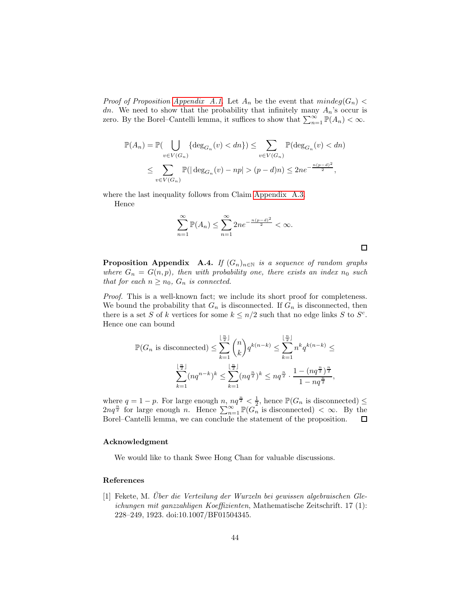*Proof of Proposition [Appendix A.1.](#page-42-1)* Let  $A_n$  be the event that  $mindeg(G_n)$ dn. We need to show that the probability that infinitely many  $A_n$ 's occur is zero. By the Borel–Cantelli lemma, it suffices to show that  $\sum_{n=1}^{\infty} \mathbb{P}(A_n) < \infty$ .

$$
\mathbb{P}(A_n) = \mathbb{P}(\bigcup_{v \in V(G_n)} \{\deg_{G_n}(v) < dn\}) \le \sum_{v \in V(G_n)} \mathbb{P}(\deg_{G_n}(v) < dn)
$$
\n
$$
\le \sum_{v \in V(G_n)} \mathbb{P}(|\deg_{G_n}(v) - np| > (p - d)n) \le 2ne^{-\frac{n(p - d)^2}{2}},
$$

where the last inequality follows from Claim [Appendix A.3.](#page-42-2) Hence

$$
\sum_{n=1}^{\infty} \mathbb{P}(A_n) \le \sum_{n=1}^{\infty} 2ne^{-\frac{n(p-d)^2}{2}} < \infty.
$$

 $\Box$ 

<span id="page-43-1"></span>**Proposition Appendix A.4.** If  $(G_n)_{n\in\mathbb{N}}$  is a sequence of random graphs where  $G_n = G(n, p)$ , then with probability one, there exists an index  $n_0$  such that for each  $n \geq n_0$ ,  $G_n$  is connected.

Proof. This is a well-known fact; we include its short proof for completeness. We bound the probability that  $G_n$  is disconnected. If  $G_n$  is disconnected, then there is a set S of k vertices for some  $k \leq n/2$  such that no edge links S to S<sup>c</sup>. Hence one can bound

$$
\mathbb{P}(G_n \text{ is disconnected}) \le \sum_{k=1}^{\lfloor \frac{n}{2} \rfloor} \binom{n}{k} q^{k(n-k)} \le \sum_{k=1}^{\lfloor \frac{n}{2} \rfloor} n^k q^{k(n-k)} \le
$$

$$
\sum_{k=1}^{\lfloor \frac{n}{2} \rfloor} (nq^{n-k})^k \le \sum_{k=1}^{\lfloor \frac{n}{2} \rfloor} (nq^{\frac{n}{2}})^k \le nq^{\frac{n}{2}} \cdot \frac{1 - (nq^{\frac{n}{2}})^{\frac{n}{2}}}{1 - nq^{\frac{n}{2}}},
$$

where  $q = 1 - p$ . For large enough  $n, nq^{\frac{n}{2}} < \frac{1}{2}$ , hence  $\mathbb{P}(G_n$  is disconnected)  $\leq$  $2nq^{\frac{n}{2}}$  for large enough *n*. Hence  $\sum_{n=1}^{\infty} \mathbb{P}(G_n^{\mathbb{Z}})$  is disconnected)  $<\infty$ . By the Borel–Cantelli lemma, we can conclude the statement of the proposition.

#### Acknowledgment

We would like to thank Swee Hong Chan for valuable discussions.

# References

<span id="page-43-0"></span>[1] Fekete, M. Über die Verteilung der Wurzeln bei gewissen algebraischen Gleichungen mit ganzzahligen Koeffizienten, Mathematische Zeitschrift. 17 (1): 228–249, 1923. doi:10.1007/BF01504345.